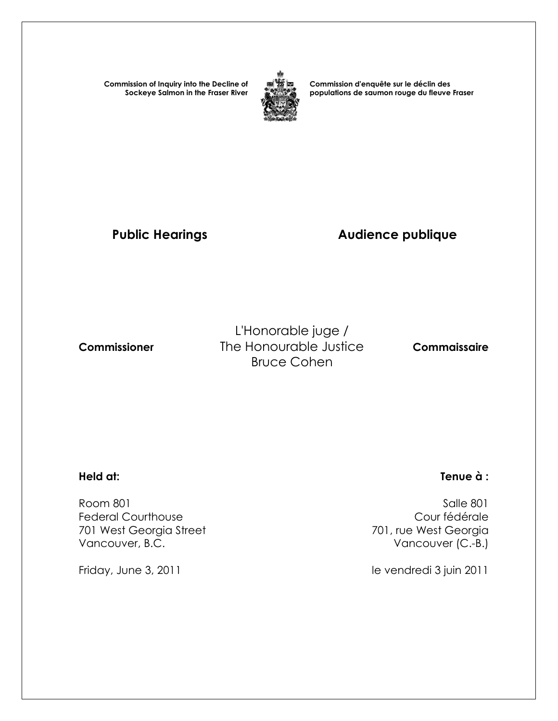**Commission of Inquiry into the Decline of Sockeye Salmon in the Fraser River**



**Commission d'enquête sur le déclin des populations de saumon rouge du fleuve Fraser** 

## **Public Hearings Audience publique**

L'Honorable juge / **Commissioner The Honourable Justice Commaissaire** Bruce Cohen

 Room 801 Salle 801 Federal Courthouse Cour fédérale 701 West Georgia Street Vancouver, B.C. **Vancouver (C.-B.)** 

## **Held at: Tenue à :**

Friday, June 3, 2011 **le vendredi 3 juin 2011**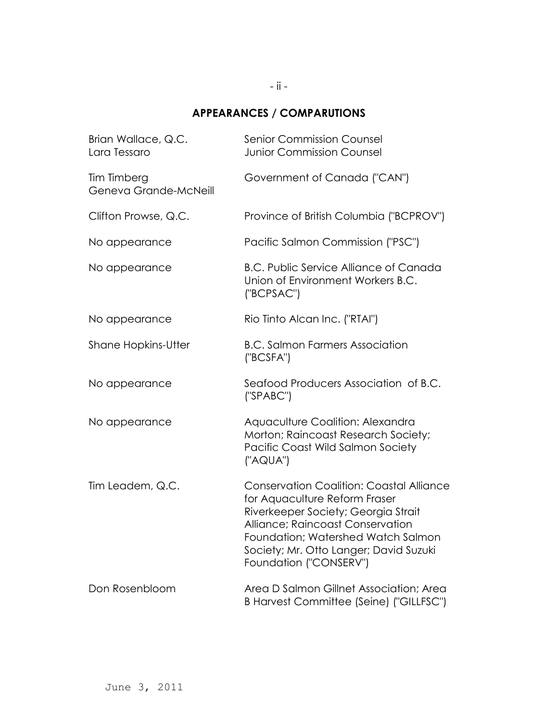## - ii -

## **APPEARANCES / COMPARUTIONS**

| Brian Wallace, Q.C.<br>Lara Tessaro  | <b>Senior Commission Counsel</b><br><b>Junior Commission Counsel</b>                                                                                                                                                                                                  |
|--------------------------------------|-----------------------------------------------------------------------------------------------------------------------------------------------------------------------------------------------------------------------------------------------------------------------|
| Tim Timberg<br>Geneva Grande-McNeill | Government of Canada ("CAN")                                                                                                                                                                                                                                          |
| Clifton Prowse, Q.C.                 | Province of British Columbia ("BCPROV")                                                                                                                                                                                                                               |
| No appearance                        | Pacific Salmon Commission ("PSC")                                                                                                                                                                                                                                     |
| No appearance                        | <b>B.C. Public Service Alliance of Canada</b><br>Union of Environment Workers B.C.<br>("BCPSAC")                                                                                                                                                                      |
| No appearance                        | Rio Tinto Alcan Inc. ("RTAI")                                                                                                                                                                                                                                         |
| <b>Shane Hopkins-Utter</b>           | <b>B.C. Salmon Farmers Association</b><br>("BCSFA")                                                                                                                                                                                                                   |
| No appearance                        | Seafood Producers Association of B.C.<br>('SPABC")                                                                                                                                                                                                                    |
| No appearance                        | Aquaculture Coalition: Alexandra<br>Morton; Raincoast Research Society;<br>Pacific Coast Wild Salmon Society<br>("AQUA")                                                                                                                                              |
| Tim Leadem, Q.C.                     | <b>Conservation Coalition: Coastal Alliance</b><br>for Aquaculture Reform Fraser<br>Riverkeeper Society; Georgia Strait<br>Alliance; Raincoast Conservation<br>Foundation; Watershed Watch Salmon<br>Society; Mr. Otto Langer; David Suzuki<br>Foundation ("CONSERV") |
| Don Rosenbloom                       | Area D Salmon Gillnet Association; Area<br>B Harvest Committee (Seine) ("GILLFSC")                                                                                                                                                                                    |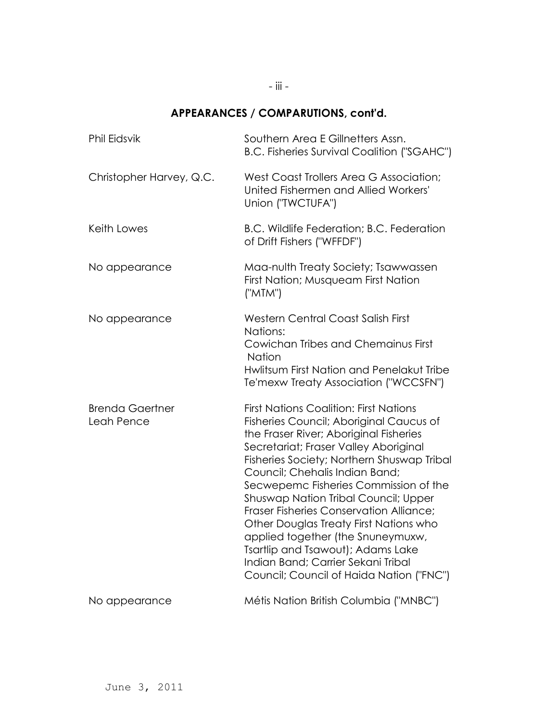# **APPEARANCES / COMPARUTIONS, cont'd.**

| <b>Phil Eidsvik</b>                  | Southern Area E Gillnetters Assn.<br><b>B.C. Fisheries Survival Coalition ("SGAHC")</b>                                                                                                                                                                                                                                                                                                                                                                                                                                                                                                       |
|--------------------------------------|-----------------------------------------------------------------------------------------------------------------------------------------------------------------------------------------------------------------------------------------------------------------------------------------------------------------------------------------------------------------------------------------------------------------------------------------------------------------------------------------------------------------------------------------------------------------------------------------------|
| Christopher Harvey, Q.C.             | West Coast Trollers Area G Association;<br>United Fishermen and Allied Workers'<br>Union ("TWCTUFA")                                                                                                                                                                                                                                                                                                                                                                                                                                                                                          |
| Keith Lowes                          | B.C. Wildlife Federation; B.C. Federation<br>of Drift Fishers ("WFFDF")                                                                                                                                                                                                                                                                                                                                                                                                                                                                                                                       |
| No appearance                        | Maa-nulth Treaty Society; Tsawwassen<br>First Nation; Musqueam First Nation<br>("MTM")                                                                                                                                                                                                                                                                                                                                                                                                                                                                                                        |
| No appearance                        | <b>Western Central Coast Salish First</b><br>Nations:<br>Cowichan Tribes and Chemainus First<br><b>Nation</b><br>Hwlitsum First Nation and Penelakut Tribe<br>Te'mexw Treaty Association ("WCCSFN")                                                                                                                                                                                                                                                                                                                                                                                           |
| <b>Brenda Gaertner</b><br>Leah Pence | <b>First Nations Coalition: First Nations</b><br>Fisheries Council; Aboriginal Caucus of<br>the Fraser River; Aboriginal Fisheries<br>Secretariat; Fraser Valley Aboriginal<br>Fisheries Society; Northern Shuswap Tribal<br>Council; Chehalis Indian Band;<br>Secwepemc Fisheries Commission of the<br>Shuswap Nation Tribal Council; Upper<br>Fraser Fisheries Conservation Alliance;<br>Other Douglas Treaty First Nations who<br>applied together (the Snuneymuxw,<br>Tsartlip and Tsawout); Adams Lake<br>Indian Band; Carrier Sekani Tribal<br>Council; Council of Haida Nation ("FNC") |
| No appearance                        | Métis Nation British Columbia ("MNBC")                                                                                                                                                                                                                                                                                                                                                                                                                                                                                                                                                        |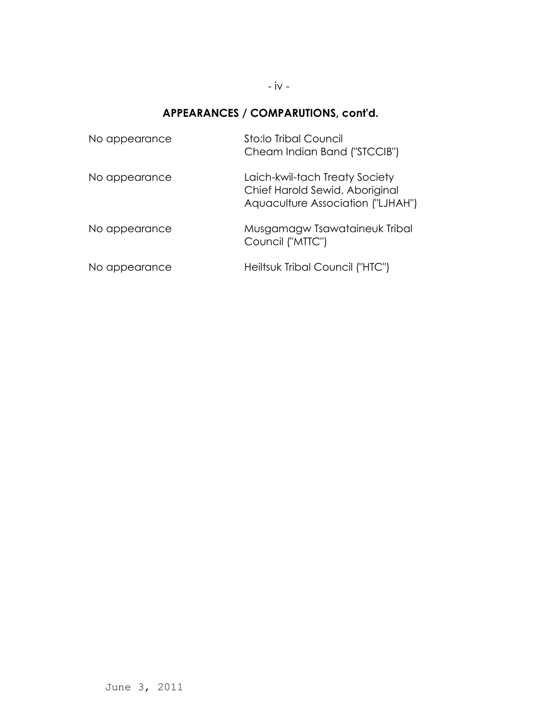### - iv -

## **APPEARANCES / COMPARUTIONS, cont'd.**

| No appearance | Sto:lo Tribal Council<br>Cheam Indian Band ("STCCIB")                                                 |
|---------------|-------------------------------------------------------------------------------------------------------|
| No appearance | Laich-kwil-tach Treaty Society<br>Chief Harold Sewid, Aboriginal<br>Aquaculture Association ("LJHAH") |
| No appearance | Musgamagw Tsawataineuk Tribal<br>Council ("MTTC")                                                     |
| No appearance | Heiltsuk Tribal Council ("HTC")                                                                       |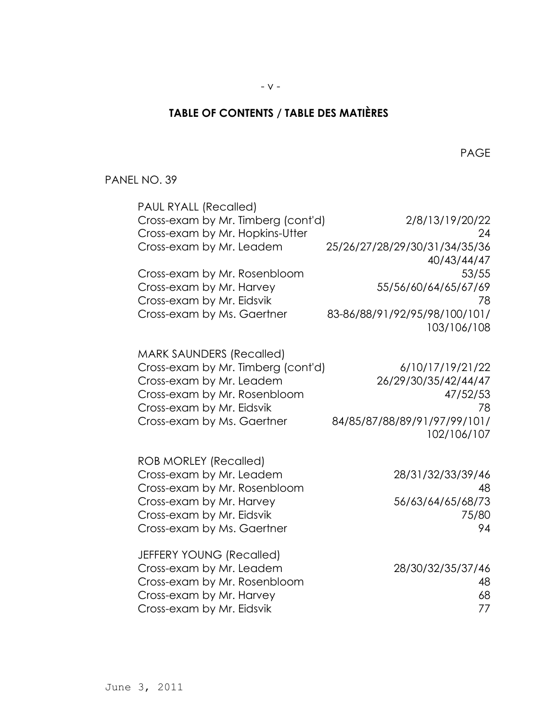# **TABLE OF CONTENTS / TABLE DES MATIÈRES**

en de la provincia de la provincia de la provincia de la provincia de la provincia de la provincia de la provi

### PANEL NO. 39

| <b>PAUL RYALL (Recalled)</b>       |                               |
|------------------------------------|-------------------------------|
| Cross-exam by Mr. Timberg (cont'd) | 2/8/13/19/20/22               |
| Cross-exam by Mr. Hopkins-Utter    | 24                            |
| Cross-exam by Mr. Leadem           | 25/26/27/28/29/30/31/34/35/36 |
|                                    | 40/43/44/47                   |
| Cross-exam by Mr. Rosenbloom       | 53/55                         |
| Cross-exam by Mr. Harvey           | 55/56/60/64/65/67/69          |
| Cross-exam by Mr. Eidsvik          | 78                            |
| Cross-exam by Ms. Gaertner         | 83-86/88/91/92/95/98/100/101/ |
|                                    | 103/106/108                   |
|                                    |                               |
| <b>MARK SAUNDERS (Recalled)</b>    |                               |
| Cross-exam by Mr. Timberg (cont'd) | 6/10/17/19/21/22              |
| Cross-exam by Mr. Leadem           | 26/29/30/35/42/44/47          |
| Cross-exam by Mr. Rosenbloom       | 47/52/53                      |
| Cross-exam by Mr. Eidsvik          | 78                            |
| Cross-exam by Ms. Gaertner         | 84/85/87/88/89/91/97/99/101/  |
|                                    | 102/106/107                   |
| <b>ROB MORLEY (Recalled)</b>       |                               |
| Cross-exam by Mr. Leadem           | 28/31/32/33/39/46             |
| Cross-exam by Mr. Rosenbloom       | 48                            |
| Cross-exam by Mr. Harvey           | 56/63/64/65/68/73             |
| Cross-exam by Mr. Eidsvik          | 75/80                         |
| Cross-exam by Ms. Gaertner         | 94                            |
|                                    |                               |
| JEFFERY YOUNG (Recalled)           |                               |
| Cross-exam by Mr. Leadem           | 28/30/32/35/37/46             |
| Cross-exam by Mr. Rosenbloom       | 48                            |
| Cross-exam by Mr. Harvey           | 68                            |
| Cross-exam by Mr. Eidsvik          | 77                            |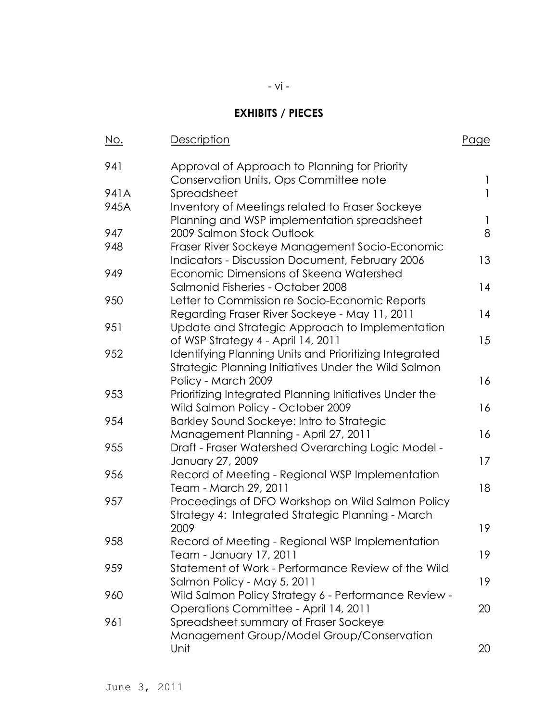## **EXHIBITS / PIECES**

| <u>No.</u> | <b>Description</b>                                                                                             | <u>Page</u> |
|------------|----------------------------------------------------------------------------------------------------------------|-------------|
| 941        | Approval of Approach to Planning for Priority<br>Conservation Units, Ops Committee note                        | 1           |
| 941A       | Spreadsheet                                                                                                    | 1           |
| 945A       | Inventory of Meetings related to Fraser Sockeye<br>Planning and WSP implementation spreadsheet                 | 1           |
| 947        | 2009 Salmon Stock Outlook                                                                                      | 8           |
| 948        | Fraser River Sockeye Management Socio-Economic<br><b>Indicators - Discussion Document, February 2006</b>       | 13          |
| 949        | Economic Dimensions of Skeena Watershed<br>Salmonid Fisheries - October 2008                                   | 14          |
| 950        | Letter to Commission re Socio-Economic Reports<br>Regarding Fraser River Sockeye - May 11, 2011                | 14          |
| 951        | Update and Strategic Approach to Implementation<br>of WSP Strategy 4 - April 14, 2011                          | 15          |
| 952        | Identifying Planning Units and Prioritizing Integrated<br>Strategic Planning Initiatives Under the Wild Salmon |             |
|            | Policy - March 2009                                                                                            | 16          |
| 953        | Prioritizing Integrated Planning Initiatives Under the<br>Wild Salmon Policy - October 2009                    | 16          |
| 954        | Barkley Sound Sockeye: Intro to Strategic<br>Management Planning - April 27, 2011                              | 16          |
| 955        | Draft - Fraser Watershed Overarching Logic Model -<br>January 27, 2009                                         | 17          |
| 956        | Record of Meeting - Regional WSP Implementation<br>Team - March 29, 2011                                       | 18          |
| 957        | Proceedings of DFO Workshop on Wild Salmon Policy<br>Strategy 4: Integrated Strategic Planning - March         |             |
|            | 2009                                                                                                           | 19          |
| 958        | Record of Meeting - Regional WSP Implementation<br>Team - January 17, 2011                                     | 19          |
| 959        | Statement of Work - Performance Review of the Wild<br>Salmon Policy - May 5, 2011                              | 19          |
| 960        | Wild Salmon Policy Strategy 6 - Performance Review -<br>Operations Committee - April 14, 2011                  | 20          |
| 961        | Spreadsheet summary of Fraser Sockeye                                                                          |             |
|            | Management Group/Model Group/Conservation                                                                      |             |
|            | Unit                                                                                                           | 20          |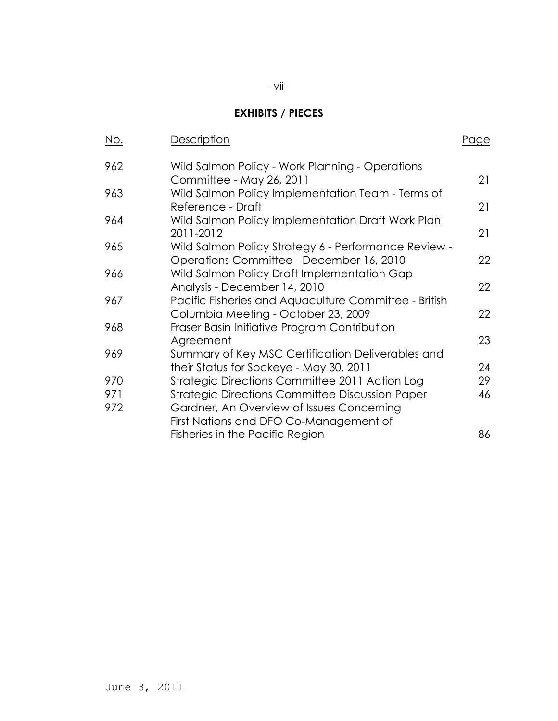## **EXHIBITS / PIECES**

| <u>No.</u> | Description                                                                                      | <u>Page</u> |
|------------|--------------------------------------------------------------------------------------------------|-------------|
| 962        | Wild Salmon Policy - Work Planning - Operations<br>Committee - May 26, 2011                      | 21          |
| 963        | Wild Salmon Policy Implementation Team - Terms of<br>Reference - Draft                           | 21          |
| 964        | Wild Salmon Policy Implementation Draft Work Plan<br>2011-2012                                   | 21          |
| 965        | Wild Salmon Policy Strategy 6 - Performance Review -<br>Operations Committee - December 16, 2010 | 22          |
| 966        | Wild Salmon Policy Draft Implementation Gap<br>Analysis - December 14, 2010                      | 22          |
| 967        | Pacific Fisheries and Aquaculture Committee - British<br>Columbia Meeting - October 23, 2009     | 22          |
| 968        | Fraser Basin Initiative Program Contribution                                                     | 23          |
| 969        | Agreement<br>Summary of Key MSC Certification Deliverables and                                   |             |
|            | their Status for Sockeye - May 30, 2011                                                          | 24          |
| 970        | Strategic Directions Committee 2011 Action Log                                                   | 29          |
| 971        | <b>Strategic Directions Committee Discussion Paper</b>                                           | 46          |
| 972        | Gardner, An Overview of Issues Concerning<br>First Nations and DFO Co-Management of              |             |
|            | Fisheries in the Pacific Region                                                                  | 86          |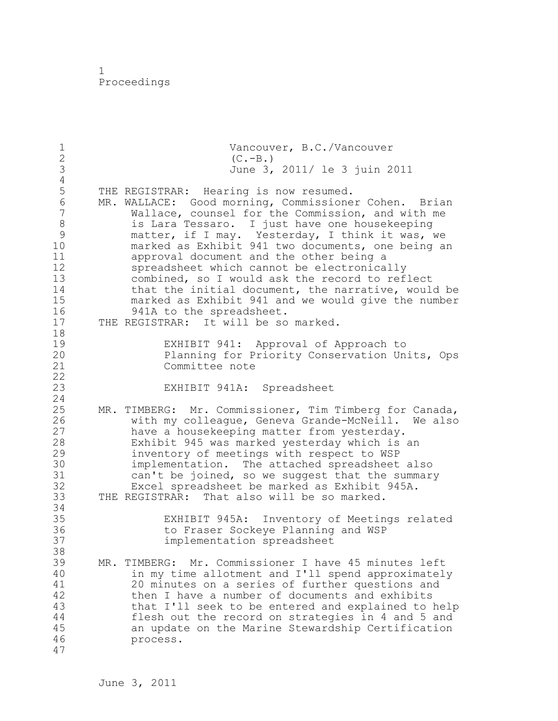1 Proceedings

1 Vancouver, B.C./Vancouver<br>2 (C.-B.) 2 (C.-B.)<br>3 June 3, 3 June 3, 2011/ le 3 juin 2011  $\frac{4}{5}$ 5 THE REGISTRAR: Hearing is now resumed.<br>6 MR. WALLACE: Good morning, Commissione 6 MR. WALLACE: Good morning, Commissioner Cohen. Brian Wallace, counsel for the Commission, and with me 8 is Lara Tessaro. I just have one housekeeping<br>9 matter, if I may. Yesterday, I think it was, 9 matter, if I may. Yesterday, I think it was, we<br>10 marked as Exhibit 941 two documents, one being a marked as Exhibit 941 two documents, one being an 11 approval document and the other being a 12 spreadsheet which cannot be electronically 13 combined, so I would ask the record to reflect 14 that the initial document, the narrative, would be 15 marked as Exhibit 941 and we would give the number 16 941A to the spreadsheet.<br>17 THE REGISTRAR: It will be so THE REGISTRAR: It will be so marked. 18 19 EXHIBIT 941: Approval of Approach to Planning for Priority Conservation Units, Ops 21 Committee note 22 23 EXHIBIT 941A: Spreadsheet 24 25 MR. TIMBERG: Mr. Commissioner, Tim Timberg for Canada, 26 with my colleague, Geneva Grande-McNeill. We also<br>27 have a housekeeping matter from yesterday. have a housekeeping matter from yesterday. 28 Exhibit 945 was marked yesterday which is an 29 inventory of meetings with respect to WSP 30 implementation. The attached spreadsheet also<br>31 can't be joined, so we suggest that the summar can't be joined, so we suggest that the summary 32 Excel spreadsheet be marked as Exhibit 945A. 33 THE REGISTRAR: That also will be so marked. 34 35 EXHIBIT 945A: Inventory of Meetings related 36 to Fraser Sockeye Planning and WSP 37 implementation spreadsheet 38 39 MR. TIMBERG: Mr. Commissioner I have 45 minutes left 40 in my time allotment and I'll spend approximately 41 20 minutes on a series of further questions and<br>42 then I have a number of documents and exhibits then I have a number of documents and exhibits 43 that I'll seek to be entered and explained to help 44 flesh out the record on strategies in 4 and 5 and 45 an update on the Marine Stewardship Certification 46 process. 47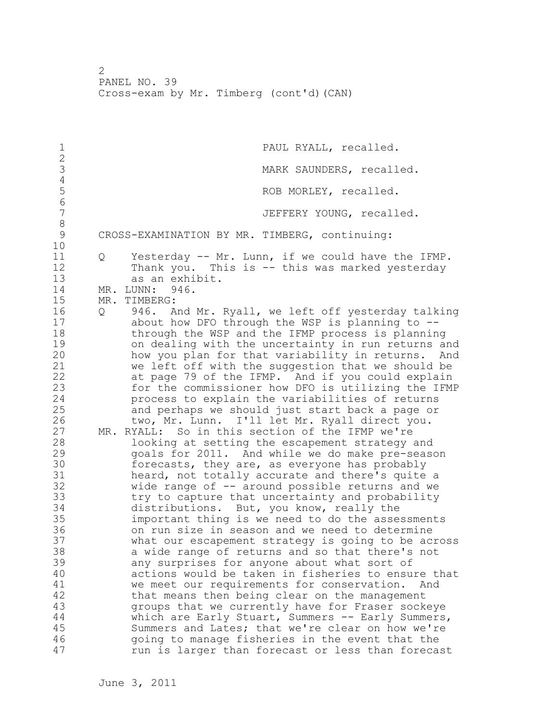1 PAUL RYALL, recalled.  $\frac{2}{3}$ MARK SAUNDERS, recalled. 4 ROB MORLEY, recalled. 6<br>7 JEFFERY YOUNG, recalled. 8 CROSS-EXAMINATION BY MR. TIMBERG, continuing: 10 11 Q Yesterday -- Mr. Lunn, if we could have the IFMP. 12 Thank you. This is -- this was marked yesterday 13 as an exhibit. 14 MR. LUNN: 946. 15 MR. TIMBERG: 16 Q 946. And Mr. Ryall, we left off yesterday talking 17 about how DFO through the WSP is planning to -- 18 through the WSP and the IFMP process is planning 19 on dealing with the uncertainty in run returns and<br>20 how you plan for that variability in returns. And how you plan for that variability in returns. And 21 we left off with the suggestion that we should be 22 at page 79 of the IFMP. And if you could explain 23 for the commissioner how DFO is utilizing the IFMP 24 process to explain the variabilities of returns 25 and perhaps we should just start back a page or 26 two, Mr. Lunn. I'll let Mr. Ryall direct you.<br>27 MR. RYALL: So in this section of the IFMP we're MR. RYALL: So in this section of the IFMP we're 28 looking at setting the escapement strategy and 29 goals for 2011. And while we do make pre-season 30 forecasts, they are, as everyone has probably<br>31 heard, not totally accurate and there's quite heard, not totally accurate and there's quite a 32 wide range of -- around possible returns and we 33 try to capture that uncertainty and probability 34 distributions. But, you know, really the 35 important thing is we need to do the assessments 36 on run size in season and we need to determine 37 what our escapement strategy is going to be across 38 a wide range of returns and so that there's not 39 any surprises for anyone about what sort of 40 actions would be taken in fisheries to ensure that 41 we meet our requirements for conservation. And<br>42 that means then being clear on the management that means then being clear on the management 43 groups that we currently have for Fraser sockeye 44 which are Early Stuart, Summers -- Early Summers, 45 Summers and Lates; that we're clear on how we're 46 going to manage fisheries in the event that the 47 run is larger than forecast or less than forecast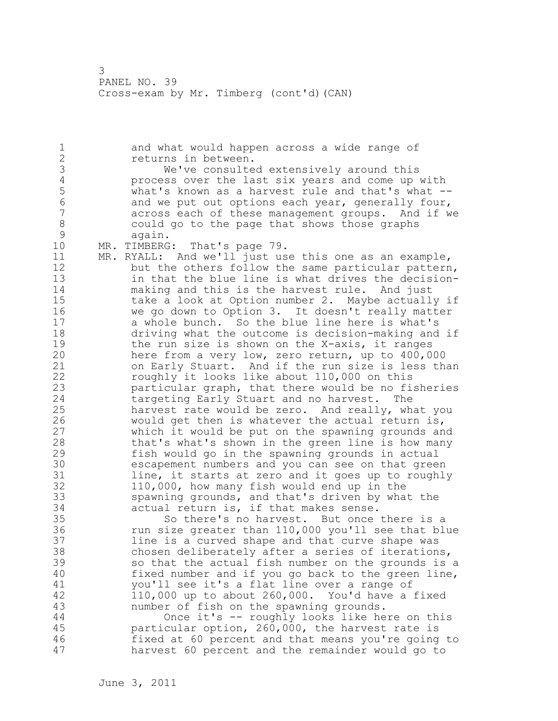1 and what would happen across a wide range of 2 returns in between. 3 We've consulted extensively around this<br>4 Process over the last six years and come up 4 process over the last six years and come up with<br>5 what's known as a harvest rule and that's what --5 what's known as a harvest rule and that's what --<br>6 and we put out options each vear, generally four, 6 and we put out options each year, generally four,<br>7 across each of these management groups. And if w across each of these management groups. And if we 8 could go to the page that shows those graphs 9 again.<br>10 MR. TIMBERG MR. TIMBERG: That's page 79. 11 MR. RYALL: And we'll just use this one as an example, 12 but the others follow the same particular pattern, 13 in that the blue line is what drives the decision-14 making and this is the harvest rule. And just 15 take a look at Option number 2. Maybe actually if 16 we go down to Option 3. It doesn't really matter 17 a whole bunch. So the blue line here is what's 18 driving what the outcome is decision-making and if 19 the run size is shown on the X-axis, it ranges<br>20 here from a very low, zero return, up to 400,0 here from a very low, zero return, up to 400,000 21 on Early Stuart. And if the run size is less than 22 roughly it looks like about 110,000 on this 23 particular graph, that there would be no fisheries 24 targeting Early Stuart and no harvest. The 25 harvest rate would be zero. And really, what you 26 would get then is whatever the actual return is,<br>27 which it would be put on the spawning grounds an which it would be put on the spawning grounds and 28 that's what's shown in the green line is how many 29 fish would go in the spawning grounds in actual 30 escapement numbers and you can see on that green<br>31 line, it starts at zero and it goes up to roughl line, it starts at zero and it goes up to roughly 32 110,000, how many fish would end up in the 33 spawning grounds, and that's driven by what the 34 actual return is, if that makes sense. 35 So there's no harvest. But once there is a 36 run size greater than 110,000 you'll see that blue 37 line is a curved shape and that curve shape was 38 chosen deliberately after a series of iterations, 39 so that the actual fish number on the grounds is a 40 fixed number and if you go back to the green line, 41 you'll see it's a flat line over a range of<br>42 110,000 up to about 260,000. You'd have a 42 110,000 up to about 260,000. You'd have a fixed 43 number of fish on the spawning grounds. 44 Once it's -- roughly looks like here on this 45 particular option, 260,000, the harvest rate is 46 fixed at 60 percent and that means you're going to 47 harvest 60 percent and the remainder would go to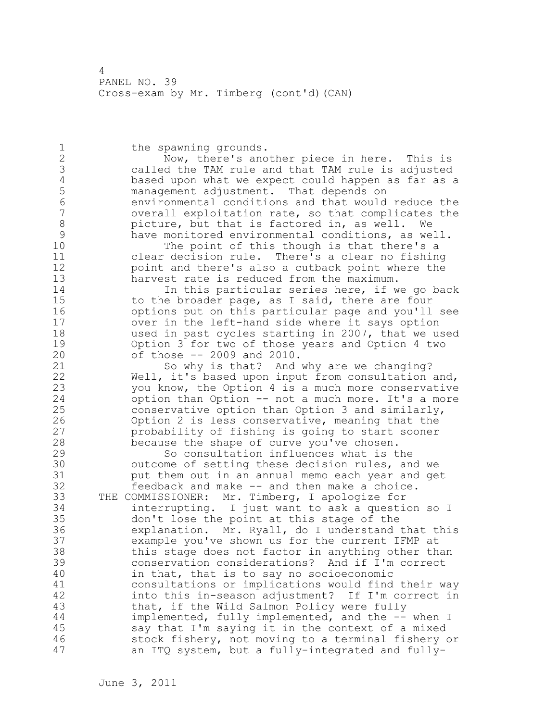1 the spawning grounds. 2 Now, there's another piece in here. This is 3 called the TAM rule and that TAM rule is adjusted 4 based upon what we expect could happen as far as a 5 management adjustment. That depends on 6 environmental conditions and that would reduce the overall exploitation rate, so that complicates the 8 picture, but that is factored in, as well. We<br>9 have monitored environmental conditions, as we 9 have monitored environmental conditions, as well.<br>10 The point of this though is that there's a The point of this though is that there's a 11 clear decision rule. There's a clear no fishing 12 point and there's also a cutback point where the 13 harvest rate is reduced from the maximum. 14 In this particular series here, if we go back 15 to the broader page, as I said, there are four 16 options put on this particular page and you'll see 17 over in the left-hand side where it says option 18 used in past cycles starting in 2007, that we used 19 Option 3 for two of those years and Option 4 two<br>20 of those -- 2009 and 2010. of those  $-$  2009 and 2010. 21 So why is that? And why are we changing? 22 Well, it's based upon input from consultation and, 23 you know, the Option 4 is a much more conservative 24 option than Option -- not a much more. It's a more 25 conservative option than Option 3 and similarly, 26 Option 2 is less conservative, meaning that the<br>27 probability of fishing is going to start sooner probability of fishing is going to start sooner 28 because the shape of curve you've chosen. 29 So consultation influences what is the 30 outcome of setting these decision rules, and we<br>31 but them out in an annual memo each year and ge put them out in an annual memo each year and get 32 feedback and make -- and then make a choice. 33 THE COMMISSIONER: Mr. Timberg, I apologize for 34 interrupting. I just want to ask a question so I 35 don't lose the point at this stage of the 36 explanation. Mr. Ryall, do I understand that this 37 example you've shown us for the current IFMP at 38 this stage does not factor in anything other than 39 conservation considerations? And if I'm correct 40 in that, that is to say no socioeconomic 41 consultations or implications would find their way<br>42 finito this in-season adjustment? If I'm correct in into this in-season adjustment? If I'm correct in 43 that, if the Wild Salmon Policy were fully 44 implemented, fully implemented, and the -- when I 45 say that I'm saying it in the context of a mixed 46 stock fishery, not moving to a terminal fishery or 47 an ITQ system, but a fully-integrated and fully-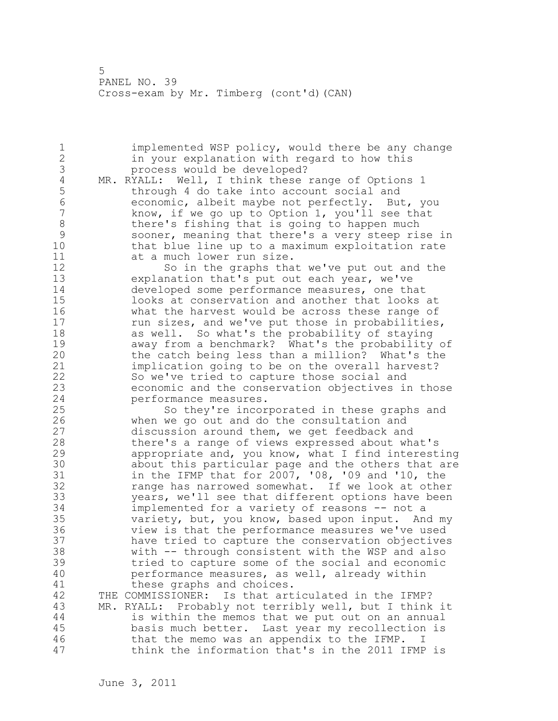1 implemented WSP policy, would there be any change 2 in your explanation with regard to how this 3 process would be developed?<br>4 MR. RYALL: Well, I think these 4 MR. RYALL: Well, I think these range of Options 1<br>5 through 4 do take into account social and 5 through 4 do take into account social and<br>6 (6 (6 economic, albeit maybe not perfectly, Bu 6 economic, albeit maybe not perfectly. But, you know, if we go up to Option 1, you'll see that 8 there's fishing that is going to happen much 9 sooner, meaning that there's a very steep rise in that blue line up to a maximum exploitation rate 11 at a much lower run size. 12 So in the graphs that we've put out and the 13 explanation that's put out each year, we've 14 developed some performance measures, one that 15 looks at conservation and another that looks at 16 what the harvest would be across these range of 17 run sizes, and we've put those in probabilities, 18 as well. So what's the probability of staying 19 away from a benchmark? What's the probability of<br>20 the catch being less than a million? What's the the catch being less than a million? What's the 21 implication going to be on the overall harvest? 22 So we've tried to capture those social and 23 economic and the conservation objectives in those 24 performance measures. 25 So they're incorporated in these graphs and 26 when we go out and do the consultation and<br>27 discussion around them, we get feedback and discussion around them, we get feedback and 28 there's a range of views expressed about what's 29 appropriate and, you know, what I find interesting 30 about this particular page and the others that are<br>31 in the IFMP that for 2007, '08, '09 and '10, the 31 in the IFMP that for 2007, '08, '09 and '10, the<br>32 range has narrowed somewhat. If we look at othe range has narrowed somewhat. If we look at other 33 years, we'll see that different options have been 34 implemented for a variety of reasons -- not a 35 variety, but, you know, based upon input. And my 36 view is that the performance measures we've used 37 have tried to capture the conservation objectives 38 with -- through consistent with the WSP and also 39 tried to capture some of the social and economic 40 performance measures, as well, already within 41 these graphs and choices.<br>42 THE COMMISSIONER: Is that art THE COMMISSIONER: Is that articulated in the IFMP? 43 MR. RYALL: Probably not terribly well, but I think it 44 is within the memos that we put out on an annual 45 basis much better. Last year my recollection is 46 that the memo was an appendix to the IFMP. I 47 think the information that's in the 2011 IFMP is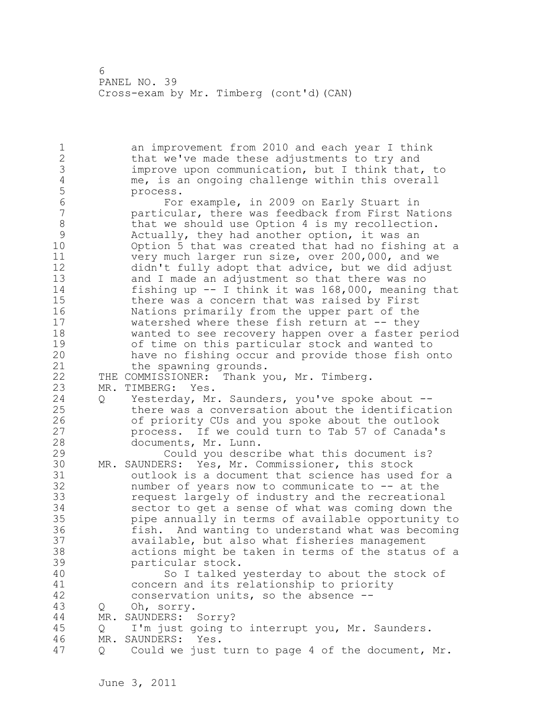1 an improvement from 2010 and each year I think 2 that we've made these adjustments to try and 3 improve upon communication, but I think that, to<br>4 me, is an ongoing challenge within this overall 4 me, is an ongoing challenge within this overall 5 process.<br>6 For 6 For example, in 2009 on Early Stuart in particular, there was feedback from First Nations 8 that we should use Option 4 is my recollection.<br>9 Actually, they had another option, it was an 9 Actually, they had another option, it was an<br>10 0 Option 5 that was created that had no fishin Option 5 that was created that had no fishing at a 11 very much larger run size, over 200,000, and we 12 didn't fully adopt that advice, but we did adjust 13 and I made an adjustment so that there was no 14 fishing up -- I think it was 168,000, meaning that 15 there was a concern that was raised by First 16 Nations primarily from the upper part of the 17 watershed where these fish return at -- they 18 wanted to see recovery happen over a faster period 19 of time on this particular stock and wanted to<br>20 have no fishing occur and provide those fish o have no fishing occur and provide those fish onto 21 the spawning grounds. 22 THE COMMISSIONER: Thank you, Mr. Timberg. 23 MR. TIMBERG: Yes. 24 Q Yesterday, Mr. Saunders, you've spoke about -- 25 there was a conversation about the identification 26 of priority CUs and you spoke about the outlook<br>27 http://www.could.turn.to.Tab.57 of Canada's process. If we could turn to Tab 57 of Canada's 28 documents, Mr. Lunn. 29 Could you describe what this document is? 30 MR. SAUNDERS: Yes, Mr. Commissioner, this stock outlook is a document that science has used for a 32 number of years now to communicate to -- at the 33 request largely of industry and the recreational 34 sector to get a sense of what was coming down the 35 pipe annually in terms of available opportunity to 36 fish. And wanting to understand what was becoming 37 available, but also what fisheries management 38 actions might be taken in terms of the status of a 39 particular stock. 40 So I talked yesterday to about the stock of 41 concern and its relationship to priority<br>42 conservation units, so the absence -conservation units, so the absence  $-$ -43 Q Oh, sorry. 44 MR. SAUNDERS: Sorry? 45 Q I'm just going to interrupt you, Mr. Saunders. 46 MR. SAUNDERS: Yes. 47 Q Could we just turn to page 4 of the document, Mr.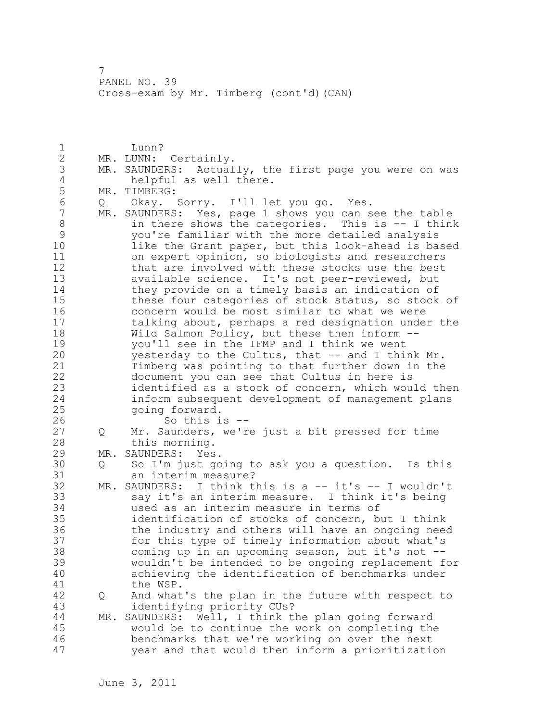1 **I**unn? 2 MR. LUNN: Certainly. 3 MR. SAUNDERS: Actually, the first page you were on was 4 helpful as well there.<br>5 MR. TIMBERG: 5 MR. TIMBERG:<br>6 0 Okav. 6 Q Okay. Sorry. I'll let you go. Yes. MR. SAUNDERS: Yes, page 1 shows you can see the table 8 in there shows the categories. This is -- I think<br>9 vou're familiar with the more detailed analysis 9 you're familiar with the more detailed analysis like the Grant paper, but this look-ahead is based 11 on expert opinion, so biologists and researchers 12 that are involved with these stocks use the best 13 available science. It's not peer-reviewed, but 14 they provide on a timely basis an indication of 15 these four categories of stock status, so stock of 16 concern would be most similar to what we were 17 talking about, perhaps a red designation under the 18 Wild Salmon Policy, but these then inform -- 19 you'll see in the IFMP and I think we went<br>20 yesterday to the Cultus, that -- and I this yesterday to the Cultus, that  $--$  and I think Mr. 21 Timberg was pointing to that further down in the 22 document you can see that Cultus in here is 23 identified as a stock of concern, which would then 24 inform subsequent development of management plans 25 going forward. 26 So this is --<br>27 Q Mr. Saunders, we'r Q Mr. Saunders, we're just a bit pressed for time 28 this morning. 29 MR. SAUNDERS: Yes. 30 Q So I'm just going to ask you a question. Is this 31 an interim measure?<br>32 MR. SAUNDERS: I think th  $MR.$  SAUNDERS: I think this is a -- it's -- I wouldn't 33 say it's an interim measure. I think it's being 34 used as an interim measure in terms of 35 identification of stocks of concern, but I think 36 the industry and others will have an ongoing need 37 for this type of timely information about what's 38 coming up in an upcoming season, but it's not -- 39 wouldn't be intended to be ongoing replacement for 40 achieving the identification of benchmarks under 41 the WSP.<br>42 Q And what 42 Q And what's the plan in the future with respect to 43 identifying priority CUs? 44 MR. SAUNDERS: Well, I think the plan going forward 45 would be to continue the work on completing the 46 benchmarks that we're working on over the next 47 year and that would then inform a prioritization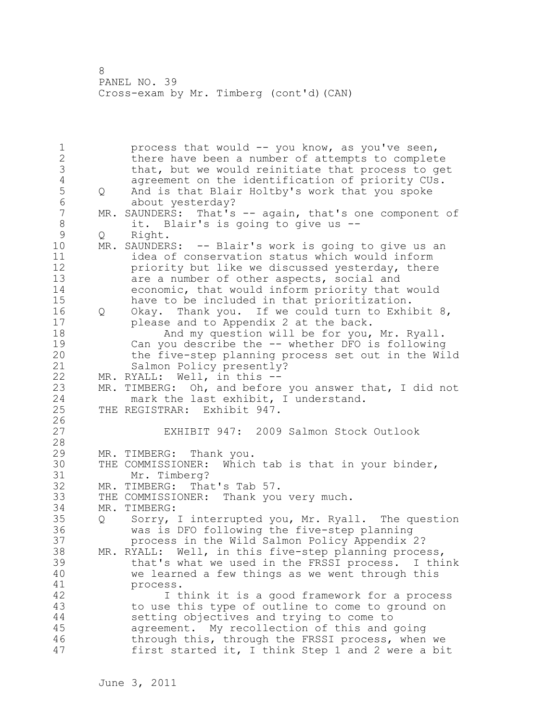1 process that would -- you know, as you've seen, 2 there have been a number of attempts to complete 3 that, but we would reinitiate that process to get<br>4 agreement on the identification of priority CUs. 4 agreement on the identification of priority CUs.<br>5 0 And is that Blair Holtby's work that you spoke 5 Q And is that Blair Holtby's work that you spoke 6 about yesterday?<br>7 MR. SAUNDERS: That's MR. SAUNDERS: That's -- again, that's one component of 8 it. Blair's is going to give us --<br>9 0 Right. 9 Q Right.<br>10 MR. SAUNDER MR. SAUNDERS: -- Blair's work is going to give us an 11 idea of conservation status which would inform 12 priority but like we discussed yesterday, there 13 are a number of other aspects, social and 14 economic, that would inform priority that would 15 have to be included in that prioritization. 16 Q Okay. Thank you. If we could turn to Exhibit 8, 17 please and to Appendix 2 at the back. 18 And my question will be for you, Mr. Ryall. 19 Can you describe the -- whether DFO is following<br>20 the five-step planning process set out in the Wi the five-step planning process set out in the Wild 21 Salmon Policy presently? 22 MR. RYALL: Well, in this -- 23 MR. TIMBERG: Oh, and before you answer that, I did not 24 mark the last exhibit, I understand. 25 THE REGISTRAR: Exhibit 947.  $\frac{26}{27}$ EXHIBIT 947: 2009 Salmon Stock Outlook 28 29 MR. TIMBERG: Thank you. 30 THE COMMISSIONER: Which tab is that in your binder, Mr. Timberg? 32 MR. TIMBERG: That's Tab 57. 33 THE COMMISSIONER: Thank you very much. 34 MR. TIMBERG: 35 Q Sorry, I interrupted you, Mr. Ryall. The question 36 was is DFO following the five-step planning 37 process in the Wild Salmon Policy Appendix 2? 38 MR. RYALL: Well, in this five-step planning process, 39 that's what we used in the FRSSI process. I think 40 we learned a few things as we went through this 41 process.<br>42 I t I think it is a good framework for a process 43 to use this type of outline to come to ground on 44 setting objectives and trying to come to 45 agreement. My recollection of this and going 46 through this, through the FRSSI process, when we 47 first started it, I think Step 1 and 2 were a bit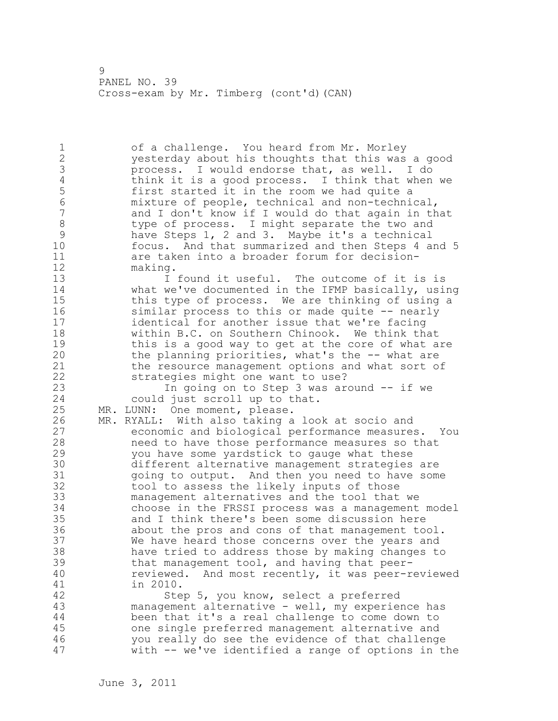1 of a challenge. You heard from Mr. Morley 2 yesterday about his thoughts that this was a good 3 process. I would endorse that, as well. I do<br>4 think it is a good process. I think that when 4 think it is a good process. I think that when we<br>5 first started it in the room we had quite a 5 first started it in the room we had quite a<br>6 mixture of people, technical and non-techni 6 mixture of people, technical and non-technical, and I don't know if I would do that again in that 8 type of process. I might separate the two and 9 have Steps 1, 2 and 3. Maybe it's a technical<br>10 focus. And that summarized and then Steps 4 a focus. And that summarized and then Steps 4 and 5 11 are taken into a broader forum for decision-12 making. 13 13 I found it useful. The outcome of it is is 14 what we've documented in the IFMP basically, using 15 this type of process. We are thinking of using a 16 similar process to this or made quite -- nearly 17 identical for another issue that we're facing 18 within B.C. on Southern Chinook. We think that 19 this is a good way to get at the core of what are<br>20 the planning priorities, what's the -- what are the planning priorities, what's the  $--$  what are 21 the resource management options and what sort of 22 strategies might one want to use? 23 In going on to Step 3 was around -- if we 24 could just scroll up to that. 25 MR. LUNN: One moment, please. 26 MR. RYALL: With also taking a look at socio and<br>27 economic and biological performance measure. economic and biological performance measures. You 28 need to have those performance measures so that 29 you have some yardstick to gauge what these 30 different alternative management strategies are going to output. And then you need to have some 32 tool to assess the likely inputs of those 33 management alternatives and the tool that we 34 choose in the FRSSI process was a management model 35 and I think there's been some discussion here 36 about the pros and cons of that management tool. 37 We have heard those concerns over the years and 38 have tried to address those by making changes to 39 that management tool, and having that peer-40 reviewed. And most recently, it was peer-reviewed 41 in 2010.<br>42 Ste Step 5, you know, select a preferred 43 management alternative - well, my experience has 44 been that it's a real challenge to come down to 45 one single preferred management alternative and 46 you really do see the evidence of that challenge 47 with -- we've identified a range of options in the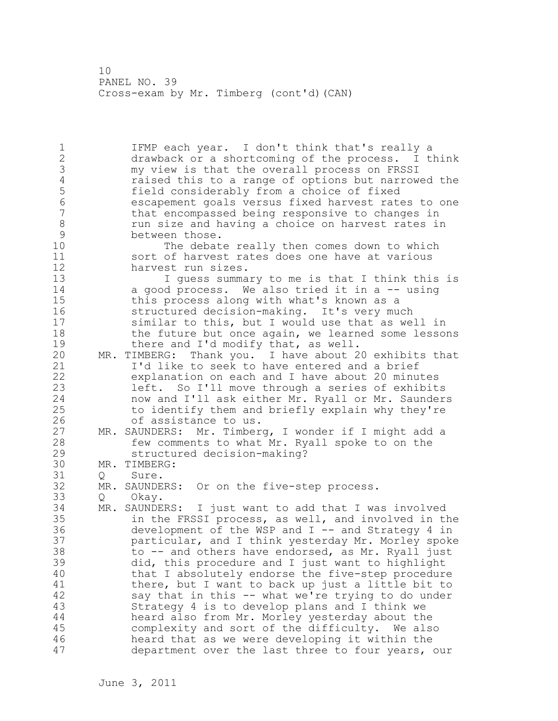1 IFMP each year. I don't think that's really a 2 drawback or a shortcoming of the process. I think 3 my view is that the overall process on FRSSI<br>4 and raised this to a range of options but narrow 4 raised this to a range of options but narrowed the<br>5 field considerably from a choice of fixed 5 field considerably from a choice of fixed 6 escapement goals versus fixed harvest rates to one that encompassed being responsive to changes in 8 run size and having a choice on harvest rates in<br>9 between those. 9 between those.<br>10 The debat The debate really then comes down to which 11 sort of harvest rates does one have at various 12 harvest run sizes. 13 I guess summary to me is that I think this is 14 a good process. We also tried it in a -- using 15 this process along with what's known as a 16 structured decision-making. It's very much 17 similar to this, but I would use that as well in 18 the future but once again, we learned some lessons 19 there and I'd modify that, as well.<br>20 MR. TIMBERG: Thank you. I have about 2 MR. TIMBERG: Thank you. I have about 20 exhibits that 21 I'd like to seek to have entered and a brief 22 explanation on each and I have about 20 minutes 23 left. So I'll move through a series of exhibits 24 now and I'll ask either Mr. Ryall or Mr. Saunders 25 to identify them and briefly explain why they're 26 of assistance to us.<br>27 MR. SAUNDERS: Mr. Timber MR. SAUNDERS: Mr. Timberg, I wonder if I might add a 28 few comments to what Mr. Ryall spoke to on the 29 structured decision-making? 30 MR. TIMBERG:<br>31 0 Sure. Q Sure. 32 MR. SAUNDERS: Or on the five-step process. 33 Q Okay. 34 MR. SAUNDERS: I just want to add that I was involved 35 in the FRSSI process, as well, and involved in the 36 development of the WSP and I -- and Strategy 4 in 37 particular, and I think yesterday Mr. Morley spoke 38 to -- and others have endorsed, as Mr. Ryall just 39 did, this procedure and I just want to highlight 40 that I absolutely endorse the five-step procedure 41 there, but I want to back up just a little bit to<br>42 say that in this -- what we're trying to do under say that in this -- what we're trying to do under 43 Strategy 4 is to develop plans and I think we 44 heard also from Mr. Morley yesterday about the 45 complexity and sort of the difficulty. We also 46 heard that as we were developing it within the 47 department over the last three to four years, our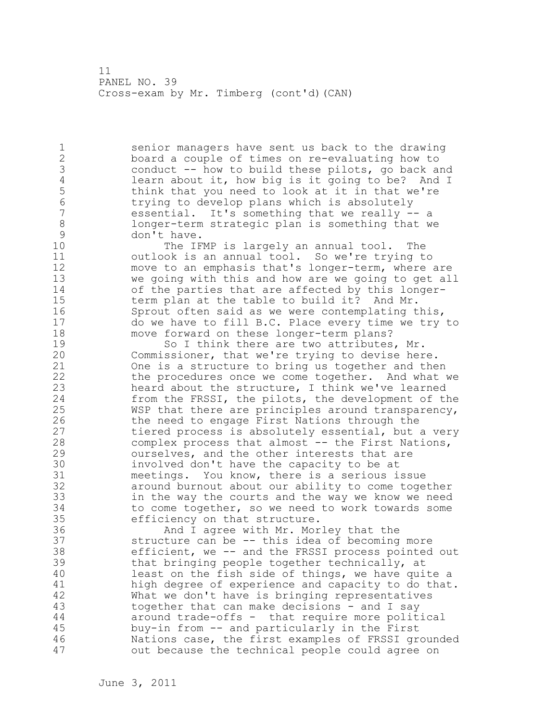1 senior managers have sent us back to the drawing 2 board a couple of times on re-evaluating how to 3 conduct -- how to build these pilots, go back and<br>4 learn about it, how big is it going to be? And I 4 learn about it, how big is it going to be? And I<br>5 think that you need to look at it in that we're 5 think that you need to look at it in that we're<br>6 trying to develop plans which is absolutely 6 trying to develop plans which is absolutely<br>7 essential. It's something that we really essential. It's something that we really -- a 8 longer-term strategic plan is something that we 9 don't have.<br>10 The IF

The IFMP is largely an annual tool. The 11 outlook is an annual tool. So we're trying to 12 move to an emphasis that's longer-term, where are 13 we going with this and how are we going to get all 14 of the parties that are affected by this longer-15 term plan at the table to build it? And Mr. 16 Sprout often said as we were contemplating this, 17 do we have to fill B.C. Place every time we try to 18 move forward on these longer-term plans?

19 So I think there are two attributes, Mr.<br>20 Commissioner, that we're trying to devise her Commissioner, that we're trying to devise here. 21 One is a structure to bring us together and then 22 the procedures once we come together. And what we 23 heard about the structure, I think we've learned 24 from the FRSSI, the pilots, the development of the 25 WSP that there are principles around transparency, 26 the need to engage First Nations through the<br>27 tiered process is absolutely essential, but tiered process is absolutely essential, but a very 28 complex process that almost -- the First Nations, 29 ourselves, and the other interests that are 30 involved don't have the capacity to be at<br>31 meetings. You know, there is a serious i meetings. You know, there is a serious issue 32 around burnout about our ability to come together 33 in the way the courts and the way we know we need 34 to come together, so we need to work towards some 35 efficiency on that structure.

36 And I agree with Mr. Morley that the 37 structure can be -- this idea of becoming more 38 efficient, we -- and the FRSSI process pointed out 39 that bringing people together technically, at 40 least on the fish side of things, we have quite a 41 high degree of experience and capacity to do that.<br>42 What we don't have is bringing representatives What we don't have is bringing representatives 43 together that can make decisions - and I say 44 around trade-offs - that require more political 45 buy-in from -- and particularly in the First 46 Nations case, the first examples of FRSSI grounded 47 out because the technical people could agree on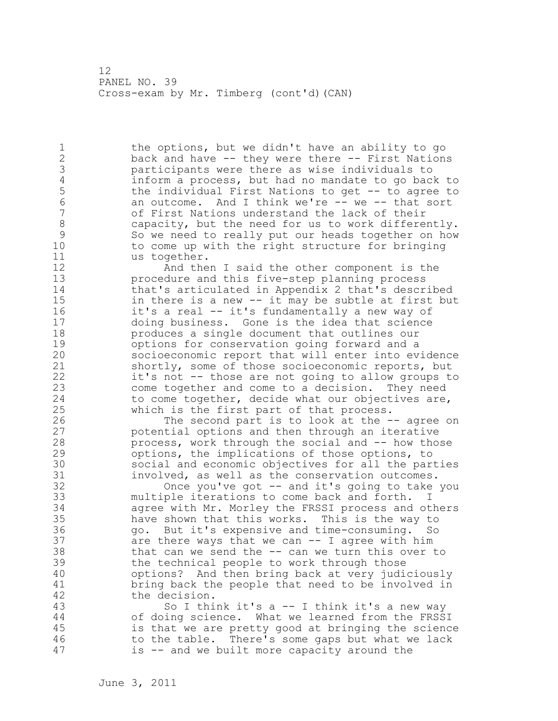1 the options, but we didn't have an ability to go 2 back and have -- they were there -- First Nations 3 participants were there as wise individuals to 4 inform a process, but had no mandate to go back to<br>5 the individual First Nations to get -- to agree to 5 the individual First Nations to get -- to agree to<br>6 an outcome. And I think we're -- we -- that sort 6 an outcome. And I think we're -- we -- that sort<br>7 6 of First Nations understand the lack of their of First Nations understand the lack of their 8 capacity, but the need for us to work differently. 9 So we need to really put our heads together on how<br>10 to come up with the right structure for bringing to come up with the right structure for bringing 11 us together.

12 And then I said the other component is the 13 procedure and this five-step planning process 14 that's articulated in Appendix 2 that's described 15 in there is a new -- it may be subtle at first but 16 it's a real -- it's fundamentally a new way of 17 doing business. Gone is the idea that science 18 produces a single document that outlines our 19 options for conservation going forward and a<br>20 socioeconomic report that will enter into ev socioeconomic report that will enter into evidence 21 shortly, some of those socioeconomic reports, but 22 it's not -- those are not going to allow groups to 23 come together and come to a decision. They need 24 to come together, decide what our objectives are, 25 which is the first part of that process.

26 The second part is to look at the -- agree on<br>27 potential options and then through an iterative potential options and then through an iterative 28 process, work through the social and -- how those 29 options, the implications of those options, to 30 social and economic objectives for all the parties<br>31 involved, as well as the conservation outcomes. 31 involved, as well as the conservation outcomes.<br>32 0nce vou've got -- and it's going to take

Once you've got  $-$  and it's going to take you 33 multiple iterations to come back and forth. I 34 agree with Mr. Morley the FRSSI process and others 35 have shown that this works. This is the way to 36 go. But it's expensive and time-consuming. So 37 are there ways that we can -- I agree with him 38 that can we send the -- can we turn this over to 39 the technical people to work through those 40 options? And then bring back at very judiciously 41 bring back the people that need to be involved in 42 the decision.

43 So I think it's a -- I think it's a new way 44 of doing science. What we learned from the FRSSI 45 is that we are pretty good at bringing the science 46 to the table. There's some gaps but what we lack 47 is -- and we built more capacity around the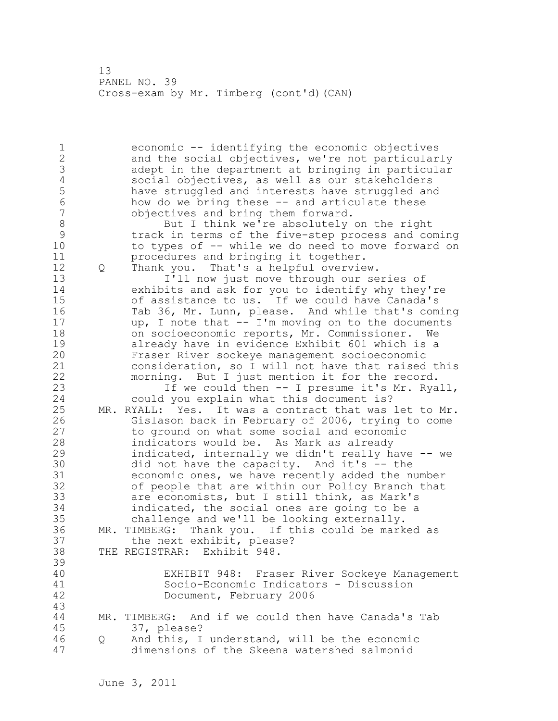1 economic -- identifying the economic objectives 2 and the social objectives, we're not particularly 3 adept in the department at bringing in particular 4 social objectives, as well as our stakeholders<br>5 have struggled and interests have struggled and 5 have struggled and interests have struggled and<br>6 how do we bring these -- and articulate these 6 how do we bring these -- and articulate these objectives and bring them forward. 8 But I think we're absolutely on the right<br>9 11 12 12 13 13 14 15 15 16 17 16 17 16 17 16 17 16 17 16 17 16 17 16 17 16 17 16 17 16 17 16 17 16 17 16 17 9 track in terms of the five-step process and coming<br>10 to types of -- while we do need to move forward on to types of -- while we do need to move forward on 11 procedures and bringing it together. 12 Q Thank you. That's a helpful overview. 13 I'll now just move through our series of 14 exhibits and ask for you to identify why they're 15 of assistance to us. If we could have Canada's 16 Tab 36, Mr. Lunn, please. And while that's coming 17 up, I note that -- I'm moving on to the documents 18 on socioeconomic reports, Mr. Commissioner. We 19 already have in evidence Exhibit 601 which is a<br>20 Fraser River sockeye management socioeconomic Fraser River sockeye management socioeconomic 21 consideration, so I will not have that raised this 22 morning. But I just mention it for the record. 23 If we could then -- I presume it's Mr. Ryall, 24 could you explain what this document is? 25 MR. RYALL: Yes. It was a contract that was let to Mr. 26 Gislason back in February of 2006, trying to come to ground on what some social and economic 28 indicators would be. As Mark as already 29 indicated, internally we didn't really have -- we 30 did not have the capacity. And it's -- the<br>31 economic ones, we have recently added the n 31 economic ones, we have recently added the number<br>32 of people that are within our Policy Branch that of people that are within our Policy Branch that 33 are economists, but I still think, as Mark's 34 indicated, the social ones are going to be a 35 challenge and we'll be looking externally. 36 MR. TIMBERG: Thank you. If this could be marked as 37 the next exhibit, please?<br>38 THE REGISTRAR: Exhibit 948. THE REGISTRAR: Exhibit 948. 39 40 EXHIBIT 948: Fraser River Sockeye Management 41 Socio-Economic Indicators - Discussion Document, February 2006 43 44 MR. TIMBERG: And if we could then have Canada's Tab 45 37, please? 46 Q And this, I understand, will be the economic 47 dimensions of the Skeena watershed salmonid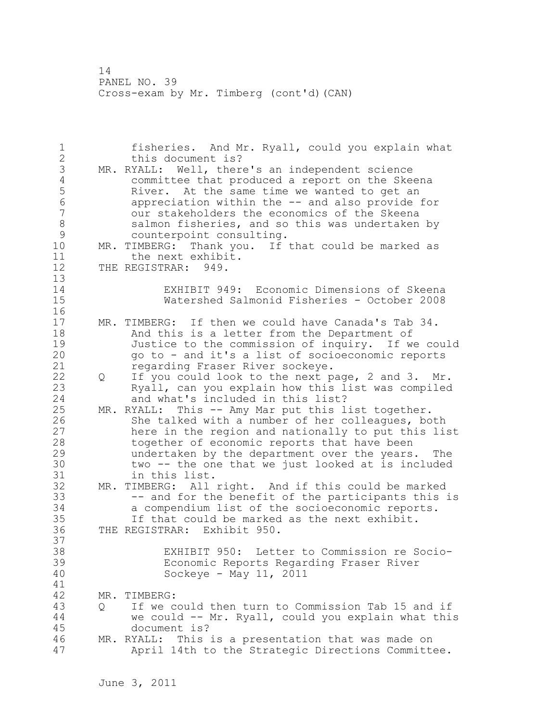1 fisheries. And Mr. Ryall, could you explain what 2 this document is? 3 MR. RYALL: Well, there's an independent science<br>4 committee that produced a report on the Skee 4 committee that produced a report on the Skeena<br>5 River. At the same time we wanted to get an 5 River. At the same time we wanted to get an<br>6 appreciation within the -- and also provide: 6 appreciation within the -- and also provide for our stakeholders the economics of the Skeena 8 salmon fisheries, and so this was undertaken by<br>9 counterpoint consulting. 9 counterpoint consulting.<br>10 MR. TIMBERG: Thank vou. If MR. TIMBERG: Thank you. If that could be marked as 11 the next exhibit. 12 THE REGISTRAR: 949. 13 14 EXHIBIT 949: Economic Dimensions of Skeena 15 Watershed Salmonid Fisheries - October 2008 16 17 MR. TIMBERG: If then we could have Canada's Tab 34. 18 And this is a letter from the Department of 19 Justice to the commission of inquiry. If we could<br>20 op to - and it's a list of socioeconomic reports 20 go to - and it's a list of socioeconomic reports 21 regarding Fraser River sockeye. 22 Q If you could look to the next page, 2 and 3. Mr. 23 Ryall, can you explain how this list was compiled 24 and what's included in this list? 25 MR. RYALL: This -- Amy Mar put this list together. 26 She talked with a number of her colleagues, both<br>27 here in the region and nationally to put this lis here in the region and nationally to put this list 28 together of economic reports that have been 29 undertaken by the department over the years. The 30 two -- the one that we just looked at is included in this list. 32 MR. TIMBERG: All right. And if this could be marked 33 -- and for the benefit of the participants this is 34 a compendium list of the socioeconomic reports. 35 If that could be marked as the next exhibit. 36 THE REGISTRAR: Exhibit 950. 37 38 EXHIBIT 950: Letter to Commission re Socio-39 Economic Reports Regarding Fraser River 40 Sockeye - May 11, 2011 41<br>42 MR. TIMBERG: 43 Q If we could then turn to Commission Tab 15 and if 44 we could -- Mr. Ryall, could you explain what this 45 document is? 46 MR. RYALL: This is a presentation that was made on 47 April 14th to the Strategic Directions Committee.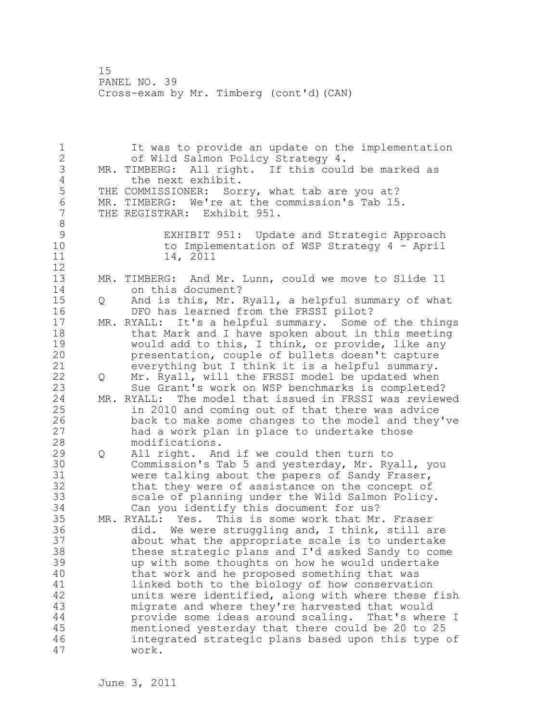1 It was to provide an update on the implementation 2 of Wild Salmon Policy Strategy 4. 3 MR. TIMBERG: All right. If this could be marked as 4 the next exhibit.<br>5 THE COMMISSIONER: Sor 5 THE COMMISSIONER: Sorry, what tab are you at?<br>6 MR. TIMBERG: We're at the commission's Tab 15 6 MR. TIMBERG: We're at the commission's Tab 15.<br>7 THE REGISTRAR: Exhibit 951. THE REGISTRAR: Exhibit 951. 8<br>9 9 EXHIBIT 951: Update and Strategic Approach to Implementation of WSP Strategy 4 - April 11 14, 2011 12 13 MR. TIMBERG: And Mr. Lunn, could we move to Slide 11 14 on this document? 15 Q And is this, Mr. Ryall, a helpful summary of what 16 DFO has learned from the FRSSI pilot? 17 MR. RYALL: It's a helpful summary. Some of the things 18 that Mark and I have spoken about in this meeting 19 would add to this, I think, or provide, like any<br>20 presentation, couple of bullets doesn't capture presentation, couple of bullets doesn't capture 21 everything but I think it is a helpful summary. 22 Q Mr. Ryall, will the FRSSI model be updated when 23 Sue Grant's work on WSP benchmarks is completed? 24 MR. RYALL: The model that issued in FRSSI was reviewed 25 in 2010 and coming out of that there was advice 26 back to make some changes to the model and they've<br>27 had a work plan in place to undertake those had a work plan in place to undertake those 28 modifications. 29 Q All right. And if we could then turn to 30 Commission's Tab 5 and yesterday, Mr. Ryall, you<br>31 were talking about the papers of Sandy Fraser, were talking about the papers of Sandy Fraser, 32 that they were of assistance on the concept of 33 scale of planning under the Wild Salmon Policy. 34 Can you identify this document for us? 35 MR. RYALL: Yes. This is some work that Mr. Fraser 36 did. We were struggling and, I think, still are 37 about what the appropriate scale is to undertake 38 these strategic plans and I'd asked Sandy to come 39 up with some thoughts on how he would undertake 40 that work and he proposed something that was 41 linked both to the biology of how conservation<br>42 units were identified, along with where these units were identified, along with where these fish 43 migrate and where they're harvested that would 44 provide some ideas around scaling. That's where I 45 mentioned yesterday that there could be 20 to 25 46 integrated strategic plans based upon this type of 47 work.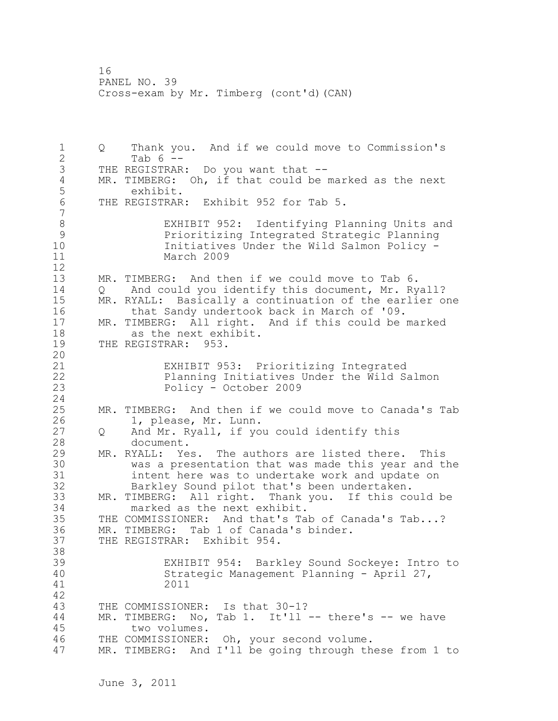1 Q Thank you. And if we could move to Commission's 2 Tab 6 -- 3 THE REGISTRAR: Do you want that --<br>4 MR. TIMBERG: Oh, if that could be m 4 MR. TIMBERG: Oh, if that could be marked as the next<br>5 exhibit. 5 exhibit.<br>6 THE REGISTRAR THE REGISTRAR: Exhibit 952 for Tab 5. 7 8 EXHIBIT 952: Identifying Planning Units and<br>9 Prioritizing Integrated Strategic Planning 9 Prioritizing Integrated Strategic Planning Initiatives Under the Wild Salmon Policy -11 March 2009 12 13 MR. TIMBERG: And then if we could move to Tab 6. 14 Q And could you identify this document, Mr. Ryall? 15 MR. RYALL: Basically a continuation of the earlier one<br>16 that Sandy undertook back in March of '09. 16 that Sandy undertook back in March of '09.<br>17 MR. TIMBERG: All right. And if this could be a MR. TIMBERG: All right. And if this could be marked 18 as the next exhibit. 19 THE REGISTRAR: 953. 20 21 EXHIBIT 953: Prioritizing Integrated 22 Planning Initiatives Under the Wild Salmon 23 Policy - October 2009 24 25 MR. TIMBERG: And then if we could move to Canada's Tab 26 1, please, Mr. Lunn.<br>27 0 And Mr. Ryall, if yo Q And Mr. Ryall, if you could identify this 28 document. 29 MR. RYALL: Yes. The authors are listed there. This 30 was a presentation that was made this year and the 31 intent here was to undertake work and update on<br>32 Barkley Sound pilot that's been undertaken. Barkley Sound pilot that's been undertaken. 33 MR. TIMBERG: All right. Thank you. If this could be 34 marked as the next exhibit. 35 THE COMMISSIONER: And that's Tab of Canada's Tab...? 36 MR. TIMBERG: Tab 1 of Canada's binder. 37 THE REGISTRAR: Exhibit 954. 38 39 EXHIBIT 954: Barkley Sound Sockeye: Intro to 40 Strategic Management Planning - April 27, 41 2011 42 43 THE COMMISSIONER: Is that 30-1? 44 MR. TIMBERG: No, Tab 1. It'll -- there's -- we have 45 two volumes. 46 THE COMMISSIONER: Oh, your second volume. 47 MR. TIMBERG: And I'll be going through these from 1 to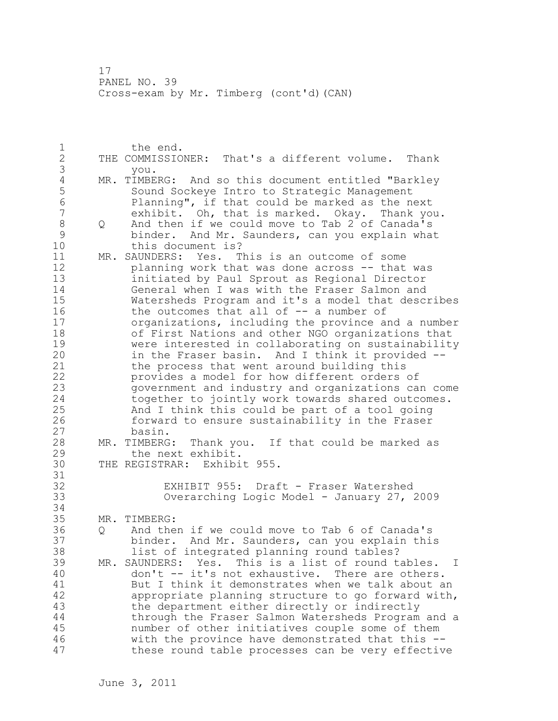1 the end. 2 THE COMMISSIONER: That's a different volume. Thank 3 you.<br>4 MR. TIMBE 4 MR. TIMBERG: And so this document entitled "Barkley<br>5 Sound Sockeye Intro to Strategic Management 5 Sound Sockeye Intro to Strategic Management<br>6 Ranning", if that could be marked as the n 6 Planning", if that could be marked as the next exhibit. Oh, that is marked. Okay. Thank you. 8 Q And then if we could move to Tab 2 of Canada's 9 binder. And Mr. Saunders, can you explain what<br>10 this document is? this document is? 11 MR. SAUNDERS: Yes. This is an outcome of some 12 planning work that was done across -- that was 13 initiated by Paul Sprout as Regional Director 14 General when I was with the Fraser Salmon and 15 Watersheds Program and it's a model that describes 16 the outcomes that all of -- a number of 17 organizations, including the province and a number 18 of First Nations and other NGO organizations that 19 were interested in collaborating on sustainability<br>20 in the Fraser basin. And I think it provided -in the Fraser basin. And I think it provided --21 the process that went around building this 22 provides a model for how different orders of 23 government and industry and organizations can come 24 together to jointly work towards shared outcomes. 25 And I think this could be part of a tool going 26 forward to ensure sustainability in the Fraser<br>27 basin. basin. 28 MR. TIMBERG: Thank you. If that could be marked as 29 the next exhibit. 30 THE REGISTRAR: Exhibit 955. 31<br>32 EXHIBIT 955: Draft - Fraser Watershed 33 Overarching Logic Model - January 27, 2009 34 35 MR. TIMBERG: 36 Q And then if we could move to Tab 6 of Canada's 37 binder. And Mr. Saunders, can you explain this 38 list of integrated planning round tables? 39 MR. SAUNDERS: Yes. This is a list of round tables. I 40 don't -- it's not exhaustive. There are others. 41 But I think it demonstrates when we talk about an<br>42 appropriate planning structure to go forward with appropriate planning structure to go forward with, 43 the department either directly or indirectly 44 through the Fraser Salmon Watersheds Program and a 45 number of other initiatives couple some of them 46 with the province have demonstrated that this -- 47 these round table processes can be very effective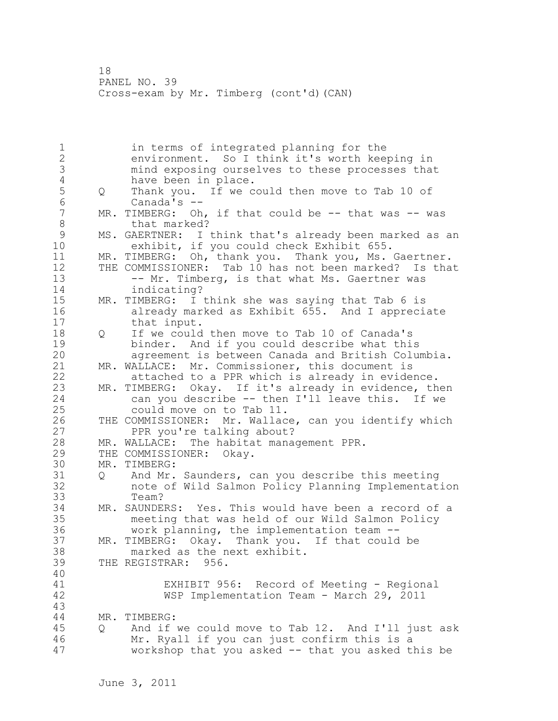1 in terms of integrated planning for the 2 environment. So I think it's worth keeping in 3 mind exposing ourselves to these processes that<br>4 have been in place. 4 have been in place.<br>5 0 Thank you. If we c 5 Q Thank you. If we could then move to Tab 10 of 6 Canada's --<br>7 MR. TIMBERG: Oh MR. TIMBERG: Oh, if that could be  $-$ - that was  $-$ - was 8 that marked? 9 MS. GAERTNER: I think that's already been marked as an<br>10 exhibit, if you could check Exhibit 655. exhibit, if you could check Exhibit 655. 11 MR. TIMBERG: Oh, thank you. Thank you, Ms. Gaertner. 12 THE COMMISSIONER: Tab 10 has not been marked? Is that 13 -- Mr. Timberg, is that what Ms. Gaertner was 14 indicating? 15 MR. TIMBERG: I think she was saying that Tab 6 is 16 already marked as Exhibit 655. And I appreciate 17 that input. 18 O If we could then move to Tab 10 of Canada's 19 binder. And if you could describe what this<br>20 agreement is between Canada and British Colum agreement is between Canada and British Columbia. 21 MR. WALLACE: Mr. Commissioner, this document is 22 attached to a PPR which is already in evidence. 23 MR. TIMBERG: Okay. If it's already in evidence, then<br>24 can you describe -- then I'll leave this. If we can you describe  $-$ - then I'll leave this. If we 25 could move on to Tab 11. 26 THE COMMISSIONER: Mr. Wallace, can you identify which<br>27 PPR you're talking about? PPR you're talking about? 28 MR. WALLACE: The habitat management PPR. 29 THE COMMISSIONER: Okay. 30 MR. TIMBERG:<br>31 0 And Mr. 31 Q And Mr. Saunders, can you describe this meeting note of Wild Salmon Policy Planning Implementation 33 Team? 34 MR. SAUNDERS: Yes. This would have been a record of a 35 meeting that was held of our Wild Salmon Policy 36 work planning, the implementation team -- 37 MR. TIMBERG: Okay. Thank you. If that could be 38 marked as the next exhibit. 39 THE REGISTRAR: 956. 40 41 EXHIBIT 956: Record of Meeting - Regional WSP Implementation Team - March 29, 2011 43 44 MR. TIMBERG: 45 Q And if we could move to Tab 12. And I'll just ask 46 Mr. Ryall if you can just confirm this is a 47 workshop that you asked -- that you asked this be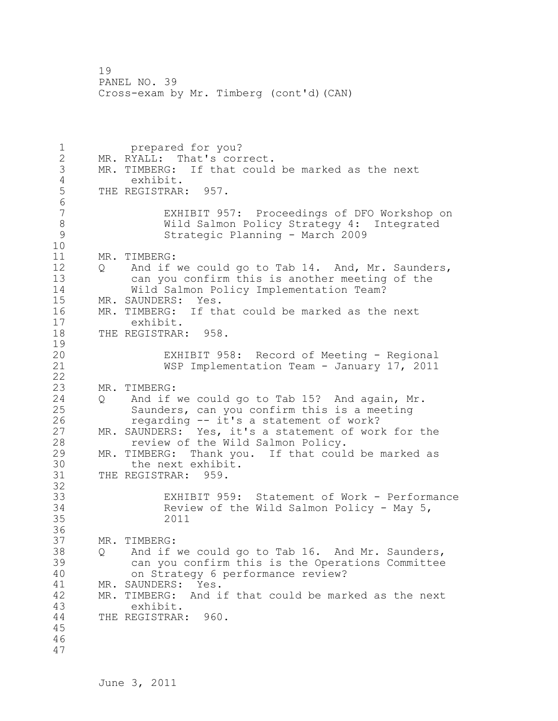1 prepared for you? 2 MR. RYALL: That's correct. 3 MR. TIMBERG: If that could be marked as the next 4 exhibit.<br>5 THE REGISTRAR THE REGISTRAR: 957. 6<br>7 EXHIBIT 957: Proceedings of DFO Workshop on 8 Wild Salmon Policy Strategy 4: Integrated 9 Strategic Planning - March 2009 10 11 MR. TIMBERG: 12 Q And if we could go to Tab 14. And, Mr. Saunders, 13 can you confirm this is another meeting of the 14 Wild Salmon Policy Implementation Team? 15 MR. SAUNDERS: Yes. 16 MR. TIMBERG: If that could be marked as the next 17 exhibit. 18 THE REGISTRAR: 958.  $\frac{19}{20}$ EXHIBIT 958: Record of Meeting - Regional 21 WSP Implementation Team - January 17, 2011 22 23 MR. TIMBERG: 24 Q And if we could go to Tab 15? And again, Mr. 25 Saunders, can you confirm this is a meeting 26 regarding -- it's a statement of work?<br>27 MR. SAUNDERS: Yes, it's a statement of wor MR. SAUNDERS: Yes, it's a statement of work for the 28 review of the Wild Salmon Policy. 29 MR. TIMBERG: Thank you. If that could be marked as 30 the next exhibit.<br>31 THE REGISTRAR: 959. THE REGISTRAR: 959. 32 33 EXHIBIT 959: Statement of Work - Performance 34 Review of the Wild Salmon Policy - May 5, 35 2011 36 37 MR. TIMBERG: 38 Q And if we could go to Tab 16. And Mr. Saunders, 39 can you confirm this is the Operations Committee 40 on Strategy 6 performance review? 41 MR. SAUNDERS: Yes.<br>42 MR. TIMBERG: And i MR. TIMBERG: And if that could be marked as the next 43 exhibit. 44 THE REGISTRAR: 960. 45 46 47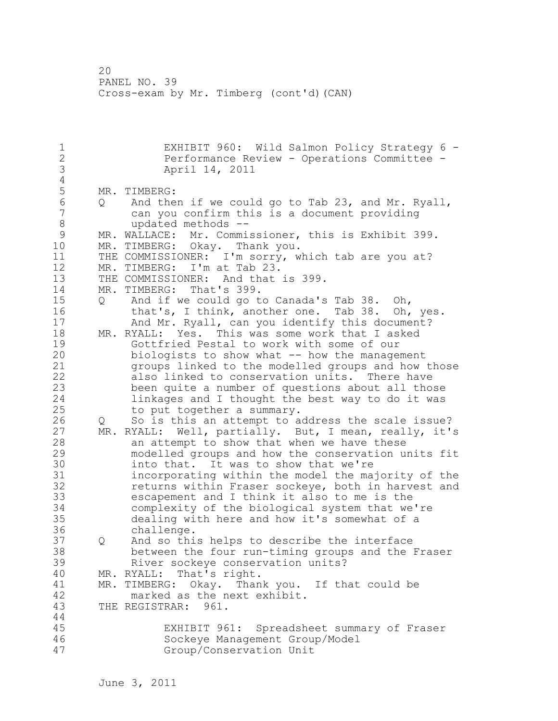1 EXHIBIT 960: Wild Salmon Policy Strategy 6 - 2 Performance Review - Operations Committee - 3 April 14, 2011  $\frac{4}{5}$ 5 MR. TIMBERG:<br>6 0 And the 6 Q And then if we could go to Tab 23, and Mr. Ryall, can you confirm this is a document providing 8 updated methods --<br>9 MR. WALLACE: Mr. Commi 9 MR. WALLACE: Mr. Commissioner, this is Exhibit 399.<br>10 MR. TIMBERG: Okav. Thank you. MR. TIMBERG: Okay. Thank you. 11 THE COMMISSIONER: I'm sorry, which tab are you at? 12 MR. TIMBERG: I'm at Tab 23. 13 THE COMMISSIONER: And that is 399. 14 MR. TIMBERG: That's 399. 15 Q And if we could go to Canada's Tab 38. Oh, 16 that's, I think, another one. Tab 38. Oh, yes. 17 And Mr. Ryall, can you identify this document? 18 MR. RYALL: Yes. This was some work that I asked 19 Gottfried Pestal to work with some of our<br>20 biologists to show what -- how the manage biologists to show what  $--$  how the management 21 groups linked to the modelled groups and how those 22 also linked to conservation units. There have 23 been quite a number of questions about all those 24 linkages and I thought the best way to do it was 25 to put together a summary. 26 Q So is this an attempt to address the scale issue?<br>27 MR. RYALL: Well, partially. But, I mean, really, it' MR. RYALL: Well, partially. But, I mean, really, it's 28 an attempt to show that when we have these 29 modelled groups and how the conservation units fit 30 into that. It was to show that we're<br>31 incorporating within the model the ma incorporating within the model the majority of the 32 returns within Fraser sockeye, both in harvest and 33 escapement and I think it also to me is the 34 complexity of the biological system that we're 35 dealing with here and how it's somewhat of a 36 challenge. 37 Q And so this helps to describe the interface 38 between the four run-timing groups and the Fraser 39 River sockeye conservation units? 40 MR. RYALL: That's right. 41 MR. TIMBERG: Okay. Thank you. If that could be 42 marked as the next exhibit. 43 THE REGISTRAR: 961. 44 45 EXHIBIT 961: Spreadsheet summary of Fraser 46 Sockeye Management Group/Model 47 Group/Conservation Unit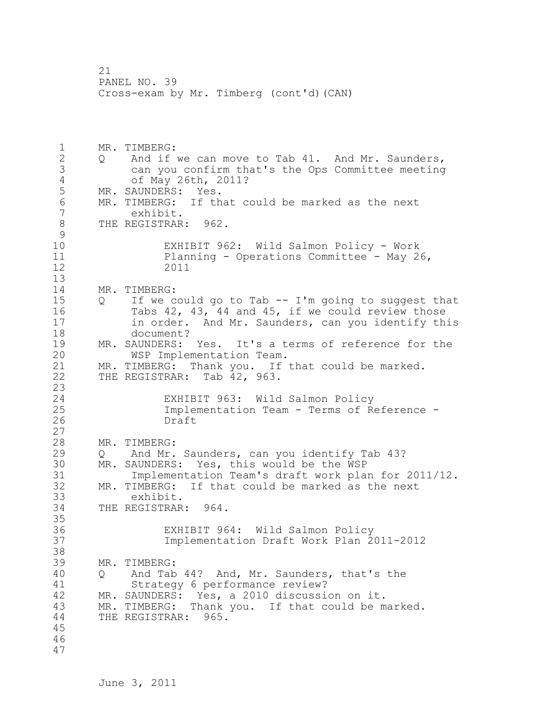1 MR. TIMBERG: 2 Q And if we can move to Tab 41. And Mr. Saunders, 3 can you confirm that's the Ops Committee meeting 4 of May 26th, 2011?<br>5 MR. SAUNDERS: Yes. MR. SAUNDERS: Yes. 6 MR. TIMBERG: If that could be marked as the next<br>7 exhibit. exhibit. 8 THE REGISTRAR: 962.  $\begin{smallmatrix} 9 \\ 10 \end{smallmatrix}$ EXHIBIT 962: Wild Salmon Policy - Work 11 Planning - Operations Committee - May 26, 12 2011 13 14 MR. TIMBERG: 15 Q If we could go to Tab -- I'm going to suggest that 16 Tabs 42, 43, 44 and 45, if we could review those 17 in order. And Mr. Saunders, can you identify this 18 document? 19 MR. SAUNDERS: Yes. It's a terms of reference for the<br>20 WSP Implementation Team. WSP Implementation Team. 21 MR. TIMBERG: Thank you. If that could be marked. 22 THE REGISTRAR: Tab 42, 963. 23 24 EXHIBIT 963: Wild Salmon Policy 25 Implementation Team - Terms of Reference - 26 Draft 27 28 MR. TIMBERG: 29 Q And Mr. Saunders, can you identify Tab 43? 30 MR. SAUNDERS: Yes, this would be the WSP<br>31 Implementation Team's draft work pla Implementation Team's draft work plan for 2011/12. 32 MR. TIMBERG: If that could be marked as the next 33 exhibit. 34 THE REGISTRAR: 964. 35 36 EXHIBIT 964: Wild Salmon Policy 37 Implementation Draft Work Plan 2011-2012 38 39 MR. TIMBERG: 40 Q And Tab 44? And, Mr. Saunders, that's the 41 Strategy 6 performance review?<br>42 MR. SAUNDERS: Yes, a 2010 discussie MR. SAUNDERS: Yes, a 2010 discussion on it. 43 MR. TIMBERG: Thank you. If that could be marked. 44 THE REGISTRAR: 965. 45 46 47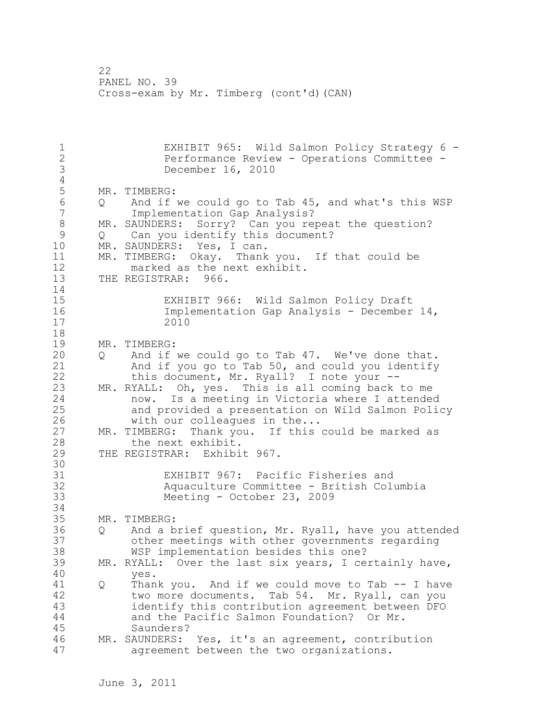1 EXHIBIT 965: Wild Salmon Policy Strategy 6 - 2 Performance Review - Operations Committee - 3 December 16, 2010  $\frac{4}{5}$ 5 MR. TIMBERG:<br>6 0 And if 6 Q And if we could go to Tab 45, and what's this WSP Implementation Gap Analysis? 8 MR. SAUNDERS: Sorry? Can you repeat the question?<br>9 0 Can you identify this document? 9 Q Can you identify this document?<br>10 MR. SAUNDERS: Yes, I can. MR. SAUNDERS: Yes, I can. 11 MR. TIMBERG: Okay. Thank you. If that could be 12 marked as the next exhibit. 13 THE REGISTRAR: 966. 14 15 EXHIBIT 966: Wild Salmon Policy Draft 16 Implementation Gap Analysis - December 14, 17 2010 18 19 MR. TIMBERG:<br>20 0 And if 20 Q And if we could go to Tab 47. We've done that. 21 And if you go to Tab 50, and could you identify 22 this document, Mr. Ryall? I note your -- 23 MR. RYALL: Oh, yes. This is all coming back to me 24 now. Is a meeting in Victoria where I attended 25 and provided a presentation on Wild Salmon Policy 26 with our colleagues in the...<br>27 MR. TIMBERG: Thank you. If this MR. TIMBERG: Thank you. If this could be marked as 28 the next exhibit. 29 THE REGISTRAR: Exhibit 967. 30<br>31 31 EXHIBIT 967: Pacific Fisheries and Aquaculture Committee - British Columbia 33 Meeting - October 23, 2009 34 35 MR. TIMBERG: 36 Q And a brief question, Mr. Ryall, have you attended 37 other meetings with other governments regarding 38 WSP implementation besides this one? 39 MR. RYALL: Over the last six years, I certainly have, 40 yes. 41 Q Thank you. And if we could move to Tab -- I have<br>42 two more documents. Tab 54. Mr. Rvall, can you two more documents. Tab 54. Mr. Ryall, can you 43 identify this contribution agreement between DFO 44 and the Pacific Salmon Foundation? Or Mr. 45 Saunders? 46 MR. SAUNDERS: Yes, it's an agreement, contribution 47 agreement between the two organizations.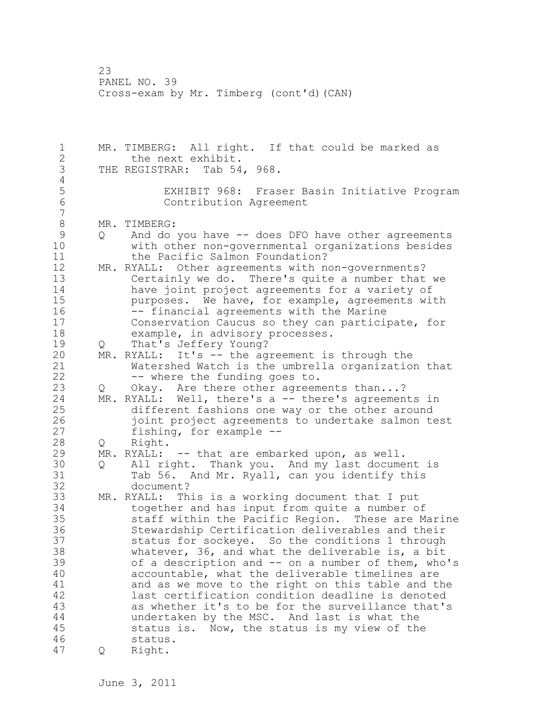1 MR. TIMBERG: All right. If that could be marked as 2 the next exhibit. 3 THE REGISTRAR: Tab 54, 968.  $\frac{4}{5}$ 5 EXHIBIT 968: Fraser Basin Initiative Program Contribution Agreement 7 8 MR. TIMBERG:<br>9 0 And do 9 Q And do you have -- does DFO have other agreements<br>10 with other non-governmental organizations besides with other non-governmental organizations besides 11 the Pacific Salmon Foundation? 12 MR. RYALL: Other agreements with non-governments? 13 Certainly we do. There's quite a number that we 14 have joint project agreements for a variety of 15 purposes. We have, for example, agreements with 16 -- financial agreements with the Marine 17 Conservation Caucus so they can participate, for 18 example, in advisory processes. 19 Q That's Jeffery Young?<br>20 MR. RYALL: It's -- the ag MR. RYALL: It's -- the agreement is through the 21 Watershed Watch is the umbrella organization that 22 -- where the funding goes to. 23 Q Okay. Are there other agreements than...? 24 MR. RYALL: Well, there's a -- there's agreements in 25 different fashions one way or the other around 26 joint project agreements to undertake salmon test<br>27 fishing, for example -fishing, for example  $-$ -28 Q Right. 29 MR. RYALL: -- that are embarked upon, as well. 30 Q All right. Thank you. And my last document is<br>31 Tab 56. And Mr. Rvall, can vou identify this 31 Tab 56. And Mr. Ryall, can you identify this<br>32 document? document? 33 MR. RYALL: This is a working document that I put 34 together and has input from quite a number of 35 staff within the Pacific Region. These are Marine 36 Stewardship Certification deliverables and their 37 status for sockeye. So the conditions 1 through 38 whatever, 36, and what the deliverable is, a bit 39 of a description and -- on a number of them, who's 40 accountable, what the deliverable timelines are 41 and as we move to the right on this table and the<br>42 last certification condition deadline is denoted last certification condition deadline is denoted 43 as whether it's to be for the surveillance that's 44 undertaken by the MSC. And last is what the 45 status is. Now, the status is my view of the 46 status. 47 Q Right.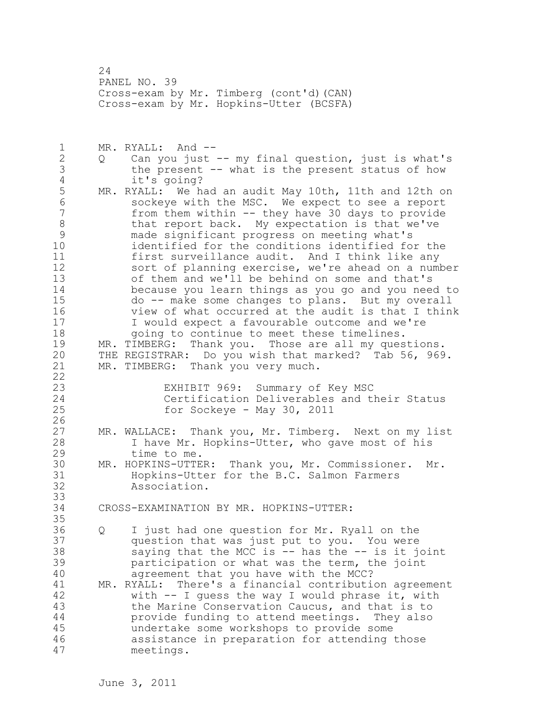24 PANEL NO. 39 Cross-exam by Mr. Timberg (cont'd)(CAN) Cross-exam by Mr. Hopkins-Utter (BCSFA)

1 MR. RYALL: And -- 2 Q Can you just -- my final question, just is what's 3 the present -- what is the present status of how<br>4 it's going? 4 it's going?<br>5 MR. RYALL: We h MR. RYALL: We had an audit May 10th, 11th and 12th on 6 sockeye with the MSC. We expect to see a report from them within  $-$  they have 30 days to provide 8 that report back. My expectation is that we've 9 made significant progress on meeting what's identified for the conditions identified for the 11 first surveillance audit. And I think like any 12 sort of planning exercise, we're ahead on a number 13 of them and we'll be behind on some and that's 14 because you learn things as you go and you need to 15 do -- make some changes to plans. But my overall 16 view of what occurred at the audit is that I think 17 I would expect a favourable outcome and we're 18 going to continue to meet these timelines. 19 MR. TIMBERG: Thank you. Those are all my questions.<br>20 THE REGISTRAR: Do you wish that marked? Tab 56, 969 THE REGISTRAR: Do you wish that marked? Tab 56, 969. 21 MR. TIMBERG: Thank you very much. 22

23 EXHIBIT 969: Summary of Key MSC<br>24 Certification Deliverables and t Certification Deliverables and their Status 25 for Sockeye - May 30, 2011

- MR. WALLACE: Thank you, Mr. Timberg. Next on my list 28 I have Mr. Hopkins-Utter, who gave most of his 29 time to me.
- 30 MR. HOPKINS-UTTER: Thank you, Mr. Commissioner. Mr. 31 Hopkins-Utter for the B.C. Salmon Farmers<br>32 Association. Association.
- 34 CROSS-EXAMINATION BY MR. HOPKINS-UTTER:
- 36 Q I just had one question for Mr. Ryall on the 37 question that was just put to you. You were 38 saying that the MCC is -- has the -- is it joint 39 participation or what was the term, the joint 40 agreement that you have with the MCC?

41 MR. RYALL: There's a financial contribution agreement<br>42 with -- I quess the way I would phrase it, with with  $-$  I guess the way I would phrase it, with 43 the Marine Conservation Caucus, and that is to 44 provide funding to attend meetings. They also 45 undertake some workshops to provide some 46 assistance in preparation for attending those 47 meetings.

 $\frac{26}{27}$ 

33

35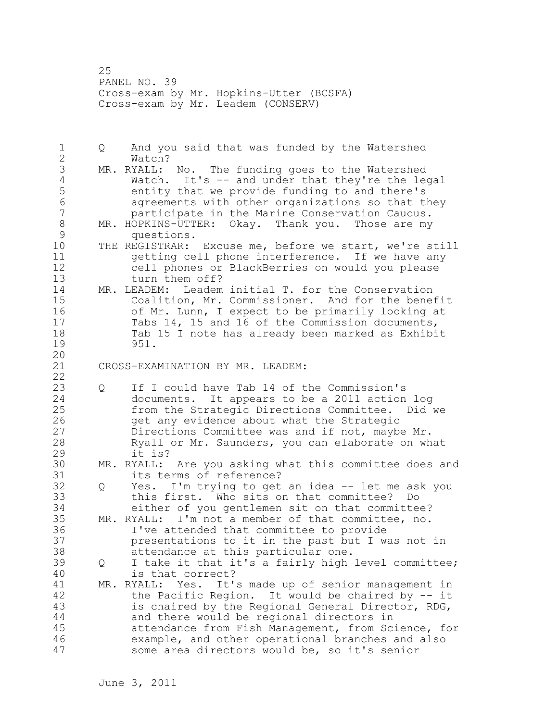25 PANEL NO. 39 Cross-exam by Mr. Hopkins-Utter (BCSFA) Cross-exam by Mr. Leadem (CONSERV)

1 Q And you said that was funded by the Watershed 2 Watch? 3 MR. RYALL: No. The funding goes to the Watershed<br>4 Watch. It's -- and under that they're the lee 4 Watch. It's -- and under that they're the legal<br>5 entity that we provide funding to and there's 5 entity that we provide funding to and there's 6 agreements with other organizations so that they participate in the Marine Conservation Caucus. 8 MR. HOPKINS-UTTER: Okay. Thank you. Those are my<br>9 duestions. 9 questions.<br>10 THE REGISTRAR: THE REGISTRAR: Excuse me, before we start, we're still 11 getting cell phone interference. If we have any 12 cell phones or BlackBerries on would you please 13 turn them off? 14 MR. LEADEM: Leadem initial T. for the Conservation 15 Coalition, Mr. Commissioner. And for the benefit 16 of Mr. Lunn, I expect to be primarily looking at 17 Tabs 14, 15 and 16 of the Commission documents, 18 Tab 15 I note has already been marked as Exhibit 19 951. 20 21 CROSS-EXAMINATION BY MR. LEADEM: 22 23 Q If I could have Tab 14 of the Commission's 24 documents. It appears to be a 2011 action log 25 from the Strategic Directions Committee. Did we 26 9et any evidence about what the Strategic<br>27 Directions Committee was and if not, maybe Directions Committee was and if not, maybe Mr. 28 Ryall or Mr. Saunders, you can elaborate on what 29 it is? 30 MR. RYALL: Are you asking what this committee does and its terms of reference? 32 Q Yes. I'm trying to get an idea -- let me ask you 33 this first. Who sits on that committee? Do 34 either of you gentlemen sit on that committee? 35 MR. RYALL: I'm not a member of that committee, no. 36 I've attended that committee to provide 37 presentations to it in the past but I was not in 38 attendance at this particular one. 39 Q I take it that it's a fairly high level committee; 40 is that correct? 41 MR. RYALL: Yes. It's made up of senior management in<br>42 the Pacific Region. It would be chaired by -- it the Pacific Region. It would be chaired by  $-$  it 43 is chaired by the Regional General Director, RDG, 44 and there would be regional directors in 45 attendance from Fish Management, from Science, for 46 example, and other operational branches and also 47 some area directors would be, so it's senior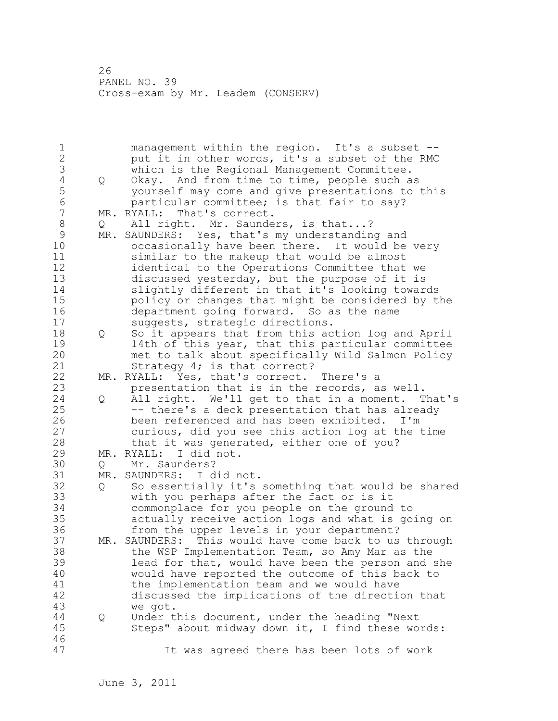26 PANEL NO. 39 Cross-exam by Mr. Leadem (CONSERV)

1 management within the region. It's a subset -- 2 put it in other words, it's a subset of the RMC 3 which is the Regional Management Committee.<br>4 0 Okay. And from time to time, people such a 4 Q Okay. And from time to time, people such as<br>5 vourself may come and give presentations to 5 yourself may come and give presentations to this<br>6 barticular committee: is that fair to sav? 6 particular committee; is that fair to say?<br>7 MR. RYALL: That's correct. MR. RYALL: That's correct. 8 Q All right. Mr. Saunders, is that...?<br>9 MR. SAUNDERS: Yes, that's my understandin 9 MR. SAUNDERS: Yes, that's my understanding and<br>10 occasionally have been there. It would be occasionally have been there. It would be very 11 similar to the makeup that would be almost 12 identical to the Operations Committee that we 13 discussed yesterday, but the purpose of it is 14 slightly different in that it's looking towards 15 policy or changes that might be considered by the 16 department going forward. So as the name 17 suggests, strategic directions. 18 Q So it appears that from this action log and April 19 14th of this year, that this particular committee<br>20 met to talk about specifically Wild Salmon Policy met to talk about specifically Wild Salmon Policy 21 Strategy 4; is that correct? 22 MR. RYALL: Yes, that's correct. There's a 23 presentation that is in the records, as well. 24 Q All right. We'll get to that in a moment. That's 25 -- there's a deck presentation that has already 26 been referenced and has been exhibited. I'm<br>27 curious, did you see this action log at the curious, did you see this action log at the time 28 that it was generated, either one of you? 29 MR. RYALL: I did not. 30 Q Mr. Saunders?<br>31 MR. SAUNDERS: I d MR. SAUNDERS: I did not. 32 Q So essentially it's something that would be shared 33 with you perhaps after the fact or is it 34 commonplace for you people on the ground to 35 actually receive action logs and what is going on 36 from the upper levels in your department? 37 MR. SAUNDERS: This would have come back to us through 38 the WSP Implementation Team, so Amy Mar as the 39 lead for that, would have been the person and she 40 would have reported the outcome of this back to 41 the implementation team and we would have<br>42 discussed the implications of the directi discussed the implications of the direction that 43 we got. 44 Q Under this document, under the heading "Next 45 Steps" about midway down it, I find these words: 46 47 It was agreed there has been lots of work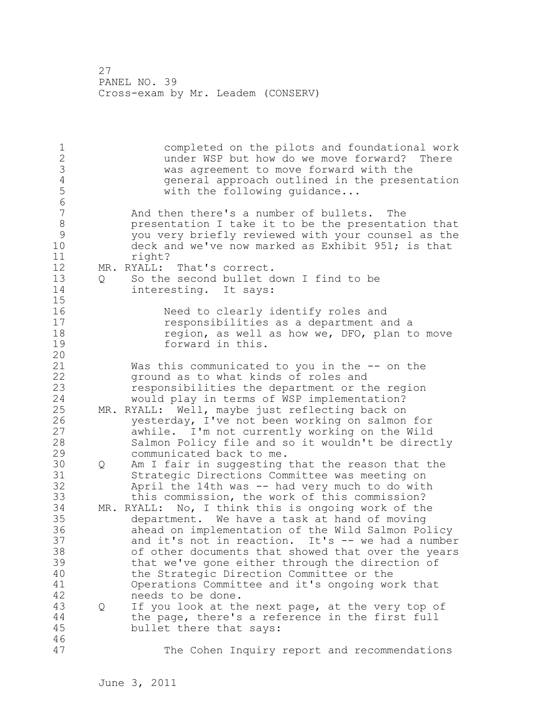27 PANEL NO. 39 Cross-exam by Mr. Leadem (CONSERV)

1 completed on the pilots and foundational work 2 under WSP but how do we move forward? There 3 was agreement to move forward with the<br>4 general approach outlined in the preser 4 general approach outlined in the presentation<br>5 with the following quidance... with the following quidance... 6 And then there's a number of bullets. The 8 presentation I take it to be the presentation that 9 you very briefly reviewed with your counsel as the<br>10 deck and we've now marked as Exhibit 951; is that deck and we've now marked as Exhibit 951; is that 11 right? 12 MR. RYALL: That's correct. 13 Q So the second bullet down I find to be 14 interesting. It says: 15 16 Need to clearly identify roles and 17 responsibilities as a department and a 18 region, as well as how we, DFO, plan to move 19 forward in this. 20 21 Was this communicated to you in the -- on the 22 ground as to what kinds of roles and 23 responsibilities the department or the region 24 would play in terms of WSP implementation? 25 MR. RYALL: Well, maybe just reflecting back on 26 yesterday, I've not been working on salmon for<br>27 awhile. I'm not currently working on the Wild awhile. I'm not currently working on the Wild 28 Salmon Policy file and so it wouldn't be directly 29 communicated back to me. 30 Q Am I fair in suggesting that the reason that the 31 Strategic Directions Committee was meeting on April the 14th was  $-$  had very much to do with 33 this commission, the work of this commission? 34 MR. RYALL: No, I think this is ongoing work of the 35 department. We have a task at hand of moving 36 ahead on implementation of the Wild Salmon Policy 37 and it's not in reaction. It's -- we had a number 38 of other documents that showed that over the years 39 that we've gone either through the direction of 40 the Strategic Direction Committee or the 41 Operations Committee and it's ongoing work that 42 needs to be done. 43 Q If you look at the next page, at the very top of 44 the page, there's a reference in the first full 45 bullet there that says: 46 47 The Cohen Inquiry report and recommendations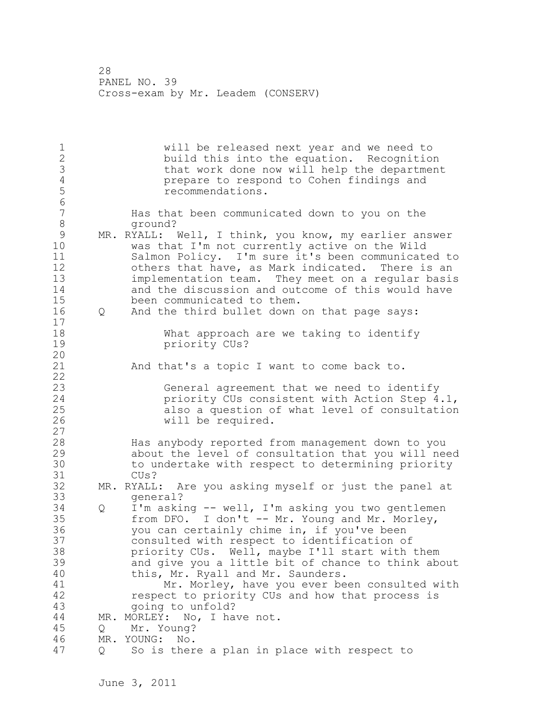1 will be released next year and we need to 2 build this into the equation. Recognition 3 that work done now will help the department<br>4 prepare to respond to Cohen findings and 4 **prepare to respond to Cohen findings and**<br>5 **prepare in term**endations. 5 recommendations. 6 Has that been communicated down to you on the 8 ground? 9 MR. RYALL: Well, I think, you know, my earlier answer<br>10 was that I'm not currently active on the Wild was that I'm not currently active on the Wild 11 Salmon Policy. I'm sure it's been communicated to 12 others that have, as Mark indicated. There is an 13 implementation team. They meet on a regular basis 14 and the discussion and outcome of this would have 15 been communicated to them. 16 Q And the third bullet down on that page says: 17 18 What approach are we taking to identify 19 priority CUs? 20 21 And that's a topic I want to come back to. 22 23 General agreement that we need to identify 24 priority CUs consistent with Action Step 4.1, 25 also a question of what level of consultation 26 will be required. 27 28 Has anybody reported from management down to you 29 about the level of consultation that you will need 30 to undertake with respect to determining priority CU<sub>s</sub>? 32 MR. RYALL: Are you asking myself or just the panel at 33 general? 34 Q I'm asking -- well, I'm asking you two gentlemen 35 from DFO. I don't -- Mr. Young and Mr. Morley, 36 you can certainly chime in, if you've been 37 consulted with respect to identification of 38 priority CUs. Well, maybe I'll start with them 39 and give you a little bit of chance to think about 40 this, Mr. Ryall and Mr. Saunders. 41 Mr. Morley, have you ever been consulted with<br>42 mespect to priority CUs and how that process is respect to priority CUs and how that process is 43 going to unfold? 44 MR. MORLEY: No, I have not. 45 Q Mr. Young? 46 MR. YOUNG: No. 47 Q So is there a plan in place with respect to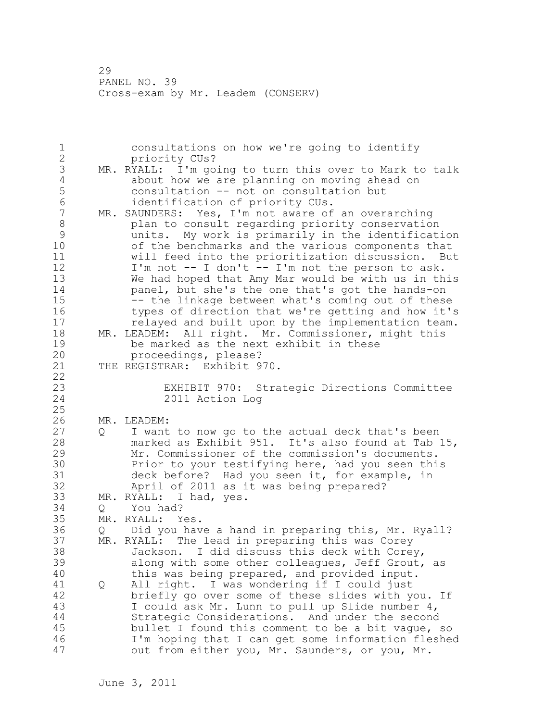29 PANEL NO. 39 Cross-exam by Mr. Leadem (CONSERV)

1 consultations on how we're going to identify 2 priority CUs? 3 MR. RYALL: I'm going to turn this over to Mark to talk<br>4 about how we are planning on moving ahead on 4 about how we are planning on moving ahead on<br>5 consultation -- not on consultation but 5 consultation -- not on consultation but 6 identification of priority CUs.<br>7 MR. SAUNDERS: Yes, I'm not aware of MR. SAUNDERS: Yes, I'm not aware of an overarching 8 plan to consult regarding priority conservation<br>9 munits. My work is primarily in the identificat: 9 units. My work is primarily in the identification of the benchmarks and the various components that 11 will feed into the prioritization discussion. But 12 I'm not -- I don't -- I'm not the person to ask. 13 We had hoped that Amy Mar would be with us in this 14 panel, but she's the one that's got the hands-on 15 -- the linkage between what's coming out of these 16 types of direction that we're getting and how it's 17 relayed and built upon by the implementation team. 18 MR. LEADEM: All right. Mr. Commissioner, might this 19 be marked as the next exhibit in these<br>20 proceedings, please? proceedings, please? 21 THE REGISTRAR: Exhibit 970. 22 23 EXHIBIT 970: Strategic Directions Committee 2011 Action Log 25 26 MR. LEADEM:<br>27 Q I want 27 Q I want to now go to the actual deck that's been 28 marked as Exhibit 951. It's also found at Tab 15, 29 Mr. Commissioner of the commission's documents. 30 Prior to your testifying here, had you seen this<br>31 deck before? Had you seen it, for example, in 31 deck before? Had you seen it, for example, in<br>32 April of 2011 as it was being prepared? April of 2011 as it was being prepared? 33 MR. RYALL: I had, yes. 34 Q You had? 35 MR. RYALL: Yes. 36 Q Did you have a hand in preparing this, Mr. Ryall? 37 MR. RYALL: The lead in preparing this was Corey 38 Jackson. I did discuss this deck with Corey, 39 along with some other colleagues, Jeff Grout, as 40 this was being prepared, and provided input. 41 Q All right. I was wondering if I could just<br>42 briefly go over some of these slides with y briefly go over some of these slides with you. If 43 I could ask Mr. Lunn to pull up Slide number 4, 44 Strategic Considerations. And under the second 45 bullet I found this comment to be a bit vague, so 46 I'm hoping that I can get some information fleshed 47 out from either you, Mr. Saunders, or you, Mr.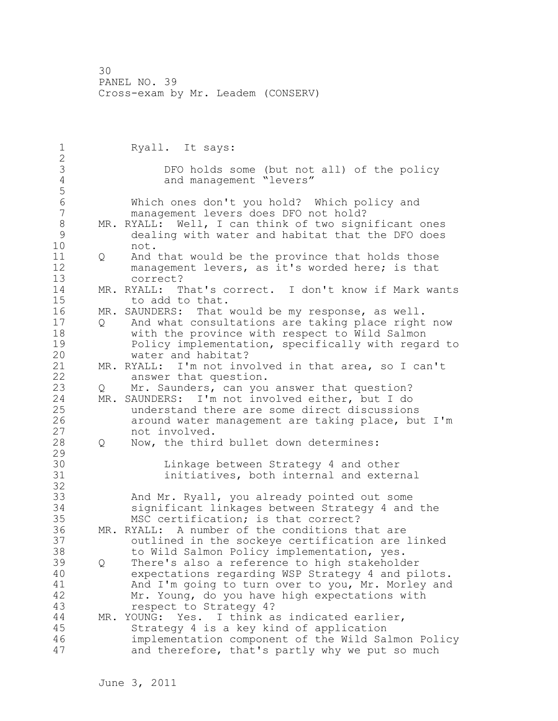1 Ryall. It says: 2 3 DFO holds some (but not all) of the policy<br>4 and management "levers" and management "levers" 5 6 Which ones don't you hold? Which policy and management levers does DFO not hold? 8 MR. RYALL: Well, I can think of two significant ones<br>9 dealing with water and habitat that the DFO does 9 dealing with water and habitat that the DFO does not. 11 Q And that would be the province that holds those 12 management levers, as it's worded here; is that 13 correct? 14 MR. RYALL: That's correct. I don't know if Mark wants 15 to add to that. 16 MR. SAUNDERS: That would be my response, as well. 17 Q And what consultations are taking place right now 18 with the province with respect to Wild Salmon 19 Policy implementation, specifically with regard to<br>20 water and habitat? water and habitat? 21 MR. RYALL: I'm not involved in that area, so I can't 22 answer that question. 23 Q Mr. Saunders, can you answer that question?<br>24 MR. SAUNDERS: I'm not involved either, but I do MR. SAUNDERS: I'm not involved either, but I do 25 understand there are some direct discussions 26 around water management are taking place, but I'm<br>27 hot involved. not involved. 28 Q Now, the third bullet down determines: 29 30 Linkage between Strategy 4 and other<br>31 **Exercicle** initiatives, both internal and exter initiatives, both internal and external 32 33 And Mr. Ryall, you already pointed out some 34 significant linkages between Strategy 4 and the 35 MSC certification; is that correct? 36 MR. RYALL: A number of the conditions that are 37 outlined in the sockeye certification are linked 38 to Wild Salmon Policy implementation, yes. 39 Q There's also a reference to high stakeholder 40 expectations regarding WSP Strategy 4 and pilots. 41 And I'm going to turn over to you, Mr. Morley and<br>42 Mr. Young, do you have high expectations with Mr. Young, do you have high expectations with 43 respect to Strategy 4? 44 MR. YOUNG: Yes. I think as indicated earlier, 45 Strategy 4 is a key kind of application 46 implementation component of the Wild Salmon Policy 47 and therefore, that's partly why we put so much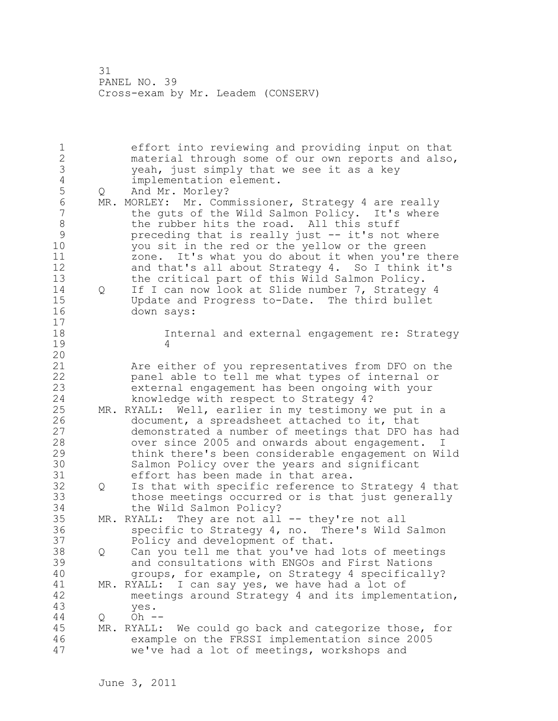1 effort into reviewing and providing input on that 2 material through some of our own reports and also, 3 yeah, just simply that we see it as a key 4 implementation element.<br>5 Q And Mr. Morley? 5 Q And Mr. Morley?<br>6 MR. MORLEY: Mr. Com 6 MR. MORLEY: Mr. Commissioner, Strategy 4 are really<br>7 the guts of the Wild Salmon Policy. It's where the guts of the Wild Salmon Policy. It's where 8 the rubber hits the road. All this stuff<br>9 preceding that is really just -- it's not 9 preceding that is really just -- it's not where<br>10 vou sit in the red or the vellow or the green you sit in the red or the yellow or the green 11 zone. It's what you do about it when you're there 12 and that's all about Strategy 4. So I think it's 13 the critical part of this Wild Salmon Policy. 14 Q If I can now look at Slide number 7, Strategy 4 15 Update and Progress to-Date. The third bullet 16 down says: 17 18 Internal and external engagement re: Strategy 19 4 20 21 Are either of you representatives from DFO on the 22 panel able to tell me what types of internal or 23 external engagement has been ongoing with your 24 knowledge with respect to Strategy 4? 25 MR. RYALL: Well, earlier in my testimony we put in a 26 document, a spreadsheet attached to it, that<br>27 demonstrated a number of meetings that DFO h demonstrated a number of meetings that DFO has had 28 over since 2005 and onwards about engagement. I 29 think there's been considerable engagement on Wild 30 Salmon Policy over the years and significant<br>31 effort has been made in that area. 31 effort has been made in that area.<br>32 0 Is that with specific reference to Q Is that with specific reference to Strategy 4 that 33 those meetings occurred or is that just generally 34 the Wild Salmon Policy? 35 MR. RYALL: They are not all -- they're not all 36 specific to Strategy 4, no. There's Wild Salmon 37 Policy and development of that. 38 Q Can you tell me that you've had lots of meetings 39 and consultations with ENGOs and First Nations 40 groups, for example, on Strategy 4 specifically? 41 MR. RYALL: I can say yes, we have had a lot of<br>42 meetings around Strategy 4 and its impleme: 42 meetings around Strategy 4 and its implementation,<br>43 ves. yes. 44 Q Oh -- 45 MR. RYALL: We could go back and categorize those, for 46 example on the FRSSI implementation since 2005 47 we've had a lot of meetings, workshops and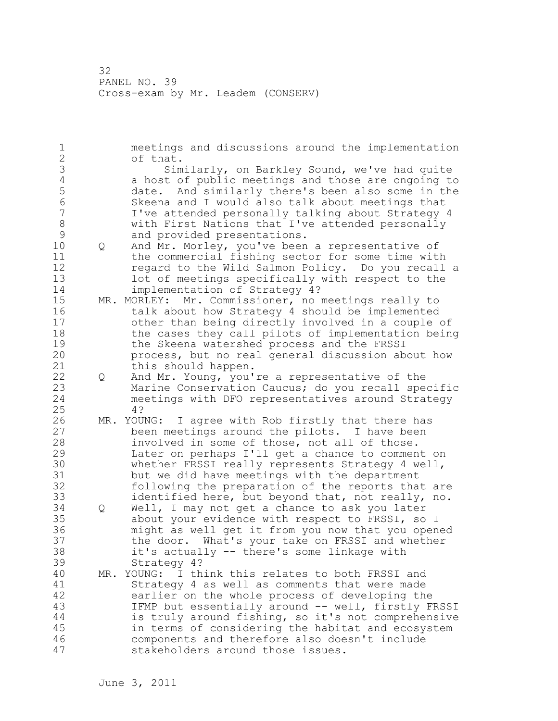1 meetings and discussions around the implementation 2 of that. 3 Similarly, on Barkley Sound, we've had quite<br>4 a host of public meetings and those are ongoing to 4 a host of public meetings and those are ongoing to<br>5 date. And similarly there's been also some in the 5 date. And similarly there's been also some in the 6 Skeena and I would also talk about meetings that I've attended personally talking about Strategy 4 8 with First Nations that I've attended personally 9 and provided presentations.<br>10 0 And Mr. Morlev, vou've been 10 Q And Mr. Morley, you've been a representative of 11 the commercial fishing sector for some time with 12 regard to the Wild Salmon Policy. Do you recall a 13 lot of meetings specifically with respect to the 14 implementation of Strategy 4? 15 MR. MORLEY: Mr. Commissioner, no meetings really to 16 talk about how Strategy 4 should be implemented 17 other than being directly involved in a couple of 18 the cases they call pilots of implementation being 19 the Skeena watershed process and the FRSSI<br>20 process, but no real general discussion ab process, but no real general discussion about how 21 this should happen. 22 Q And Mr. Young, you're a representative of the 23 Marine Conservation Caucus; do you recall specific 24 meetings with DFO representatives around Strategy 25 4? 26 MR. YOUNG: I agree with Rob firstly that there has<br>27 been meetings around the pilots. I have been been meetings around the pilots. I have been 28 involved in some of those, not all of those. 29 Later on perhaps I'll get a chance to comment on 30 whether FRSSI really represents Strategy 4 well,<br>31 but we did have meetings with the department but we did have meetings with the department 32 following the preparation of the reports that are 33 identified here, but beyond that, not really, no. 34 Q Well, I may not get a chance to ask you later 35 about your evidence with respect to FRSSI, so I 36 might as well get it from you now that you opened 37 the door. What's your take on FRSSI and whether 38 it's actually -- there's some linkage with 39 Strategy 4? 40 MR. YOUNG: I think this relates to both FRSSI and 41 Strategy 4 as well as comments that were made<br>42 earlier on the whole process of developing the earlier on the whole process of developing the 43 IFMP but essentially around -- well, firstly FRSSI 44 is truly around fishing, so it's not comprehensive 45 in terms of considering the habitat and ecosystem 46 components and therefore also doesn't include 47 stakeholders around those issues.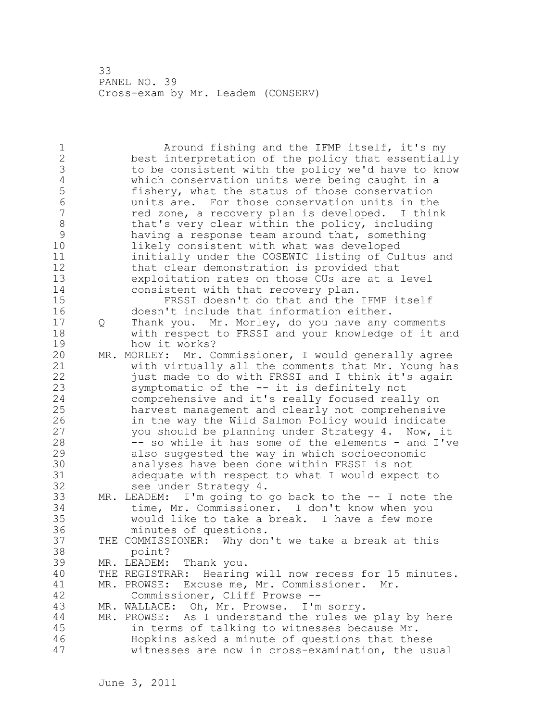1 Around fishing and the IFMP itself, it's my 2 best interpretation of the policy that essentially 3 to be consistent with the policy we'd have to know<br>4 which conservation units were being caught in a 4 which conservation units were being caught in a<br>5 fishery, what the status of those conservation 5 fishery, what the status of those conservation 6 units are. For those conservation units in the red zone, a recovery plan is developed. I think 8 that's very clear within the policy, including<br>9 having a response team around that, something 9 having a response team around that, something<br>10 11kely consistent with what was developed likely consistent with what was developed 11 initially under the COSEWIC listing of Cultus and 12 that clear demonstration is provided that 13 exploitation rates on those CUs are at a level 14 consistent with that recovery plan. 15 FRSSI doesn't do that and the IFMP itself 16 doesn't include that information either. 17 Q Thank you. Mr. Morley, do you have any comments 18 with respect to FRSSI and your knowledge of it and 19 how it works?<br>20 MR. MORLEY: Mr. C MR. MORLEY: Mr. Commissioner, I would generally agree 21 with virtually all the comments that Mr. Young has 22 just made to do with FRSSI and I think it's again 23 symptomatic of the -- it is definitely not 24 comprehensive and it's really focused really on 25 harvest management and clearly not comprehensive 26 in the way the Wild Salmon Policy would indicate<br>27 vou should be planning under Strategy 4. Now, i you should be planning under Strategy 4. Now, it 28 -- so while it has some of the elements - and I've 29 also suggested the way in which socioeconomic 30 analyses have been done within FRSSI is not 31 adequate with respect to what I would expect to 32 see under Strategy 4. 33 MR. LEADEM: I'm going to go back to the -- I note the 34 time, Mr. Commissioner. I don't know when you 35 would like to take a break. I have a few more minutes of questions. 37 THE COMMISSIONER: Why don't we take a break at this 38 point? 39 MR. LEADEM: Thank you. 40 THE REGISTRAR: Hearing will now recess for 15 minutes. 41 MR. PROWSE: Excuse me, Mr. Commissioner. Mr.<br>42 Commissioner, Cliff Prowse --Commissioner, Cliff Prowse --43 MR. WALLACE: Oh, Mr. Prowse. I'm sorry. 44 MR. PROWSE: As I understand the rules we play by here 45 in terms of talking to witnesses because Mr. 46 Hopkins asked a minute of questions that these 47 witnesses are now in cross-examination, the usual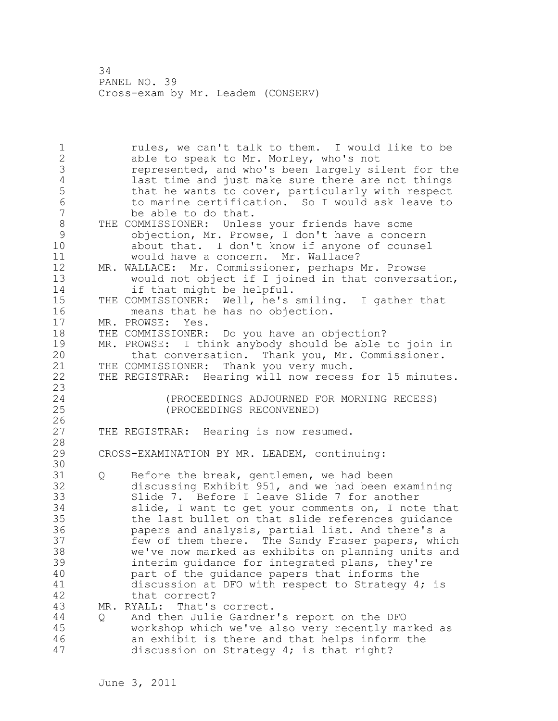1 rules, we can't talk to them. I would like to be 2 able to speak to Mr. Morley, who's not 3 represented, and who's been largely silent for the<br>4 last time and just make sure there are not things 4 last time and just make sure there are not things<br>5 that he wants to cover, particularly with respect 5 that he wants to cover, particularly with respect<br>6 to marine certification. So I would ask leave to 6 to marine certification. So I would ask leave to<br>7 be able to do that. be able to do that. 8 THE COMMISSIONER: Unless your friends have some<br>9 objection, Mr. Prowse, I don't have a conce 9 objection, Mr. Prowse, I don't have a concern about that. I don't know if anyone of counsel 11 would have a concern. Mr. Wallace? 12 MR. WALLACE: Mr. Commissioner, perhaps Mr. Prowse 13 would not object if I joined in that conversation, 14 if that might be helpful. 15 THE COMMISSIONER: Well, he's smiling. I gather that 16 means that he has no objection. 17 MR. PROWSE: Yes. 18 THE COMMISSIONER: Do you have an objection? 19 MR. PROWSE: I think anybody should be able to join in<br>20 that conversation. Thank you, Mr. Commissioner. that conversation. Thank you, Mr. Commissioner. 21 THE COMMISSIONER: Thank you very much. 22 THE REGISTRAR: Hearing will now recess for 15 minutes. 23 24 (PROCEEDINGS ADJOURNED FOR MORNING RECESS) 25 (PROCEEDINGS RECONVENED)  $\frac{26}{27}$ THE REGISTRAR: Hearing is now resumed. 28 29 CROSS-EXAMINATION BY MR. LEADEM, continuing: 30<br>31 Q Before the break, gentlemen, we had been 32 discussing Exhibit 951, and we had been examining 33 Slide 7. Before I leave Slide 7 for another 34 slide, I want to get your comments on, I note that 35 the last bullet on that slide references guidance 36 papers and analysis, partial list. And there's a 37 few of them there. The Sandy Fraser papers, which 38 we've now marked as exhibits on planning units and 39 interim guidance for integrated plans, they're 40 part of the guidance papers that informs the 41 discussion at DFO with respect to Strategy 4; is<br>42 that correct? that correct? 43 MR. RYALL: That's correct. 44 Q And then Julie Gardner's report on the DFO 45 workshop which we've also very recently marked as 46 an exhibit is there and that helps inform the 47 discussion on Strategy 4; is that right?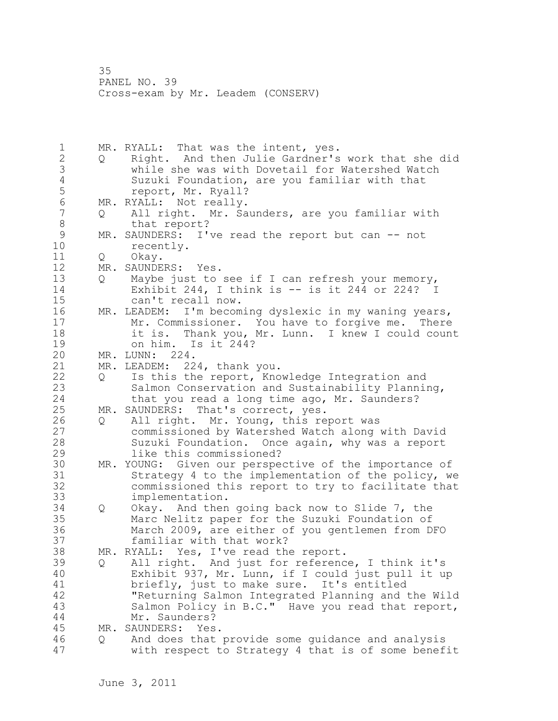1 MR. RYALL: That was the intent, yes. 2 Q Right. And then Julie Gardner's work that she did 3 while she was with Dovetail for Watershed Watch 4 Suzuki Foundation, are you familiar with that<br>5 Teport, Mr. Ryall? 5 report, Mr. Ryall?<br>6 MR. RYALL: Not really. 6 MR. RYALL: Not really.<br>7 0 All right. Mr. Sa 7 Q All right. Mr. Saunders, are you familiar with 8 that report?<br>9 MR. SAUNDERS: I' 9 MR. SAUNDERS: I've read the report but can -- not recently. 11 Q Okay. 12 MR. SAUNDERS: Yes. 13 Q Maybe just to see if I can refresh your memory, 14 Exhibit 244, I think is -- is it 244 or 224? I 15 can't recall now. 16 MR. LEADEM: I'm becoming dyslexic in my waning years, 17 Mr. Commissioner. You have to forgive me. There 18 it is. Thank you, Mr. Lunn. I knew I could count 19 on him. Is it 244?<br>20 MR. LUNN: 224. MR. LUNN: 224. 21 MR. LEADEM: 224, thank you. 22 Q Is this the report, Knowledge Integration and 23 Salmon Conservation and Sustainability Planning, 24 that you read a long time ago, Mr. Saunders? 25 MR. SAUNDERS: That's correct, yes. 26 Q All right. Mr. Young, this report was<br>27 commissioned by Watershed Watch along commissioned by Watershed Watch along with David 28 Suzuki Foundation. Once again, why was a report 29 like this commissioned? 30 MR. YOUNG: Given our perspective of the importance of<br>31 Strategy 4 to the implementation of the policy, we 31 Strategy 4 to the implementation of the policy, we<br>32 commissioned this report to try to facilitate that commissioned this report to try to facilitate that 33 implementation. 34 Q Okay. And then going back now to Slide 7, the 35 Marc Nelitz paper for the Suzuki Foundation of 36 March 2009, are either of you gentlemen from DFO 37 familiar with that work? 38 MR. RYALL: Yes, I've read the report. 39 Q All right. And just for reference, I think it's 40 Exhibit 937, Mr. Lunn, if I could just pull it up 41 briefly, just to make sure. It's entitled<br>42 TReturning Salmon Integrated Planning and t "Returning Salmon Integrated Planning and the Wild 43 Salmon Policy in B.C." Have you read that report, 44 Mr. Saunders? 45 MR. SAUNDERS: Yes. 46 Q And does that provide some guidance and analysis 47 with respect to Strategy 4 that is of some benefit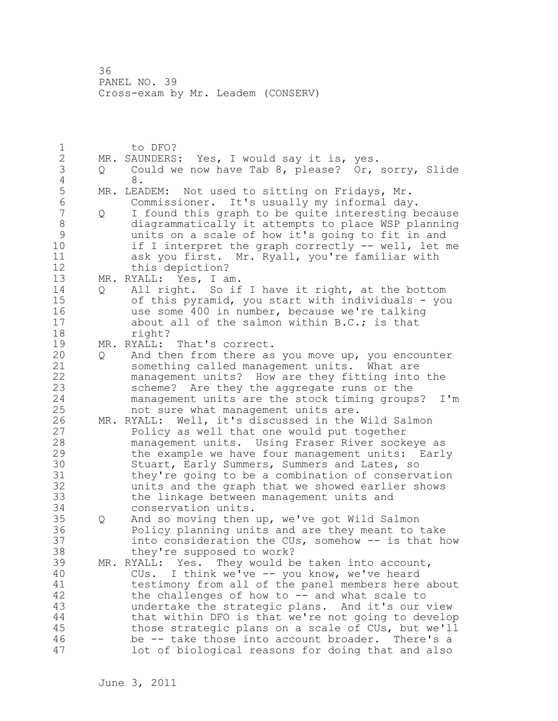1 to DFO? 2 MR. SAUNDERS: Yes, I would say it is, yes. 3 Q Could we now have Tab 8, please? Or, sorry, Slide 4 8. 5 MR. LEADEM: Not used to sitting on Fridays, Mr.<br>6 Commissioner. It's usually my informal dav 6 Commissioner. It's usually my informal day. 7 Q I found this graph to be quite interesting because 8 diagrammatically it attempts to place WSP planning 9 units on a scale of how it's going to fit in and<br>10 if I interpret the graph correctly -- well, let i if I interpret the graph correctly  $--$  well, let me 11 ask you first. Mr. Ryall, you're familiar with 12 this depiction? 13 MR. RYALL: Yes, I am. 14 Q All right. So if I have it right, at the bottom 15 of this pyramid, you start with individuals - you 16 use some 400 in number, because we're talking 17 about all of the salmon within B.C.; is that 18 right? 19 MR. RYALL: That's correct. 20 Q And then from there as you move up, you encounter 21 something called management units. What are 22 management units? How are they fitting into the 23 scheme? Are they the aggregate runs or the 24 management units are the stock timing groups? I'm 25 not sure what management units are. 26 MR. RYALL: Well, it's discussed in the Wild Salmon<br>27 Policy as well that one would put together Policy as well that one would put together 28 management units. Using Fraser River sockeye as 29 the example we have four management units: Early 30 Stuart, Early Summers, Summers and Lates, so<br>31 they're going to be a combination of conserve they're going to be a combination of conservation 32 units and the graph that we showed earlier shows 33 the linkage between management units and 34 conservation units. 35 Q And so moving then up, we've got Wild Salmon 36 Policy planning units and are they meant to take 37 into consideration the CUs, somehow -- is that how 38 they're supposed to work? 39 MR. RYALL: Yes. They would be taken into account, 40 CUs. I think we've -- you know, we've heard 41 testimony from all of the panel members here about<br>42 the challenges of how to -- and what scale to the challenges of how to  $--$  and what scale to 43 undertake the strategic plans. And it's our view 44 that within DFO is that we're not going to develop 45 those strategic plans on a scale of CUs, but we'll 46 be -- take those into account broader. There's a 47 lot of biological reasons for doing that and also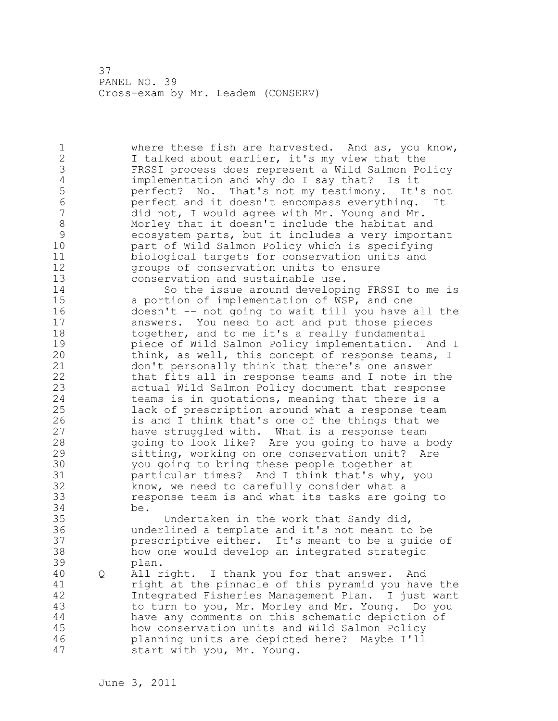1 where these fish are harvested. And as, you know, 2 I talked about earlier, it's my view that the 3 FRSSI process does represent a Wild Salmon Policy 4 implementation and why do I say that? Is it<br>5 perfect? No. That's not my testimony. It' 5 perfect? No. That's not my testimony. It's not 6 perfect and it doesn't encompass everything. It did not, I would agree with Mr. Young and Mr. 8 Morley that it doesn't include the habitat and<br>9 ecosystem parts, but it includes a very import 9 ecosystem parts, but it includes a very important part of Wild Salmon Policy which is specifying 11 biological targets for conservation units and 12 groups of conservation units to ensure 13 conservation and sustainable use. 14 So the issue around developing FRSSI to me is 15 a portion of implementation of WSP, and one 16 doesn't -- not going to wait till you have all the 17 answers. You need to act and put those pieces 18 together, and to me it's a really fundamental 19 **piece of Wild Salmon Policy implementation.** And I<br>20 **https://will.**this concept of response teams, I think, as well, this concept of response teams, I 21 don't personally think that there's one answer 22 that fits all in response teams and I note in the 23 actual Wild Salmon Policy document that response 24 teams is in quotations, meaning that there is a 25 lack of prescription around what a response team 26 is and I think that's one of the things that we<br>27 have struggled with. What is a response team have struggled with. What is a response team 28 going to look like? Are you going to have a body 29 sitting, working on one conservation unit? Are 30 you going to bring these people together at<br>31 barticular times? And I think that's why. particular times? And I think that's why, you 32 know, we need to carefully consider what a 33 response team is and what its tasks are going to 34 be. 35 Undertaken in the work that Sandy did, 36 underlined a template and it's not meant to be 37 prescriptive either. It's meant to be a guide of 38 how one would develop an integrated strategic 39 plan. 40 Q All right. I thank you for that answer. And 41 right at the pinnacle of this pyramid you have the 42 Integrated Fisheries Management Plan. I just want 43 to turn to you, Mr. Morley and Mr. Young. Do you 44 have any comments on this schematic depiction of 45 how conservation units and Wild Salmon Policy 46 planning units are depicted here? Maybe I'll 47 start with you, Mr. Young.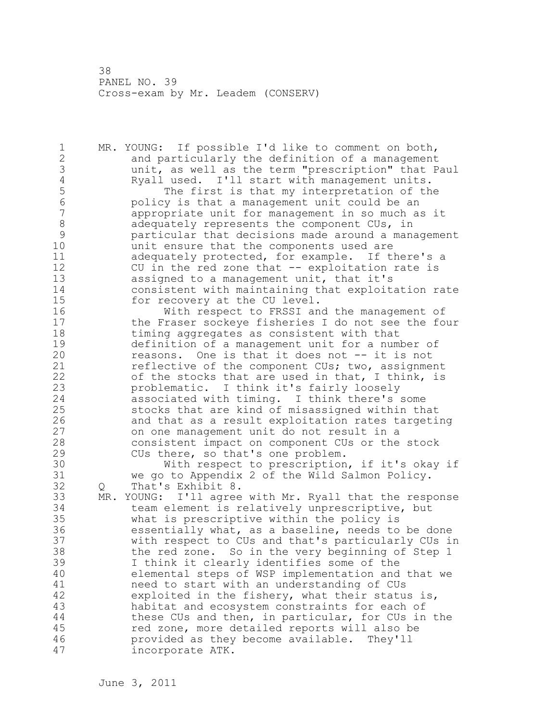1 MR. YOUNG: If possible I'd like to comment on both, 2 and particularly the definition of a management 3 unit, as well as the term "prescription" that Paul 4 Ryall used. I'll start with management units.<br>5 The first is that my interpretation of th 5 The first is that my interpretation of the 6 policy is that a management unit could be an appropriate unit for management in so much as it 8 adequately represents the component CUs, in<br>9 particular that decisions made around a mana 9 particular that decisions made around a management unit ensure that the components used are 11 adequately protected, for example. If there's a 12 CU in the red zone that -- exploitation rate is 13 assigned to a management unit, that it's 14 consistent with maintaining that exploitation rate 15 for recovery at the CU level. 16 With respect to FRSSI and the management of 17 the Fraser sockeye fisheries I do not see the four 18 timing aggregates as consistent with that 19 definition of a management unit for a number of<br>20 measons. One is that it does not -- it is not reasons. One is that it does not -- it is not 21 reflective of the component CUs; two, assignment 22 of the stocks that are used in that, I think, is 23 problematic. I think it's fairly loosely 24 associated with timing. I think there's some 25 stocks that are kind of misassigned within that 26 and that as a result exploitation rates targeting<br>27 on one management unit do not result in a on one management unit do not result in a 28 consistent impact on component CUs or the stock 29 CUs there, so that's one problem. 30 With respect to prescription, if it's okay if<br>31 We go to Appendix 2 of the Wild Salmon Policy. we go to Appendix 2 of the Wild Salmon Policy. 32 Q That's Exhibit 8. 33 MR. YOUNG: I'll agree with Mr. Ryall that the response 34 team element is relatively unprescriptive, but 35 what is prescriptive within the policy is 36 essentially what, as a baseline, needs to be done 37 with respect to CUs and that's particularly CUs in 38 the red zone. So in the very beginning of Step 1 39 I think it clearly identifies some of the 40 elemental steps of WSP implementation and that we 41 need to start with an understanding of CUs<br>42 exploited in the fishery, what their statu. exploited in the fishery, what their status is, 43 habitat and ecosystem constraints for each of 44 these CUs and then, in particular, for CUs in the 45 red zone, more detailed reports will also be 46 provided as they become available. They'll 47 incorporate ATK.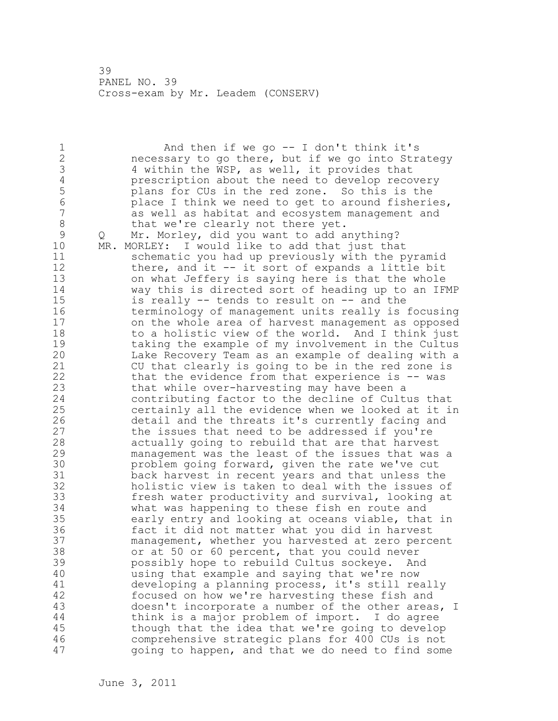1 And then if we go -- I don't think it's 2 necessary to go there, but if we go into Strategy 3 4 within the WSP, as well, it provides that<br>4 prescription about the need to develop reco 4 prescription about the need to develop recovery<br>5 blans for CUs in the red zone. So this is the 5 plans for CUs in the red zone. So this is the 6 place I think we need to get to around fisheries, as well as habitat and ecosystem management and 8 that we're clearly not there yet.<br>9 0 Mr. Morley, did you want to add a 9 Q Mr. Morley, did you want to add anything?<br>10 MR. MORLEY: I would like to add that just tha MR. MORLEY: I would like to add that just that 11 schematic you had up previously with the pyramid 12 there, and it -- it sort of expands a little bit 13 on what Jeffery is saying here is that the whole 14 way this is directed sort of heading up to an IFMP 15 is really -- tends to result on -- and the 16 terminology of management units really is focusing 17 on the whole area of harvest management as opposed 18 to a holistic view of the world. And I think just 19 taking the example of my involvement in the Cultus<br>20 Lake Recovery Team as an example of dealing with a Lake Recovery Team as an example of dealing with a 21 CU that clearly is going to be in the red zone is 22 that the evidence from that experience is -- was 23 that while over-harvesting may have been a 24 contributing factor to the decline of Cultus that 25 certainly all the evidence when we looked at it in 26 detail and the threats it's currently facing and<br>27 the issues that need to be addressed if you're the issues that need to be addressed if you're 28 actually going to rebuild that are that harvest 29 management was the least of the issues that was a 30 problem going forward, given the rate we've cut<br>31 back harvest in recent vears and that unless th back harvest in recent years and that unless the 32 holistic view is taken to deal with the issues of 33 fresh water productivity and survival, looking at 34 what was happening to these fish en route and 35 early entry and looking at oceans viable, that in 36 fact it did not matter what you did in harvest 37 management, whether you harvested at zero percent 38 or at 50 or 60 percent, that you could never 39 possibly hope to rebuild Cultus sockeye. And 40 using that example and saying that we're now 41 developing a planning process, it's still really<br>42 focused on how we're harvesting these fish and focused on how we're harvesting these fish and 43 doesn't incorporate a number of the other areas, I 44 think is a major problem of import. I do agree 45 though that the idea that we're going to develop 46 comprehensive strategic plans for 400 CUs is not 47 going to happen, and that we do need to find some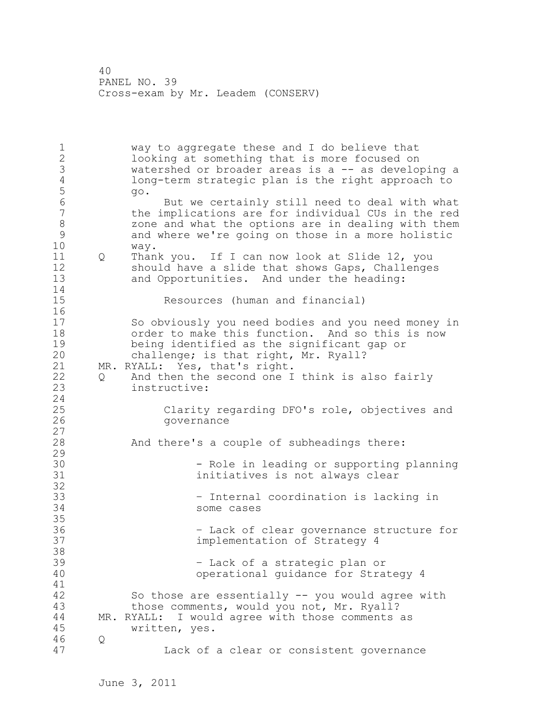1 way to aggregate these and I do believe that 2 looking at something that is more focused on 3 watershed or broader areas is a -- as developing a<br>4 1 10ng-term strategic plan is the right approach to 4 long-term strategic plan is the right approach to 5 go. 6 But we certainly still need to deal with what<br>7 
the implications are for individual CUs in the red the implications are for individual CUs in the red 8 3 3 20 zone and what the options are in dealing with them<br>8 3 3 20 and where we're going on those in a more holistic 9 and where we're going on those in a more holistic way. 11 Q Thank you. If I can now look at Slide 12, you 12 should have a slide that shows Gaps, Challenges 13 and Opportunities. And under the heading: 14 15 Resources (human and financial) 16 17 So obviously you need bodies and you need money in 18 order to make this function. And so this is now 19 being identified as the significant gap or<br>20 challenge: is that right, Mr. Ryall? challenge; is that right, Mr. Ryall? 21 MR. RYALL: Yes, that's right. 22 Q And then the second one I think is also fairly 23 instructive: 24 25 Clarity regarding DFO's role, objectives and 26 governance 27 28 And there's a couple of subheadings there: 29 30 - Role in leading or supporting planning<br>31 - Thitiatives is not always clear initiatives is not always clear 32 33 – Internal coordination is lacking in 34 some cases 35 36 – Lack of clear governance structure for 37 implementation of Strategy 4 38 39 – Lack of a strategic plan or 40 operational guidance for Strategy 4 41<br>42 So those are essentially  $--$  you would agree with 43 those comments, would you not, Mr. Ryall? 44 MR. RYALL: I would agree with those comments as 45 written, yes. 46 Q 47 Lack of a clear or consistent governance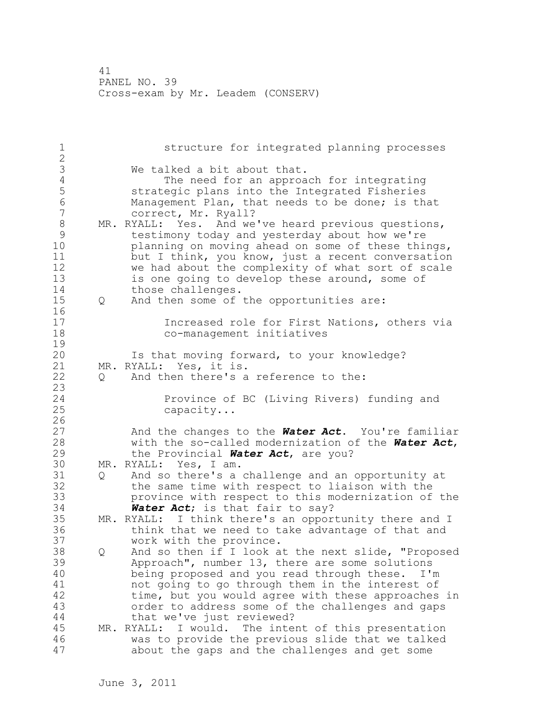| $1\,$<br>$\overline{2}$                                                                         |   | structure for integrated planning processes                                                                                                                                                                                                                                                                                                      |
|-------------------------------------------------------------------------------------------------|---|--------------------------------------------------------------------------------------------------------------------------------------------------------------------------------------------------------------------------------------------------------------------------------------------------------------------------------------------------|
| $\mathfrak{Z}$<br>$\sqrt{4}$<br>5<br>$\sqrt{6}$<br>$\boldsymbol{7}$<br>$\,8\,$<br>$\mathcal{G}$ |   | We talked a bit about that.<br>The need for an approach for integrating<br>strategic plans into the Integrated Fisheries<br>Management Plan, that needs to be done; is that<br>correct, Mr. Ryall?<br>MR. RYALL: Yes. And we've heard previous questions,<br>testimony today and yesterday about how we're                                       |
| 10<br>11<br>12<br>13<br>14                                                                      |   | planning on moving ahead on some of these things,<br>but I think, you know, just a recent conversation<br>we had about the complexity of what sort of scale<br>is one going to develop these around, some of<br>those challenges.                                                                                                                |
| 15                                                                                              | Q | And then some of the opportunities are:                                                                                                                                                                                                                                                                                                          |
| 16<br>17<br>18<br>19                                                                            |   | Increased role for First Nations, others via<br>co-management initiatives                                                                                                                                                                                                                                                                        |
| 20<br>21<br>22<br>23                                                                            | Q | Is that moving forward, to your knowledge?<br>MR. RYALL: Yes, it is.<br>And then there's a reference to the:                                                                                                                                                                                                                                     |
| 24<br>25<br>26                                                                                  |   | Province of BC (Living Rivers) funding and<br>capacity                                                                                                                                                                                                                                                                                           |
| 27<br>28<br>29                                                                                  |   | And the changes to the <b>Water Act</b> . You're familiar<br>with the so-called modernization of the Water Act,<br>the Provincial Water Act, are you?                                                                                                                                                                                            |
| 30                                                                                              |   | MR. RYALL: Yes, I am.                                                                                                                                                                                                                                                                                                                            |
| 31<br>32<br>33<br>34                                                                            | Q | And so there's a challenge and an opportunity at<br>the same time with respect to liaison with the<br>province with respect to this modernization of the<br>Water Act; is that fair to say?                                                                                                                                                      |
| 35<br>36<br>37                                                                                  |   | MR. RYALL: I think there's an opportunity there and I<br>think that we need to take advantage of that and<br>work with the province.                                                                                                                                                                                                             |
| 38<br>39<br>40<br>41<br>42<br>43<br>44                                                          | Q | And so then if I look at the next slide, "Proposed<br>Approach", number 13, there are some solutions<br>being proposed and you read through these. I'm<br>not going to go through them in the interest of<br>time, but you would agree with these approaches in<br>order to address some of the challenges and gaps<br>that we've just reviewed? |
| 45<br>46<br>47                                                                                  |   | MR. RYALL: I would. The intent of this presentation<br>was to provide the previous slide that we talked<br>about the gaps and the challenges and get some                                                                                                                                                                                        |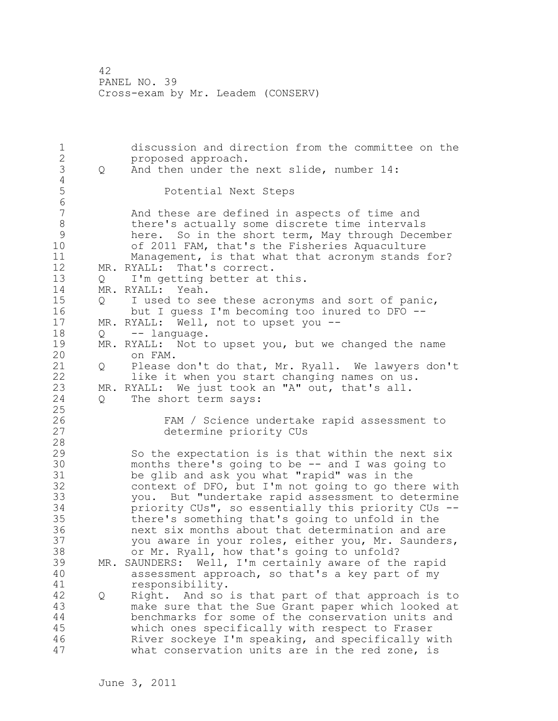1 discussion and direction from the committee on the 2 proposed approach. 3 Q And then under the next slide, number 14:  $\frac{4}{5}$ 5 Potential Next Steps 6 And these are defined in aspects of time and 8 there's actually some discrete time intervals<br>9 here. So in the short term, May through Dece 9 here. So in the short term, May through December<br>10 of 2011 FAM, that's the Fisheries Aquaculture of 2011 FAM, that's the Fisheries Aquaculture 11 Management, is that what that acronym stands for? 12 MR. RYALL: That's correct. 13 Q I'm getting better at this. 14 MR. RYALL: Yeah. 15 Q I used to see these acronyms and sort of panic, 16 but I guess I'm becoming too inured to DFO -- 17 MR. RYALL: Well, not to upset you -- 18 Q -- language. 19 MR. RYALL: Not to upset you, but we changed the name 20 on FAM. 21 Q Please don't do that, Mr. Ryall. We lawyers don't 22 like it when you start changing names on us. 23 MR. RYALL: We just took an "A" out, that's all. 24 Q The short term says: 25 26 FAM / Science undertake rapid assessment to<br>27 determine priority CUs determine priority CUs 28 29 So the expectation is is that within the next six 30 months there's going to be -- and I was going to 31 be glib and ask you what "rapid" was in the<br>32 context of DFO, but I'm not going to go the context of DFO, but I'm not going to go there with 33 you. But "undertake rapid assessment to determine 34 priority CUs", so essentially this priority CUs -- 35 there's something that's going to unfold in the 36 next six months about that determination and are 37 you aware in your roles, either you, Mr. Saunders, 38 or Mr. Ryall, how that's going to unfold? 39 MR. SAUNDERS: Well, I'm certainly aware of the rapid 40 assessment approach, so that's a key part of my 41 responsibility.<br>42 0 Right. And so 42 Q Right. And so is that part of that approach is to 43 make sure that the Sue Grant paper which looked at 44 benchmarks for some of the conservation units and 45 which ones specifically with respect to Fraser 46 River sockeye I'm speaking, and specifically with 47 what conservation units are in the red zone, is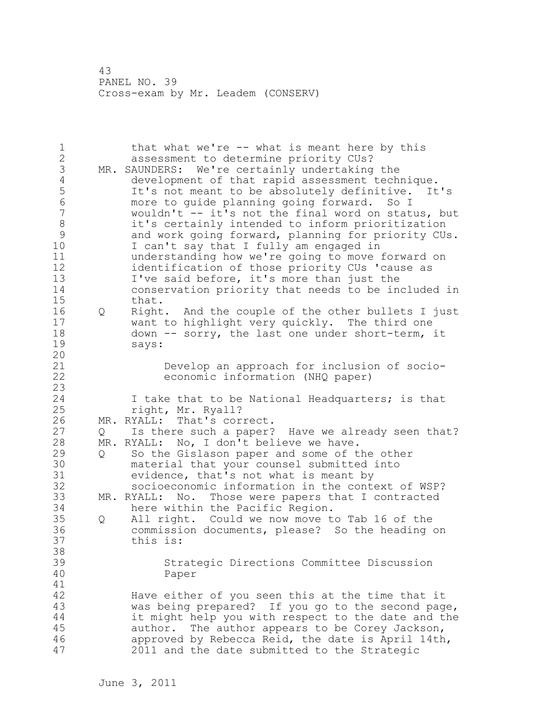1 that what we're -- what is meant here by this 2 assessment to determine priority CUs? 3 MR. SAUNDERS: We're certainly undertaking the<br>4 development of that rapid assessment tech 4 development of that rapid assessment technique.<br>5 1t's not meant to be absolutely definitive. It 5 It's not meant to be absolutely definitive. It's<br>6 more to quide planning going forward. So I 6 more to guide planning going forward. So I wouldn't -- it's not the final word on status, but 8 it's certainly intended to inform prioritization<br>9 and work going forward, planning for priority CU 9 and work going forward, planning for priority CUs.<br>10 1 can't sav that I fullv am engaged in I can't say that I fully am engaged in 11 understanding how we're going to move forward on 12 identification of those priority CUs 'cause as 13 I've said before, it's more than just the 14 conservation priority that needs to be included in 15 that. 16 Q Right. And the couple of the other bullets I just 17 want to highlight very quickly. The third one 18 down -- sorry, the last one under short-term, it 19 says: 20 21 Develop an approach for inclusion of socio-22 economic information (NHQ paper) 23 24 I take that to be National Headquarters; is that 25 right, Mr. Ryall? 26 MR. RYALL: That's correct.<br>27 0 Is there such a paper? Q Is there such a paper? Have we already seen that? 28 MR. RYALL: No, I don't believe we have. 29 Q So the Gislason paper and some of the other 30 material that your counsel submitted into<br>31 evidence, that's not what is meant by 31 evidence, that's not what is meant by<br>32 socioeconomic information in the conte socioeconomic information in the context of WSP? 33 MR. RYALL: No. Those were papers that I contracted 34 here within the Pacific Region. 35 Q All right. Could we now move to Tab 16 of the 36 commission documents, please? So the heading on 37 this is: 38 39 Strategic Directions Committee Discussion 40 Paper 41<br>42 Have either of you seen this at the time that it 43 was being prepared? If you go to the second page, 44 it might help you with respect to the date and the 45 author. The author appears to be Corey Jackson, 46 approved by Rebecca Reid, the date is April 14th, 47 2011 and the date submitted to the Strategic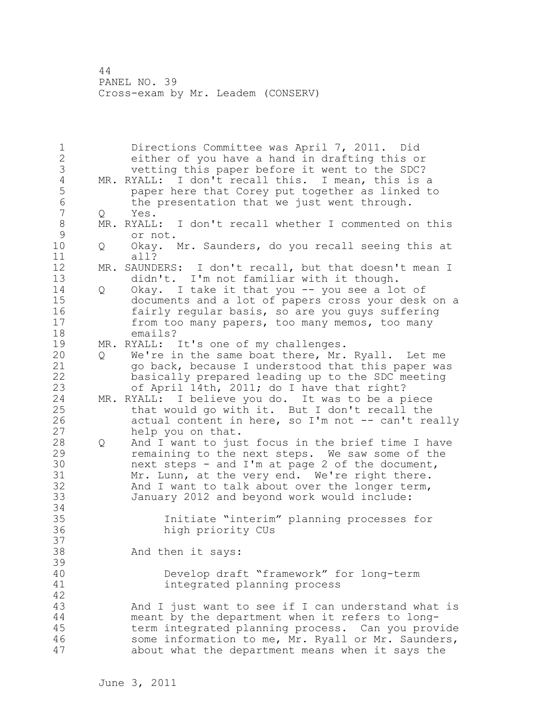1 Directions Committee was April 7, 2011. Did 2 either of you have a hand in drafting this or 3 vetting this paper before it went to the SDC?<br>4 MR. RYALL: I don't recall this. I mean, this is 4 MR. RYALL: I don't recall this. I mean, this is a<br>5 baper here that Corey put together as linked to 5 baper here that Corey put together as linked to<br>6 the presentation that we just went through. 6 the presentation that we just went through.<br>7 0 Yes. Q Yes. 8 MR. RYALL: I don't recall whether I commented on this<br>9 or not. 9 or not.<br>10 0 Okav. 0 Okay. Mr. Saunders, do you recall seeing this at 11 all? 12 MR. SAUNDERS: I don't recall, but that doesn't mean I 13 didn't. I'm not familiar with it though. 14 Q Okay. I take it that you -- you see a lot of 15 documents and a lot of papers cross your desk on a 16 fairly regular basis, so are you guys suffering 17 from too many papers, too many memos, too many 18 emails? 19 MR. RYALL: It's one of my challenges. 20 Q We're in the same boat there, Mr. Ryall. Let me 21 go back, because I understood that this paper was 22 basically prepared leading up to the SDC meeting 23 of April 14th, 2011; do I have that right? 24 MR. RYALL: I believe you do. It was to be a piece 25 that would go with it. But I don't recall the 26 actual content in here, so I'm not -- can't really<br>27 help you on that. help you on that. 28 Q And I want to just focus in the brief time I have 29 remaining to the next steps. We saw some of the 30 next steps - and I'm at page 2 of the document, 31 Mr. Lunn, at the very end. We're right there. 32 And I want to talk about over the longer term, 33 January 2012 and beyond work would include: 34 35 Initiate "interim" planning processes for 36 high priority CUs 37 38 And then it says: 39 40 Develop draft "framework" for long-term 41 integrated planning process 42 43 And I just want to see if I can understand what is 44 meant by the department when it refers to long-45 term integrated planning process. Can you provide 46 some information to me, Mr. Ryall or Mr. Saunders, 47 about what the department means when it says the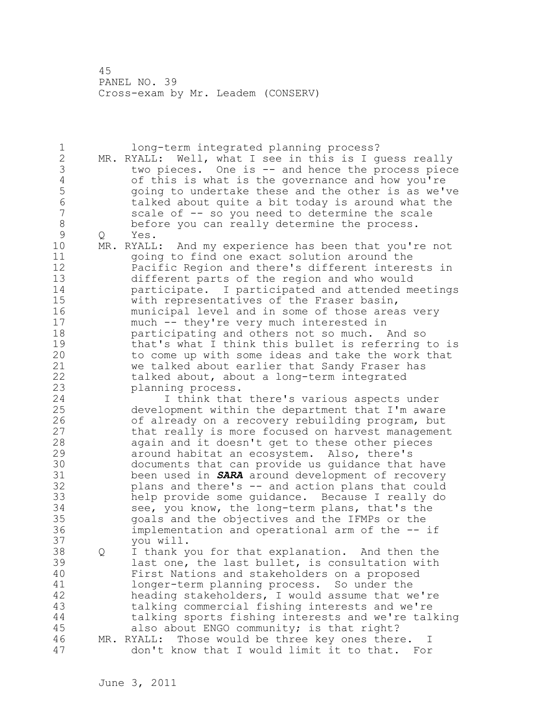1 long-term integrated planning process? 2 MR. RYALL: Well, what I see in this is I guess really 3 two pieces. One is -- and hence the process piece<br>4 of this is what is the governance and how you're 4 of this is what is the governance and how you're 5 going to undertake these and the other is as we've 6 talked about quite a bit today is around what the scale of -- so you need to determine the scale 8 before you can really determine the process.<br>9 0 Yes. 9 Q Yes.<br>10 MR.RYALL MR. RYALL: And my experience has been that you're not 11 going to find one exact solution around the 12 Pacific Region and there's different interests in 13 different parts of the region and who would 14 participate. I participated and attended meetings 15 with representatives of the Fraser basin, 16 municipal level and in some of those areas very 17 much -- they're very much interested in 18 **participating and others not so much.** And so 19 that's what I think this bullet is referring to is<br>20 to come up with some ideas and take the work that to come up with some ideas and take the work that 21 we talked about earlier that Sandy Fraser has 22 talked about, about a long-term integrated 23 planning process. 24 I think that there's various aspects under 25 development within the department that I'm aware 26 of already on a recovery rebuilding program, but<br>27 that really is more focused on harvest managemen that really is more focused on harvest management 28 again and it doesn't get to these other pieces 29 around habitat an ecosystem. Also, there's 30 documents that can provide us guidance that have<br>31 been used in **SARA** around development of recoverv 31 been used in *SARA* around development of recovery plans and there's -- and action plans that could 33 help provide some guidance. Because I really do 34 see, you know, the long-term plans, that's the 35 goals and the objectives and the IFMPs or the 36 implementation and operational arm of the -- if 37 you will. 38 Q I thank you for that explanation. And then the 39 last one, the last bullet, is consultation with 40 First Nations and stakeholders on a proposed 41 longer-term planning process. So under the<br>42 heading stakeholders, I would assume that w heading stakeholders, I would assume that we're 43 talking commercial fishing interests and we're 44 talking sports fishing interests and we're talking 45 also about ENGO community; is that right? 46 MR. RYALL: Those would be three key ones there. I 47 don't know that I would limit it to that. For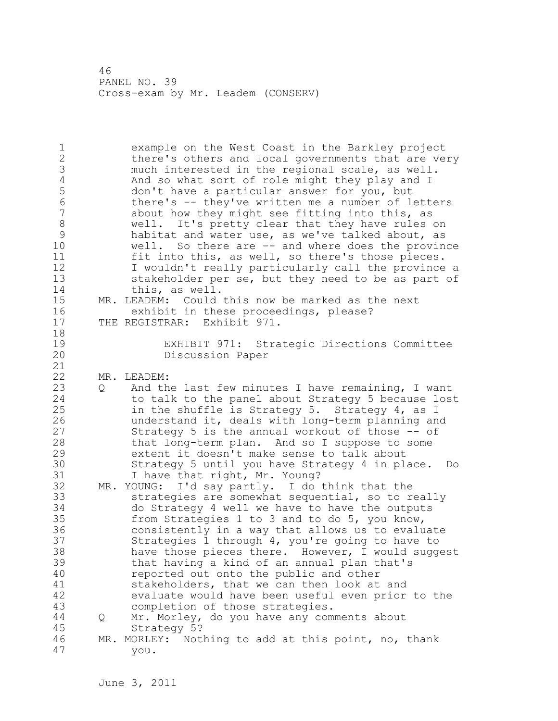| $\mathbf 1$<br>$\overline{2}$<br>3<br>$\overline{4}$<br>5<br>$\overline{6}$<br>7<br>$\,8\,$<br>$\mathcal{G}$<br>10<br>11<br>12<br>13<br>14<br>15<br>16<br>17 |   | example on the West Coast in the Barkley project<br>there's others and local governments that are very<br>much interested in the regional scale, as well.<br>And so what sort of role might they play and I<br>don't have a particular answer for you, but<br>there's -- they've written me a number of letters<br>about how they might see fitting into this, as<br>well. It's pretty clear that they have rules on<br>habitat and water use, as we've talked about, as<br>well. So there are -- and where does the province<br>fit into this, as well, so there's those pieces.<br>I wouldn't really particularly call the province a<br>stakeholder per se, but they need to be as part of<br>this, as well.<br>MR. LEADEM: Could this now be marked as the next<br>exhibit in these proceedings, please?<br>THE REGISTRAR: Exhibit 971. |
|--------------------------------------------------------------------------------------------------------------------------------------------------------------|---|---------------------------------------------------------------------------------------------------------------------------------------------------------------------------------------------------------------------------------------------------------------------------------------------------------------------------------------------------------------------------------------------------------------------------------------------------------------------------------------------------------------------------------------------------------------------------------------------------------------------------------------------------------------------------------------------------------------------------------------------------------------------------------------------------------------------------------------------|
| 18<br>19<br>20<br>21                                                                                                                                         |   | EXHIBIT 971: Strategic Directions Committee<br>Discussion Paper                                                                                                                                                                                                                                                                                                                                                                                                                                                                                                                                                                                                                                                                                                                                                                             |
| 22<br>23<br>24<br>25<br>26<br>27<br>28<br>29<br>30<br>31                                                                                                     | Q | MR. LEADEM:<br>And the last few minutes I have remaining, I want<br>to talk to the panel about Strategy 5 because lost<br>in the shuffle is Strategy 5. Strategy 4, as I<br>understand it, deals with long-term planning and<br>Strategy 5 is the annual workout of those -- of<br>that long-term plan. And so I suppose to some<br>extent it doesn't make sense to talk about<br>Strategy 5 until you have Strategy 4 in place. Do<br>I have that right, Mr. Young?                                                                                                                                                                                                                                                                                                                                                                        |
| 32<br>33<br>34<br>35<br>36<br>37<br>38<br>39<br>40<br>41<br>42<br>43<br>44<br>45<br>46                                                                       | Q | MR. YOUNG: I'd say partly. I do think that the<br>strategies are somewhat sequential, so to really<br>do Strategy 4 well we have to have the outputs<br>from Strategies 1 to 3 and to do 5, you know,<br>consistently in a way that allows us to evaluate<br>Strategies 1 through 4, you're going to have to<br>have those pieces there. However, I would suggest<br>that having a kind of an annual plan that's<br>reported out onto the public and other<br>stakeholders, that we can then look at and<br>evaluate would have been useful even prior to the<br>completion of those strategies.<br>Mr. Morley, do you have any comments about<br>Strategy 5?<br>MR. MORLEY: Nothing to add at this point, no, thank                                                                                                                        |
| 47                                                                                                                                                           |   | you.                                                                                                                                                                                                                                                                                                                                                                                                                                                                                                                                                                                                                                                                                                                                                                                                                                        |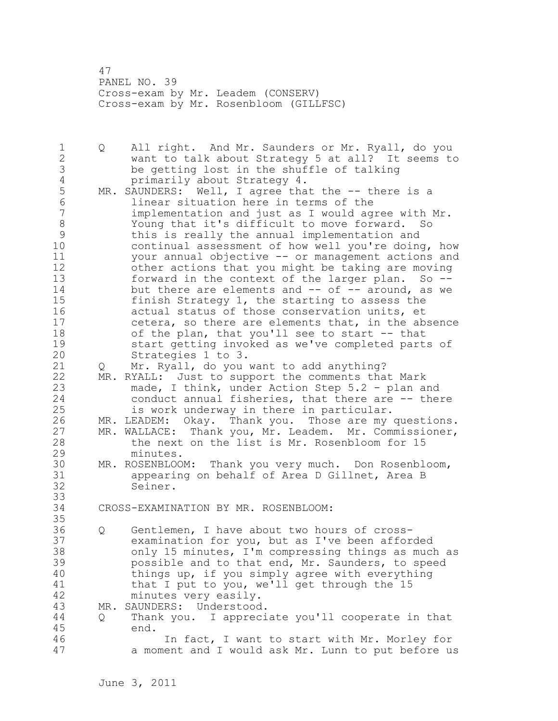47 PANEL NO. 39 Cross-exam by Mr. Leadem (CONSERV) Cross-exam by Mr. Rosenbloom (GILLFSC)

1 Q All right. And Mr. Saunders or Mr. Ryall, do you 2 want to talk about Strategy 5 at all? It seems to 3 be getting lost in the shuffle of talking<br>4 be primarily about Strategy 4. 4 primarily about Strategy 4.<br>5 MR. SAUNDERS: Well, I agree tha 5 MR. SAUNDERS: Well, I agree that the -- there is a<br>6 1inear situation here in terms of the 6 linear situation here in terms of the implementation and just as I would agree with Mr. 8 Young that it's difficult to move forward. So<br>9 this is really the annual implementation and 9 this is really the annual implementation and<br>10 continual assessment of how well vou're doine continual assessment of how well you're doing, how 11 your annual objective -- or management actions and 12 other actions that you might be taking are moving 13 forward in the context of the larger plan. So -- 14 but there are elements and -- of -- around, as we 15 finish Strategy 1, the starting to assess the 16 actual status of those conservation units, et 17 cetera, so there are elements that, in the absence 18 of the plan, that you'll see to start -- that 19 start getting invoked as we've completed parts of<br>20 Strategies 1 to 3. Strategies 1 to 3. 21 Q Mr. Ryall, do you want to add anything? 22 MR. RYALL: Just to support the comments that Mark 23 made, I think, under Action Step 5.2 - plan and 24 conduct annual fisheries, that there are -- there 25 is work underway in there in particular. 26 MR. LEADEM: Okay. Thank you. Those are my questions.<br>27 MR. WALLACE: Thank you, Mr. Leadem. Mr. Commissioner, 27 MR. WALLACE: Thank you, Mr. Leadem. Mr. Commissioner,<br>28 the next on the list is Mr. Rosenbloom for 15 the next on the list is Mr. Rosenbloom for 15 29 minutes. 30 MR. ROSENBLOOM: Thank you very much. Don Rosenbloom, 31 appearing on behalf of Area D Gillnet, Area B Seiner. 33 34 CROSS-EXAMINATION BY MR. ROSENBLOOM: 35 36 Q Gentlemen, I have about two hours of cross-37 examination for you, but as I've been afforded 38 only 15 minutes, I'm compressing things as much as 39 possible and to that end, Mr. Saunders, to speed 40 things up, if you simply agree with everything 41 that I put to you, we'll get through the 15<br>42 minutes very easily. minutes very easily. 43 MR. SAUNDERS: Understood. 44 Q Thank you. I appreciate you'll cooperate in that 45 end. 46 In fact, I want to start with Mr. Morley for 47 a moment and I would ask Mr. Lunn to put before us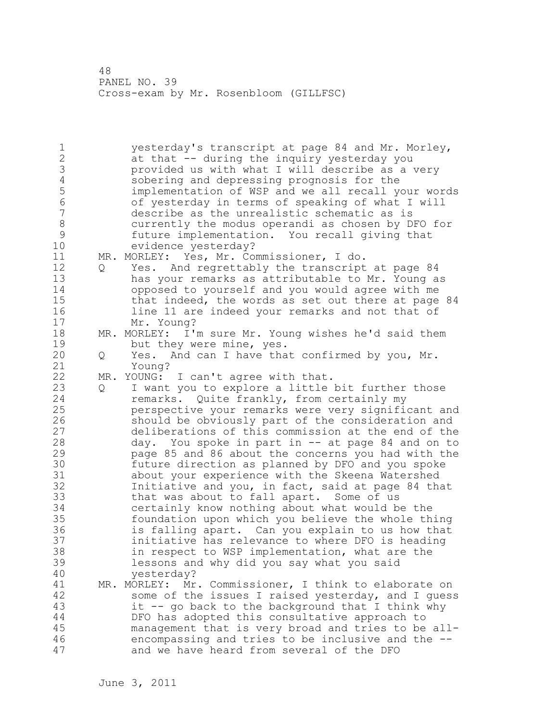1 yesterday's transcript at page 84 and Mr. Morley, 2 at that -- during the inquiry yesterday you 3 provided us with what I will describe as a very<br>4 sobering and depressing prognosis for the 4 sobering and depressing prognosis for the<br>5 implementation of WSP and we all recall you 5 implementation of WSP and we all recall your words<br>6 6 of vesterdav in terms of speaking of what I will 6 of yesterday in terms of speaking of what I will describe as the unrealistic schematic as is 8 currently the modus operandi as chosen by DFO for 9 future implementation. You recall giving that evidence yesterday? 11 MR. MORLEY: Yes, Mr. Commissioner, I do. 12 Q Yes. And regrettably the transcript at page 84 13 has your remarks as attributable to Mr. Young as 14 opposed to yourself and you would agree with me 15 that indeed, the words as set out there at page 84 16 line 11 are indeed your remarks and not that of 17 Mr. Young? 18 MR. MORLEY: I'm sure Mr. Young wishes he'd said them 19 but they were mine, yes.<br>20 0 Yes. And can I have tha 20 Q Yes. And can I have that confirmed by you, Mr. 21 Young? 22 MR. YOUNG: I can't agree with that. 23 Q I want you to explore a little bit further those 24 remarks. Quite frankly, from certainly my 25 perspective your remarks were very significant and 26 should be obviously part of the consideration and<br>27 deliberations of this commission at the end of the deliberations of this commission at the end of the 28 day. You spoke in part in -- at page 84 and on to 29 page 85 and 86 about the concerns you had with the 30 future direction as planned by DFO and you spoke 31 about your experience with the Skeena Watershed<br>32 **11** Initiative and you, in fact, said at page 84 tha Initiative and you, in fact, said at page 84 that 33 that was about to fall apart. Some of us 34 certainly know nothing about what would be the 35 foundation upon which you believe the whole thing 36 is falling apart. Can you explain to us how that 37 initiative has relevance to where DFO is heading 38 in respect to WSP implementation, what are the 39 lessons and why did you say what you said 40 yesterday? 41 MR. MORLEY: Mr. Commissioner, I think to elaborate on<br>42 Some of the issues I raised vesterday, and I ques, some of the issues I raised yesterday, and I guess 43 it -- go back to the background that I think why 44 DFO has adopted this consultative approach to 45 management that is very broad and tries to be all-46 encompassing and tries to be inclusive and the -- 47 and we have heard from several of the DFO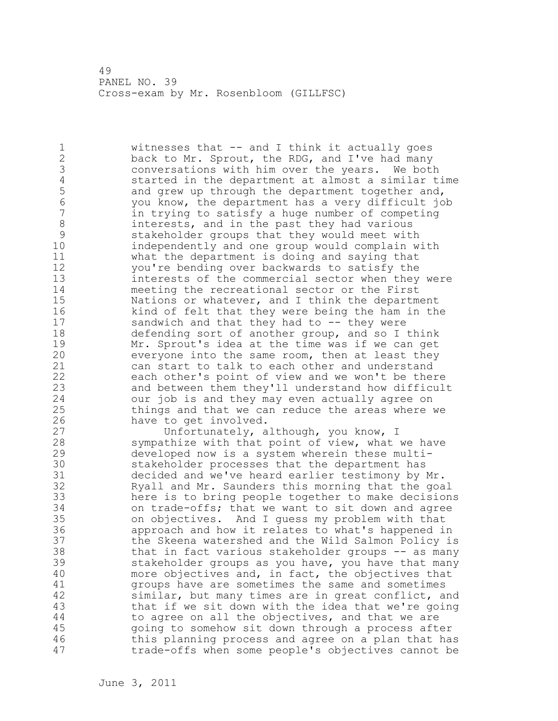1 witnesses that -- and I think it actually goes 2 back to Mr. Sprout, the RDG, and I've had many 3 conversations with him over the years. We both 4 started in the department at almost a similar time<br>5 and grew up through the department together and, 5 and grew up through the department together and,<br>6 vou know, the department has a verv difficult io 6 you know, the department has a very difficult job in trying to satisfy a huge number of competing 8 interests, and in the past they had various 9 stakeholder groups that they would meet with<br>10 independently and one group would complain w independently and one group would complain with 11 what the department is doing and saying that 12 you're bending over backwards to satisfy the 13 interests of the commercial sector when they were 14 meeting the recreational sector or the First 15 Nations or whatever, and I think the department 16 kind of felt that they were being the ham in the 17 sandwich and that they had to -- they were 18 defending sort of another group, and so I think 19 Mr. Sprout's idea at the time was if we can get<br>20 everyone into the same room, then at least they everyone into the same room, then at least they 21 can start to talk to each other and understand 22 each other's point of view and we won't be there 23 and between them they'll understand how difficult 24 our job is and they may even actually agree on 25 things and that we can reduce the areas where we 26 have to get involved.<br>27 **have to get involved.** Unfortunately, although, you know, I 28 sympathize with that point of view, what we have 29 developed now is a system wherein these multi-30 stakeholder processes that the department has decided and we've heard earlier testimony by Mr. 32 Ryall and Mr. Saunders this morning that the goal 33 here is to bring people together to make decisions 34 on trade-offs; that we want to sit down and agree 35 on objectives. And I guess my problem with that 36 approach and how it relates to what's happened in 37 the Skeena watershed and the Wild Salmon Policy is 38 that in fact various stakeholder groups -- as many 39 stakeholder groups as you have, you have that many 40 more objectives and, in fact, the objectives that 41 groups have are sometimes the same and sometimes<br>42 similar, but many times are in great conflict, a similar, but many times are in great conflict, and 43 that if we sit down with the idea that we're going 44 to agree on all the objectives, and that we are 45 going to somehow sit down through a process after 46 this planning process and agree on a plan that has 47 trade-offs when some people's objectives cannot be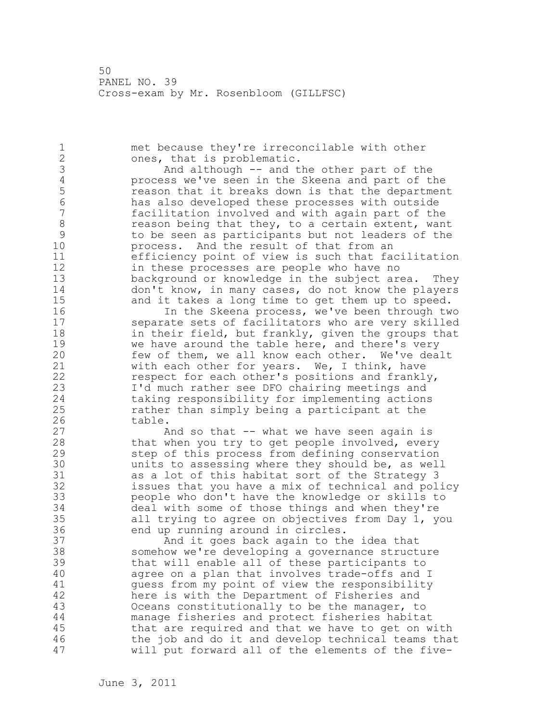1 met because they're irreconcilable with other 2 ones, that is problematic. 3 And although -- and the other part of the<br>4 process we've seen in the Skeena and part of t 4 process we've seen in the Skeena and part of the 5 **19 reason that it breaks down is that the department**<br>6 **19 reases has also developed these processes with outside** 6 has also developed these processes with outside facilitation involved and with again part of the 8 reason being that they, to a certain extent, want 9 to be seen as participants but not leaders of the process. And the result of that from an 11 efficiency point of view is such that facilitation 12 in these processes are people who have no 13 background or knowledge in the subject area. They 14 don't know, in many cases, do not know the players 15 and it takes a long time to get them up to speed. 16 In the Skeena process, we've been through two 17 separate sets of facilitators who are very skilled 18 in their field, but frankly, given the groups that 19 we have around the table here, and there's very<br>20 few of them, we all know each other. We've dea few of them, we all know each other. We've dealt 21 with each other for years. We, I think, have 22 respect for each other's positions and frankly, 23 I'd much rather see DFO chairing meetings and 24 taking responsibility for implementing actions 25 rather than simply being a participant at the 26 table.<br>27 A And so that  $-$  what we have seen again is 28 that when you try to get people involved, every 29 step of this process from defining conservation 30 units to assessing where they should be, as well as a lot of this habitat sort of the Strategy 3 32 issues that you have a mix of technical and policy 33 people who don't have the knowledge or skills to 34 deal with some of those things and when they're 35 all trying to agree on objectives from Day 1, you 36 end up running around in circles. 37 And it goes back again to the idea that 38 somehow we're developing a governance structure 39 that will enable all of these participants to 40 agree on a plan that involves trade-offs and I 41 guess from my point of view the responsibility<br>42 here is with the Department of Fisheries and here is with the Department of Fisheries and 43 Oceans constitutionally to be the manager, to 44 manage fisheries and protect fisheries habitat 45 that are required and that we have to get on with 46 the job and do it and develop technical teams that 47 will put forward all of the elements of the five-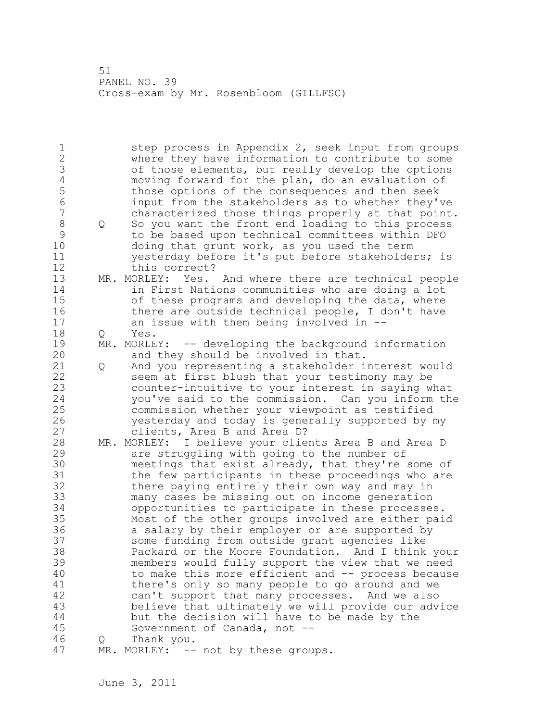1 step process in Appendix 2, seek input from groups 2 where they have information to contribute to some 3 of those elements, but really develop the options 4 moving forward for the plan, do an evaluation of<br>5 those options of the consequences and then seek 5 those options of the consequences and then seek<br>6 input from the stakeholders as to whether thev' 6 input from the stakeholders as to whether they've characterized those things properly at that point. 8 Q So you want the front end loading to this process 9 to be based upon technical committees within DFO doing that grunt work, as you used the term 11 yesterday before it's put before stakeholders; is 12 this correct? 13 MR. MORLEY: Yes. And where there are technical people 14 in First Nations communities who are doing a lot 15 of these programs and developing the data, where 16 there are outside technical people, I don't have 17 an issue with them being involved in -- 18 Q Yes. 19 MR. MORLEY: -- developing the background information 20 and they should be involved in that. 21 Q And you representing a stakeholder interest would 22 seem at first blush that your testimony may be 23 counter-intuitive to your interest in saying what 24 you've said to the commission. Can you inform the 25 commission whether your viewpoint as testified 26 yesterday and today is generally supported by my clients, Area B and Area D? 28 MR. MORLEY: I believe your clients Area B and Area D 29 are struggling with going to the number of 30 meetings that exist already, that they're some of<br>31 the few participants in these proceedings who are the few participants in these proceedings who are 32 there paying entirely their own way and may in 33 many cases be missing out on income generation 34 opportunities to participate in these processes. 35 Most of the other groups involved are either paid 36 a salary by their employer or are supported by 37 some funding from outside grant agencies like 38 Packard or the Moore Foundation. And I think your 39 members would fully support the view that we need 40 to make this more efficient and -- process because 41 there's only so many people to go around and we<br>42 can't support that many processes. And we also can't support that many processes. And we also 43 believe that ultimately we will provide our advice 44 but the decision will have to be made by the 45 Government of Canada, not -- 46 Q Thank you. 47 MR. MORLEY: -- not by these groups.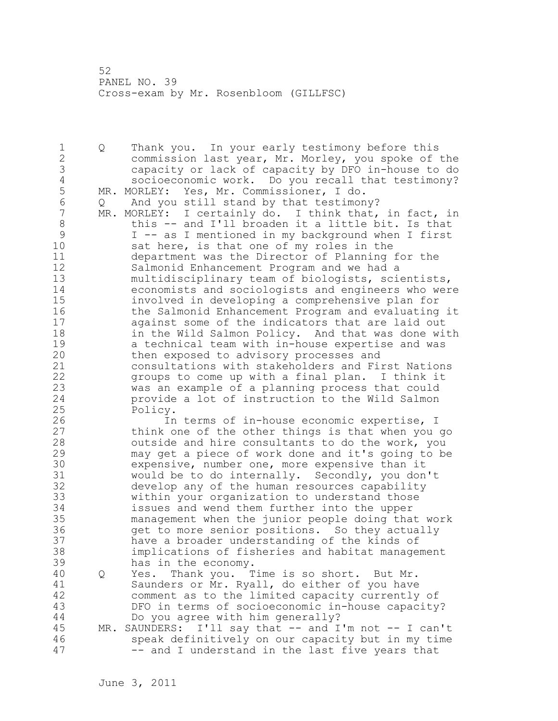1 Q Thank you. In your early testimony before this 2 commission last year, Mr. Morley, you spoke of the 3 capacity or lack of capacity by DFO in-house to do 4 socioeconomic work. Do you recall that testimony?<br>5 MR. MORLEY: Yes, Mr. Commissioner, I do. 5 MR. MORLEY: Yes, Mr. Commissioner, I do. 6 Q And you still stand by that testimony?<br>7 MR. MORLEY: I certainly do. I think that, MR. MORLEY: I certainly do. I think that, in fact, in 8 this -- and I'll broaden it a little bit. Is that<br>9 1 -- as I mentioned in my background when I first 9 I -- as I mentioned in my background when I first<br>10 Sat here, is that one of my roles in the sat here, is that one of my roles in the 11 department was the Director of Planning for the 12 Salmonid Enhancement Program and we had a 13 multidisciplinary team of biologists, scientists, 14 economists and sociologists and engineers who were 15 involved in developing a comprehensive plan for 16 the Salmonid Enhancement Program and evaluating it 17 against some of the indicators that are laid out 18 **in the Wild Salmon Policy.** And that was done with 19 a technical team with in-house expertise and was<br>20 bhen exposed to advisory processes and then exposed to advisory processes and 21 consultations with stakeholders and First Nations 22 groups to come up with a final plan. I think it 23 was an example of a planning process that could 24 provide a lot of instruction to the Wild Salmon 25 Policy. 26 In terms of in-house economic expertise, I<br>27 think one of the other things is that when you think one of the other things is that when you go 28 outside and hire consultants to do the work, you 29 may get a piece of work done and it's going to be 30 expensive, number one, more expensive than it<br>31 would be to do internally. Secondly, you don 31 would be to do internally. Secondly, you don't develop any of the human resources capability 33 within your organization to understand those 34 issues and wend them further into the upper 35 management when the junior people doing that work 36 get to more senior positions. So they actually 37 have a broader understanding of the kinds of 38 implications of fisheries and habitat management 39 has in the economy. 40 Q Yes. Thank you. Time is so short. But Mr. 41 Saunders or Mr. Ryall, do either of you have<br>42 comment as to the limited capacity currently comment as to the limited capacity currently of 43 DFO in terms of socioeconomic in-house capacity? 44 Do you agree with him generally? 45 MR. SAUNDERS: I'll say that -- and I'm not -- I can't 46 speak definitively on our capacity but in my time 47 -- and I understand in the last five years that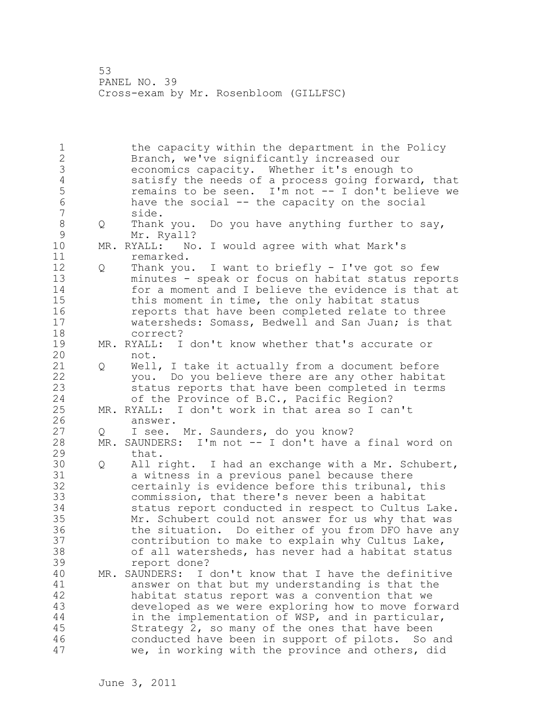1 the capacity within the department in the Policy 2 Branch, we've significantly increased our 3 economics capacity. Whether it's enough to 4 satisfy the needs of a process going forward, that<br>5 memains to be seen. I'm not -- I don't believe we 5 commains to be seen. I'm not -- I don't believe we<br>6 have the social -- the capacity on the social 6 have the social -- the capacity on the social side. 8 Q Thank you. Do you have anything further to say, 9 Mr. Ryall? MR. RYALL: No. I would agree with what Mark's 11 remarked. 12 Q Thank you. I want to briefly - I've got so few 13 minutes - speak or focus on habitat status reports 14 for a moment and I believe the evidence is that at 15 this moment in time, the only habitat status 16 reports that have been completed relate to three 17 watersheds: Somass, Bedwell and San Juan; is that 18 correct? 19 MR. RYALL: I don't know whether that's accurate or<br>20 mot. not. 21 Q Well, I take it actually from a document before 22 you. Do you believe there are any other habitat 23 status reports that have been completed in terms 24 of the Province of B.C., Pacific Region? 25 MR. RYALL: I don't work in that area so I can't 26 answer.<br>27 Q I see. Q I see. Mr. Saunders, do you know? 28 MR. SAUNDERS: I'm not -- I don't have a final word on 29 that. 30 Q All right. I had an exchange with a Mr. Schubert,<br>31 a witness in a previous panel because there a witness in a previous panel because there 32 certainly is evidence before this tribunal, this 33 commission, that there's never been a habitat 34 status report conducted in respect to Cultus Lake. 35 Mr. Schubert could not answer for us why that was 36 the situation. Do either of you from DFO have any 37 contribution to make to explain why Cultus Lake, 38 of all watersheds, has never had a habitat status 39 report done? 40 MR. SAUNDERS: I don't know that I have the definitive 41 answer on that but my understanding is that the<br>42 habitat status report was a convention that we habitat status report was a convention that we 43 developed as we were exploring how to move forward 44 in the implementation of WSP, and in particular, 45 Strategy 2, so many of the ones that have been 46 conducted have been in support of pilots. So and 47 we, in working with the province and others, did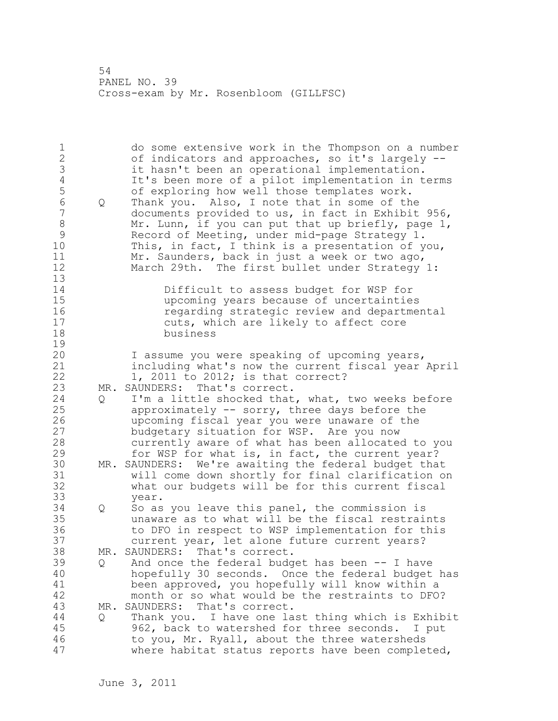| $\mathbf 1$<br>$\begin{array}{c} 2 \\ 3 \\ 4 \end{array}$<br>5<br>$\overline{6}$<br>$\overline{7}$<br>$\,8\,$<br>9<br>10<br>11<br>12<br>13 | Q        | do some extensive work in the Thompson on a number<br>of indicators and approaches, so it's largely --<br>it hasn't been an operational implementation.<br>It's been more of a pilot implementation in terms<br>of exploring how well those templates work.<br>Thank you. Also, I note that in some of the<br>documents provided to us, in fact in Exhibit 956,<br>Mr. Lunn, if you can put that up briefly, page 1,<br>Record of Meeting, under mid-page Strategy 1.<br>This, in fact, I think is a presentation of you,<br>Mr. Saunders, back in just a week or two ago,<br>March 29th. The first bullet under Strategy 1: |
|--------------------------------------------------------------------------------------------------------------------------------------------|----------|------------------------------------------------------------------------------------------------------------------------------------------------------------------------------------------------------------------------------------------------------------------------------------------------------------------------------------------------------------------------------------------------------------------------------------------------------------------------------------------------------------------------------------------------------------------------------------------------------------------------------|
| 14<br>15<br>16<br>17<br>18<br>19                                                                                                           |          | Difficult to assess budget for WSP for<br>upcoming years because of uncertainties<br>regarding strategic review and departmental<br>cuts, which are likely to affect core<br>business                                                                                                                                                                                                                                                                                                                                                                                                                                        |
| 20<br>21<br>22<br>23<br>24<br>25<br>26<br>27                                                                                               | Q        | I assume you were speaking of upcoming years,<br>including what's now the current fiscal year April<br>1, 2011 to 2012; is that correct?<br>MR. SAUNDERS: That's correct.<br>I'm a little shocked that, what, two weeks before<br>approximately -- sorry, three days before the<br>upcoming fiscal year you were unaware of the<br>budgetary situation for WSP. Are you now                                                                                                                                                                                                                                                  |
| 28<br>29<br>30<br>31<br>32<br>33                                                                                                           | MR.      | currently aware of what has been allocated to you<br>for WSP for what is, in fact, the current year?<br>SAUNDERS: We're awaiting the federal budget that<br>will come down shortly for final clarification on<br>what our budgets will be for this current fiscal                                                                                                                                                                                                                                                                                                                                                            |
| 34<br>35<br>36<br>37                                                                                                                       | Q        | year.<br>So as you leave this panel, the commission is<br>unaware as to what will be the fiscal restraints<br>to DFO in respect to WSP implementation for this<br>current year, let alone future current years?                                                                                                                                                                                                                                                                                                                                                                                                              |
| 38<br>39<br>40<br>41<br>42                                                                                                                 | Q        | MR. SAUNDERS: That's correct.<br>And once the federal budget has been -- I have<br>hopefully 30 seconds. Once the federal budget has<br>been approved, you hopefully will know within a<br>month or so what would be the restraints to DFO?                                                                                                                                                                                                                                                                                                                                                                                  |
| 43<br>44<br>45<br>46<br>47                                                                                                                 | MR.<br>Q | That's correct.<br>SAUNDERS:<br>Thank you. I have one last thing which is Exhibit<br>962, back to watershed for three seconds. I put<br>to you, Mr. Ryall, about the three watersheds<br>where habitat status reports have been completed,                                                                                                                                                                                                                                                                                                                                                                                   |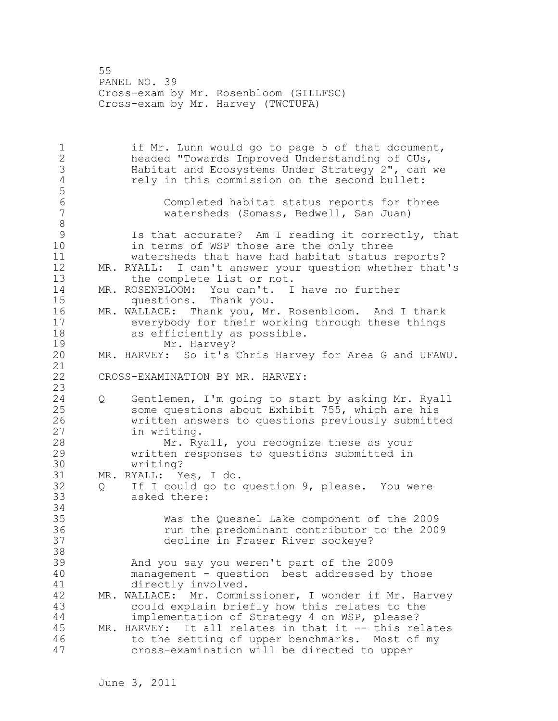55 PANEL NO. 39 Cross-exam by Mr. Rosenbloom (GILLFSC) Cross-exam by Mr. Harvey (TWCTUFA)

1 if Mr. Lunn would go to page 5 of that document, 2 headed "Towards Improved Understanding of CUs, 3 Habitat and Ecosystems Under Strategy 2", can we<br>4 Tely in this commission on the second bullet: rely in this commission on the second bullet: 5 6 Completed habitat status reports for three watersheds (Somass, Bedwell, San Juan) 8<br>9 9 Is that accurate? Am I reading it correctly, that<br>10 in terms of WSP those are the only three in terms of WSP those are the only three 11 watersheds that have had habitat status reports? 12 MR. RYALL: I can't answer your question whether that's 13 the complete list or not. 14 MR. ROSENBLOOM: You can't. I have no further 15 questions. Thank you. 16 MR. WALLACE: Thank you, Mr. Rosenbloom. And I thank 17 everybody for their working through these things 18 as efficiently as possible. 19 Mr. Harvey?<br>20 MR. HARVEY: So it's MR. HARVEY: So it's Chris Harvey for Area G and UFAWU. 21 22 CROSS-EXAMINATION BY MR. HARVEY: 23 24 Q Gentlemen, I'm going to start by asking Mr. Ryall 25 some questions about Exhibit 755, which are his 26 written answers to questions previously submitted<br>27 in writing. in writing. 28 Mr. Ryall, you recognize these as your 29 written responses to questions submitted in 30 writing?<br>31 MR. RYALL: Y MR. RYALL: Yes, I do. 32 Q If I could go to question 9, please. You were 33 asked there: 34 35 Was the Quesnel Lake component of the 2009 36 run the predominant contributor to the 2009 37 decline in Fraser River sockeye? 38 39 And you say you weren't part of the 2009 40 management - question best addressed by those 41 directly involved.<br>42 MR. WALLACE: Mr. Commi MR. WALLACE: Mr. Commissioner, I wonder if Mr. Harvey 43 could explain briefly how this relates to the 44 implementation of Strategy 4 on WSP, please? 45 MR. HARVEY: It all relates in that it -- this relates 46 to the setting of upper benchmarks. Most of my 47 cross-examination will be directed to upper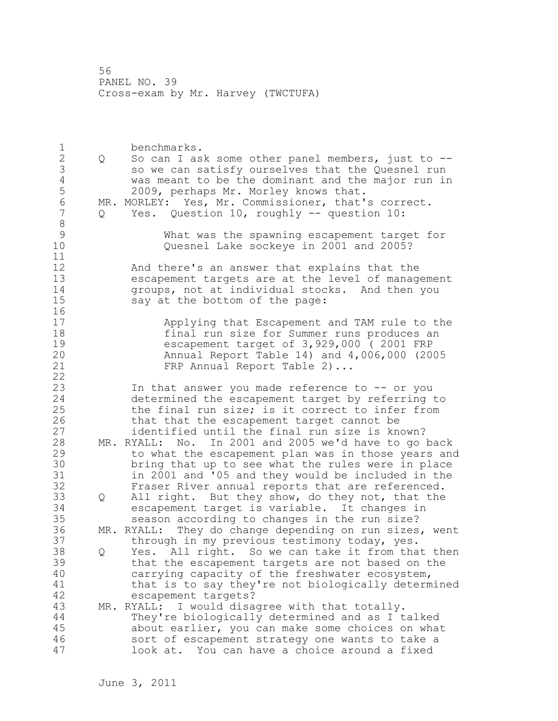1 benchmarks. 2 Q So can I ask some other panel members, just to -- 3 so we can satisfy ourselves that the Quesnel run<br>4 was meant to be the dominant and the major run in 4 was meant to be the dominant and the major run in<br>5 2009, perhaps Mr. Morley knows that. 5 2009, perhaps Mr. Morley knows that.<br>6 MR. MORLEY: Yes, Mr. Commissioner, that' 6 MR. MORLEY: Yes, Mr. Commissioner, that's correct.<br>7 0 Yes. Ouestion 10, roughly -- question 10: Q Yes. Question 10, roughly -- question 10: 8<br>9 9 What was the spawning escapement target for Quesnel Lake sockeye in 2001 and 2005? 11 12 And there's an answer that explains that the 13 escapement targets are at the level of management 14 groups, not at individual stocks. And then you<br>15 sav at the bottom of the page: say at the bottom of the page:  $\begin{array}{c} 16 \\ 17 \end{array}$ Applying that Escapement and TAM rule to the 18 final run size for Summer runs produces an 19 escapement target of 3,929,000 ( 2001 FRP 20 Annual Report Table 14) and 4,006,000 (2005 21 FRP Annual Report Table 2)... 22 23 In that answer you made reference to -- or you 24 determined the escapement target by referring to 25 the final run size; is it correct to infer from 26 that that the escapement target cannot be<br>27 identified until the final run size is kn identified until the final run size is known? 28 MR. RYALL: No. In 2001 and 2005 we'd have to go back 29 to what the escapement plan was in those years and 30 bring that up to see what the rules were in place<br>31 in 2001 and '05 and they would be included in the in 2001 and '05 and they would be included in the 32 Fraser River annual reports that are referenced. 33 Q All right. But they show, do they not, that the 34 escapement target is variable. It changes in 35 season according to changes in the run size? 36 MR. RYALL: They do change depending on run sizes, went 37 through in my previous testimony today, yes. 38 Q Yes. All right. So we can take it from that then 39 that the escapement targets are not based on the 40 carrying capacity of the freshwater ecosystem, 41 that is to say they're not biologically determined<br>42 escapement targets? escapement targets? 43 MR. RYALL: I would disagree with that totally. 44 They're biologically determined and as I talked 45 about earlier, you can make some choices on what 46 sort of escapement strategy one wants to take a 47 look at. You can have a choice around a fixed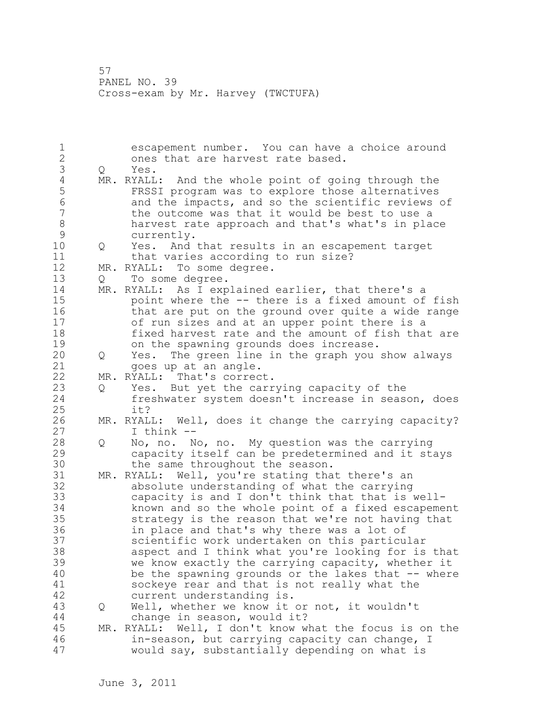1 escapement number. You can have a choice around 2 ones that are harvest rate based. 3 Q Yes. 4 MR. RYALL: And the whole point of going through the<br>5 FRSSI program was to explore those alternatives 5 FRSSI program was to explore those alternatives 6 and the impacts, and so the scientific reviews of<br>7 bthe outcome was that it would be best to use a the outcome was that it would be best to use a 8 harvest rate approach and that's what's in place<br>9 currently. 9 currently.<br>10 O Yes. And 10 Q Yes. And that results in an escapement target 11 that varies according to run size? 12 MR. RYALL: To some degree. 13 Q To some degree. 14 MR. RYALL: As I explained earlier, that there's a 15 point where the -- there is a fixed amount of fish 16 that are put on the ground over quite a wide range 17 of run sizes and at an upper point there is a 18 fixed harvest rate and the amount of fish that are 19 on the spawning grounds does increase.<br>20 0 Yes. The green line in the graph you 20 Q Yes. The green line in the graph you show always 21 goes up at an angle. 22 MR. RYALL: That's correct. 23 Q Yes. But yet the carrying capacity of the 24 freshwater system doesn't increase in season, does 25 it? 26 MR. RYALL: Well, does it change the carrying capacity?<br>27 1 think --I think  $--$ 28 Q No, no. No, no. My question was the carrying 29 capacity itself can be predetermined and it stays 30 the same throughout the season.<br>31 MR. RYALL: Well, you're stating tha MR. RYALL: Well, you're stating that there's an 32 absolute understanding of what the carrying 33 capacity is and I don't think that that is well-34 known and so the whole point of a fixed escapement 35 strategy is the reason that we're not having that 36 in place and that's why there was a lot of 37 scientific work undertaken on this particular 38 aspect and I think what you're looking for is that 39 we know exactly the carrying capacity, whether it 40 be the spawning grounds or the lakes that -- where 41 sockeye rear and that is not really what the 42 current understanding is. 43 Q Well, whether we know it or not, it wouldn't 44 change in season, would it? 45 MR. RYALL: Well, I don't know what the focus is on the 46 in-season, but carrying capacity can change, I 47 would say, substantially depending on what is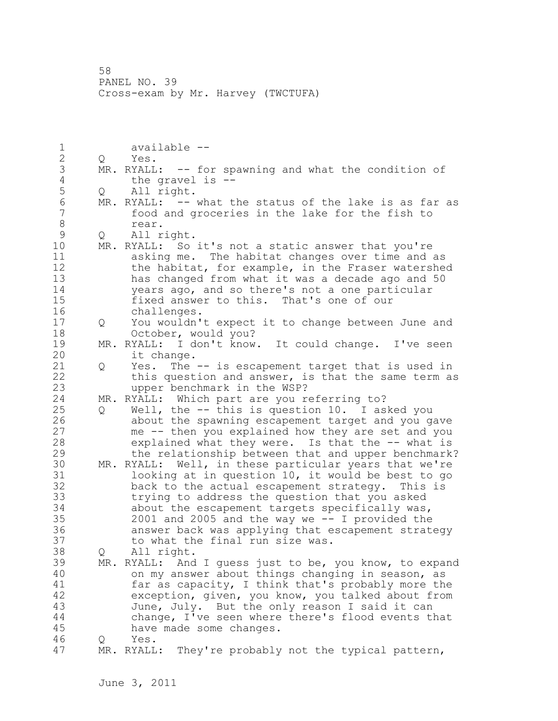1 available -- 2 Q Yes. 3 MR. RYALL: -- for spawning and what the condition of<br>4 the gravel is --4 the gravel is --<br>5 0 All right. 5 Q All right.<br>6 MR. RYALL: --6 MR. RYALL: -- what the status of the lake is as far as<br>7 food and groceries in the lake for the fish to food and groceries in the lake for the fish to 8 rear.<br>9 Q All r 9 Q All right.<br>10 MR. RYALL: So MR. RYALL: So it's not a static answer that you're 11 asking me. The habitat changes over time and as 12 the habitat, for example, in the Fraser watershed 13 has changed from what it was a decade ago and 50 14 years ago, and so there's not a one particular 15 fixed answer to this. That's one of our 16 challenges. 17 Q You wouldn't expect it to change between June and 18 October, would you? 19 MR. RYALL: I don't know. It could change. I've seen<br>20 it change. it change. 21 Q Yes. The -- is escapement target that is used in 22 this question and answer, is that the same term as 23 upper benchmark in the WSP? 24 MR. RYALL: Which part are you referring to? 25 Q Well, the -- this is question 10. I asked you 26 about the spawning escapement target and you gave<br>27 me -- then you explained how they are set and you me -- then you explained how they are set and you 28 explained what they were. Is that the -- what is 29 the relationship between that and upper benchmark? 30 MR. RYALL: Well, in these particular years that we're<br>31 100king at in question 10, it would be best to go looking at in question 10, it would be best to go 32 back to the actual escapement strategy. This is 33 trying to address the question that you asked 34 about the escapement targets specifically was, 35 2001 and 2005 and the way we -- I provided the 36 answer back was applying that escapement strategy 37 to what the final run size was. 38 Q All right. 39 MR. RYALL: And I guess just to be, you know, to expand 40 on my answer about things changing in season, as 41 far as capacity, I think that's probably more the 42 exception, given, you know, you talked about from 43 June, July. But the only reason I said it can 44 change, I've seen where there's flood events that 45 have made some changes. 46 Q Yes. 47 MR. RYALL: They're probably not the typical pattern,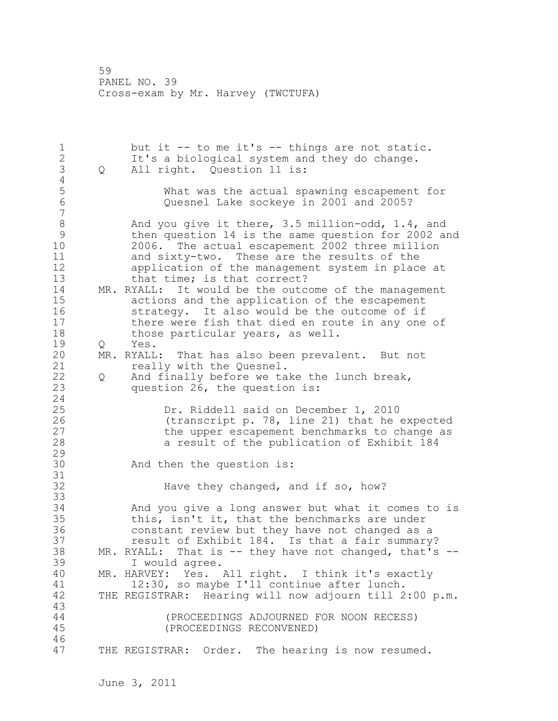1 but it -- to me it's -- things are not static. 2 It's a biological system and they do change. 3 Q All right. Question 11 is:  $\frac{4}{5}$ 5 What was the actual spawning escapement for Quesnel Lake sockeye in 2001 and 2005? 7 8 And you give it there, 3.5 million-odd, 1.4, and<br>9 then question 14 is the same question for 2002 a 9 then question 14 is the same question for 2002 and 10 2006. The actual escapement 2002 three million 11 and sixty-two. These are the results of the 12 application of the management system in place at 13 that time; is that correct? 14 MR. RYALL: It would be the outcome of the management 15 actions and the application of the escapement 16 strategy. It also would be the outcome of if 17 there were fish that died en route in any one of 18 those particular years, as well. 19 Q Yes.<br>20 MR. RYALL MR. RYALL: That has also been prevalent. But not 21 really with the Quesnel. 22 Q And finally before we take the lunch break, 23 question 26, the question is: 24 25 Dr. Riddell said on December 1, 2010 26 (transcript p. 78, line 21) that he expected<br>27 the upper escapement benchmarks to change as the upper escapement benchmarks to change as 28 a result of the publication of Exhibit 184 29 30 And then the question is: 31<br>32 Have they changed, and if so, how? 33 34 And you give a long answer but what it comes to is 35 this, isn't it, that the benchmarks are under 36 constant review but they have not changed as a 37 result of Exhibit 184. Is that a fair summary? 38 MR. RYALL: That is -- they have not changed, that's --39 I would agree. 40 MR. HARVEY: Yes. All right. I think it's exactly 41 12:30, so maybe I'll continue after lunch.<br>42 THE REGISTRAR: Hearing will now adjourn till 2 THE REGISTRAR: Hearing will now adjourn till 2:00 p.m. 43 44 (PROCEEDINGS ADJOURNED FOR NOON RECESS) 45 (PROCEEDINGS RECONVENED) 46 47 THE REGISTRAR: Order. The hearing is now resumed.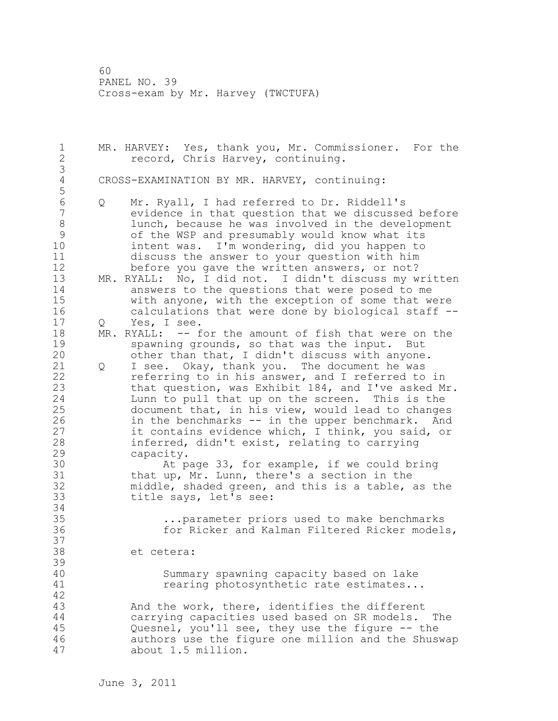1 MR. HARVEY: Yes, thank you, Mr. Commissioner. For the 2 record, Chris Harvey, continuing. 3 CROSS-EXAMINATION BY MR. HARVEY, continuing: 5 6 Q Mr. Ryall, I had referred to Dr. Riddell's evidence in that question that we discussed before 8 lunch, because he was involved in the development 9 of the WSP and presumably would know what its<br>10 intent was. I'm wondering, did you happen to intent was. I'm wondering, did you happen to 11 discuss the answer to your question with him 12 before you gave the written answers, or not? 13 MR. RYALL: No, I did not. I didn't discuss my written 14 answers to the questions that were posed to me 15 with anyone, with the exception of some that were 16 calculations that were done by biological staff -- 17 Q Yes, I see. 18 MR. RYALL: -- for the amount of fish that were on the 19 spawning grounds, so that was the input. But<br>20 other than that, I didn't discuss with anyone other than that, I didn't discuss with anyone. 21 Q I see. Okay, thank you. The document he was 22 referring to in his answer, and I referred to in 23 that question, was Exhibit 184, and I've asked Mr. 24 Lunn to pull that up on the screen. This is the 25 document that, in his view, would lead to changes 26 in the benchmarks -- in the upper benchmark. And<br>27 it contains evidence which, I think, you said, or it contains evidence which, I think, you said, or 28 inferred, didn't exist, relating to carrying 29 capacity. 30 At page 33, for example, if we could bring<br>31 that up, Mr. Lunn, there's a section in the that up, Mr. Lunn, there's a section in the 32 middle, shaded green, and this is a table, as the 33 title says, let's see: 34 35 ...parameter priors used to make benchmarks 36 for Ricker and Kalman Filtered Ricker models, 37 38 et cetera: 39 40 Summary spawning capacity based on lake 41 **rearing photosynthetic rate estimates...** 42 43 And the work, there, identifies the different 44 carrying capacities used based on SR models. The 45 Quesnel, you'll see, they use the figure -- the 46 authors use the figure one million and the Shuswap 47 about 1.5 million.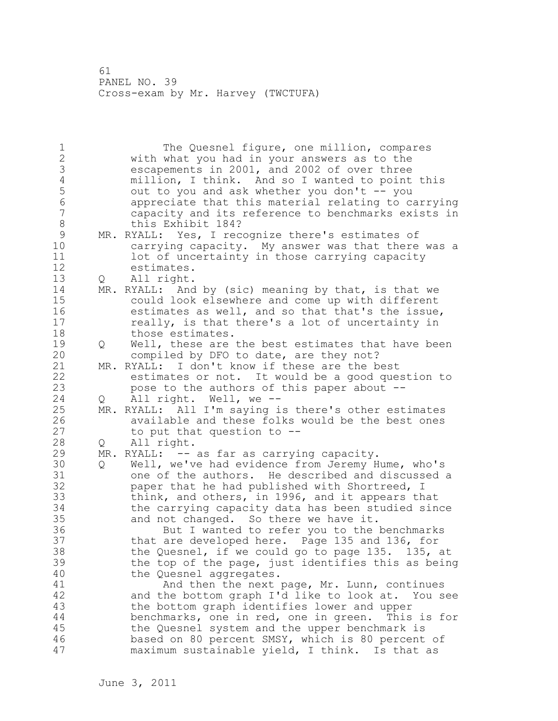1 The Quesnel figure, one million, compares 2 with what you had in your answers as to the 3 escapements in 2001, and 2002 of over three<br>4 million, I think. And so I wanted to point 4 million, I think. And so I wanted to point this<br>5 out to you and ask whether you don't -- you 5 out to you and ask whether you don't -- you<br>6 appreciate that this material relating to ca 6 appreciate that this material relating to carrying capacity and its reference to benchmarks exists in 8 this Exhibit 184? 9 MR. RYALL: Yes, I recognize there's estimates of<br>10 carrving capacity. My answer was that there carrying capacity. My answer was that there was a 11 lot of uncertainty in those carrying capacity 12 estimates. 13 Q All right. 14 MR. RYALL: And by (sic) meaning by that, is that we 15 could look elsewhere and come up with different 16 estimates as well, and so that that's the issue, 17 really, is that there's a lot of uncertainty in 18 those estimates. 19 Q Well, these are the best estimates that have been<br>20 compiled by DFO to date, are they not? compiled by DFO to date, are they not? 21 MR. RYALL: I don't know if these are the best 22 estimates or not. It would be a good question to 23 pose to the authors of this paper about -- 24 Q All right. Well, we -- 25 MR. RYALL: All I'm saying is there's other estimates 26 available and these folks would be the best ones<br>27 to put that question to  $$ to put that question to  $-$ -28 Q All right. 29 MR. RYALL: -- as far as carrying capacity. 30 Q Well, we've had evidence from Jeremy Hume, who's one of the authors. He described and discussed a 32 paper that he had published with Shortreed, I 33 think, and others, in 1996, and it appears that 34 the carrying capacity data has been studied since 35 and not changed. So there we have it. 36 But I wanted to refer you to the benchmarks 37 that are developed here. Page 135 and 136, for 38 the Quesnel, if we could go to page 135. 135, at 39 the top of the page, just identifies this as being 40 the Quesnel aggregates. 41 And then the next page, Mr. Lunn, continues 42 and the bottom graph I'd like to look at. You see 43 the bottom graph identifies lower and upper 44 benchmarks, one in red, one in green. This is for 45 the Quesnel system and the upper benchmark is 46 based on 80 percent SMSY, which is 80 percent of 47 maximum sustainable yield, I think. Is that as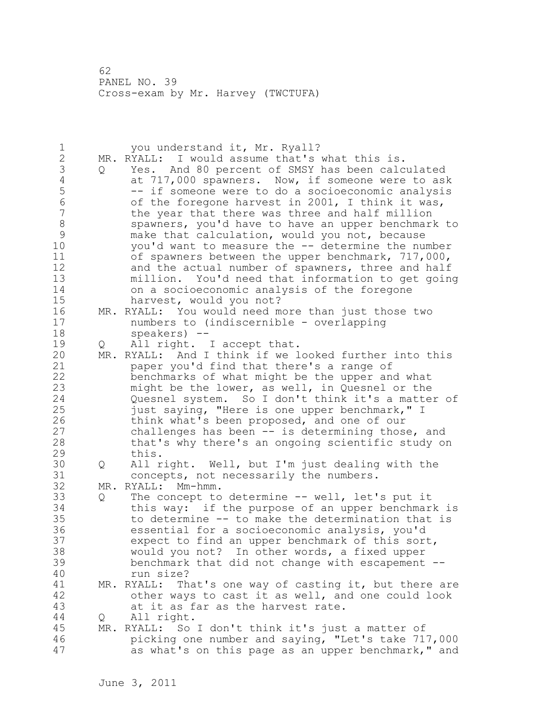| $\mathbf 1$<br>$\overline{c}$<br>3<br>$\overline{4}$<br>5<br>$\sqrt{6}$<br>$\overline{7}$<br>$\,8\,$<br>$\mathsf 9$<br>10<br>11<br>12<br>13 | Q        | you understand it, Mr. Ryall?<br>MR. RYALL: I would assume that's what this is.<br>Yes. And 80 percent of SMSY has been calculated<br>at 717,000 spawners. Now, if someone were to ask<br>-- if someone were to do a socioeconomic analysis<br>of the foregone harvest in 2001, I think it was,<br>the year that there was three and half million<br>spawners, you'd have to have an upper benchmark to<br>make that calculation, would you not, because<br>you'd want to measure the -- determine the number<br>of spawners between the upper benchmark, 717,000,<br>and the actual number of spawners, three and half<br>million. You'd need that information to get going |
|---------------------------------------------------------------------------------------------------------------------------------------------|----------|------------------------------------------------------------------------------------------------------------------------------------------------------------------------------------------------------------------------------------------------------------------------------------------------------------------------------------------------------------------------------------------------------------------------------------------------------------------------------------------------------------------------------------------------------------------------------------------------------------------------------------------------------------------------------|
| 14<br>15                                                                                                                                    |          | on a socioeconomic analysis of the foregone                                                                                                                                                                                                                                                                                                                                                                                                                                                                                                                                                                                                                                  |
| 16<br>17<br>18                                                                                                                              |          | harvest, would you not?<br>MR. RYALL: You would need more than just those two<br>numbers to (indiscernible - overlapping<br>speakers) --                                                                                                                                                                                                                                                                                                                                                                                                                                                                                                                                     |
| 19                                                                                                                                          | Q        | All right. I accept that.                                                                                                                                                                                                                                                                                                                                                                                                                                                                                                                                                                                                                                                    |
| 20<br>21<br>22<br>23<br>24<br>25<br>26<br>27<br>28<br>29                                                                                    |          | MR. RYALL: And I think if we looked further into this<br>paper you'd find that there's a range of<br>benchmarks of what might be the upper and what<br>might be the lower, as well, in Quesnel or the<br>Quesnel system. So I don't think it's a matter of<br>just saying, "Here is one upper benchmark," I<br>think what's been proposed, and one of our<br>challenges has been -- is determining those, and<br>that's why there's an ongoing scientific study on<br>this.                                                                                                                                                                                                  |
| 30<br>31                                                                                                                                    | Q        | All right. Well, but I'm just dealing with the<br>concepts, not necessarily the numbers.                                                                                                                                                                                                                                                                                                                                                                                                                                                                                                                                                                                     |
| 32                                                                                                                                          |          | MR. RYALL: Mm-hmm.                                                                                                                                                                                                                                                                                                                                                                                                                                                                                                                                                                                                                                                           |
| 33<br>34<br>35<br>36<br>37<br>38<br>39<br>40                                                                                                | Q        | The concept to determine -- well, let's put it<br>this way: if the purpose of an upper benchmark is<br>to determine -- to make the determination that is<br>essential for a socioeconomic analysis, you'd<br>expect to find an upper benchmark of this sort,<br>would you not? In other words, a fixed upper<br>benchmark that did not change with escapement --<br>run size?                                                                                                                                                                                                                                                                                                |
| 41<br>42<br>43                                                                                                                              |          | MR. RYALL:<br>That's one way of casting it, but there are<br>other ways to cast it as well, and one could look<br>at it as far as the harvest rate.                                                                                                                                                                                                                                                                                                                                                                                                                                                                                                                          |
| 44<br>45<br>46<br>47                                                                                                                        | Q<br>MR. | All right.<br>RYALL: So I don't think it's just a matter of<br>picking one number and saying, "Let's take 717,000<br>as what's on this page as an upper benchmark," and                                                                                                                                                                                                                                                                                                                                                                                                                                                                                                      |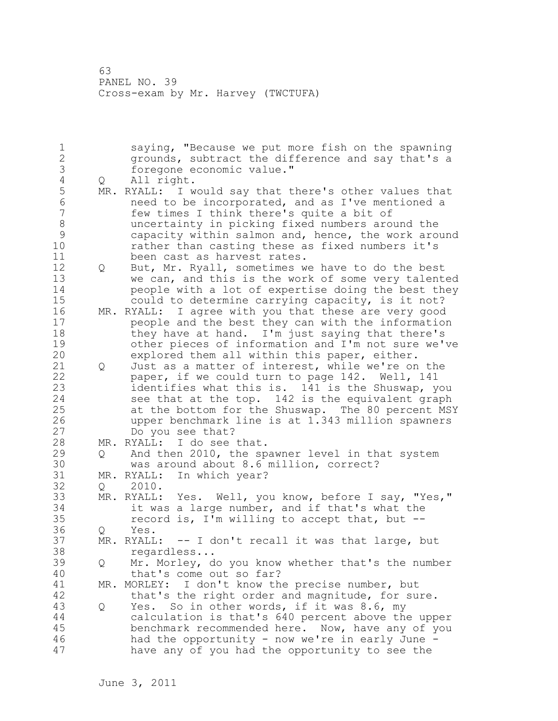1 saying, "Because we put more fish on the spawning 2 grounds, subtract the difference and say that's a 3 foregone economic value."<br>4 0 All right. 4 Q All right.<br>5 MR. RYALL: I w 5 MR. RYALL: I would say that there's other values that<br>6 meed to be incorporated, and as I've mentioned a 6 need to be incorporated, and as I've mentioned a few times I think there's quite a bit of 8 uncertainty in picking fixed numbers around the 9 capacity within salmon and, hence, the work around<br>10 cather than casting these as fixed numbers it's rather than casting these as fixed numbers it's 11 been cast as harvest rates. 12 Q But, Mr. Ryall, sometimes we have to do the best 13 we can, and this is the work of some very talented 14 people with a lot of expertise doing the best they 15 could to determine carrying capacity, is it not? 16 MR. RYALL: I agree with you that these are very good 17 people and the best they can with the information 18 they have at hand. I'm just saying that there's 19 other pieces of information and I'm not sure we've<br>20 explored them all within this paper, either. explored them all within this paper, either. 21 Q Just as a matter of interest, while we're on the 22 paper, if we could turn to page 142. Well, 141 23 identifies what this is. 141 is the Shuswap, you 24 see that at the top. 142 is the equivalent graph 25 at the bottom for the Shuswap. The 80 percent MSY 26 upper benchmark line is at 1.343 million spawners Do you see that? 28 MR. RYALL: I do see that. 29 Q And then 2010, the spawner level in that system 30 was around about 8.6 million, correct?<br>31 MR. RYALL: In which year? 31 MR. RYALL: In which year?<br>32 0 2010. Q 2010. 33 MR. RYALL: Yes. Well, you know, before I say, "Yes," 34 it was a large number, and if that's what the 35 record is, I'm willing to accept that, but -- 36 Q Yes. 37 MR. RYALL: -- I don't recall it was that large, but 38 regardless... 39 Q Mr. Morley, do you know whether that's the number 40 that's come out so far? 41 MR. MORLEY: I don't know the precise number, but<br>42 that's the right order and magnitude, for sup that's the right order and magnitude, for sure. 43 Q Yes. So in other words, if it was 8.6, my 44 calculation is that's 640 percent above the upper 45 benchmark recommended here. Now, have any of you 46 had the opportunity - now we're in early June - 47 have any of you had the opportunity to see the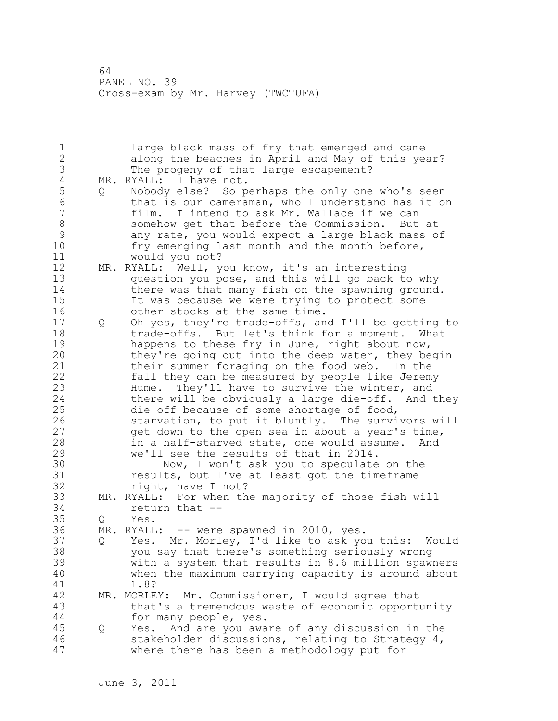1 large black mass of fry that emerged and came 2 along the beaches in April and May of this year? 3 The progeny of that large escapement?<br>4 MR. RYALL: I have not. 4 MR. RYALL: I have not.<br>5 0 Nobody else? So p 5 Q Nobody else? So perhaps the only one who's seen 6 that is our cameraman, who I understand has it on<br>7 film. I intend to ask Mr. Wallace if we can film. I intend to ask Mr. Wallace if we can 8 somehow get that before the Commission. But at 9 any rate, you would expect a large black mass of<br>10 fry emerging last month and the month before, fry emerging last month and the month before, 11 would you not? 12 MR. RYALL: Well, you know, it's an interesting 13 question you pose, and this will go back to why 14 there was that many fish on the spawning ground. 15 It was because we were trying to protect some 16 other stocks at the same time. 17 Q Oh yes, they're trade-offs, and I'll be getting to 18 trade-offs. But let's think for a moment. What 19 happens to these fry in June, right about now,<br>20 they're going out into the deep water, they be they're going out into the deep water, they begin 21 their summer foraging on the food web. In the 22 fall they can be measured by people like Jeremy 23 Hume. They'll have to survive the winter, and 24 there will be obviously a large die-off. And they 25 die off because of some shortage of food, 26 starvation, to put it bluntly. The survivors will<br>27 get down to the open sea in about a year's time, get down to the open sea in about a year's time, 28 in a half-starved state, one would assume. And 29 we'll see the results of that in 2014. 30 Now, I won't ask you to speculate on the<br>31 Sesults, but I've at least got the timeframe results, but I've at least got the timeframe 32 right, have I not? 33 MR. RYALL: For when the majority of those fish will 34 return that -- 35 Q Yes. 36 MR. RYALL: -- were spawned in 2010, yes. 37 Q Yes. Mr. Morley, I'd like to ask you this: Would 38 you say that there's something seriously wrong 39 with a system that results in 8.6 million spawners 40 when the maximum carrying capacity is around about 41 1.8?<br>42 MR. MORLE MR. MORLEY: Mr. Commissioner, I would agree that 43 that's a tremendous waste of economic opportunity 44 for many people, yes. 45 Q Yes. And are you aware of any discussion in the 46 stakeholder discussions, relating to Strategy 4, 47 where there has been a methodology put for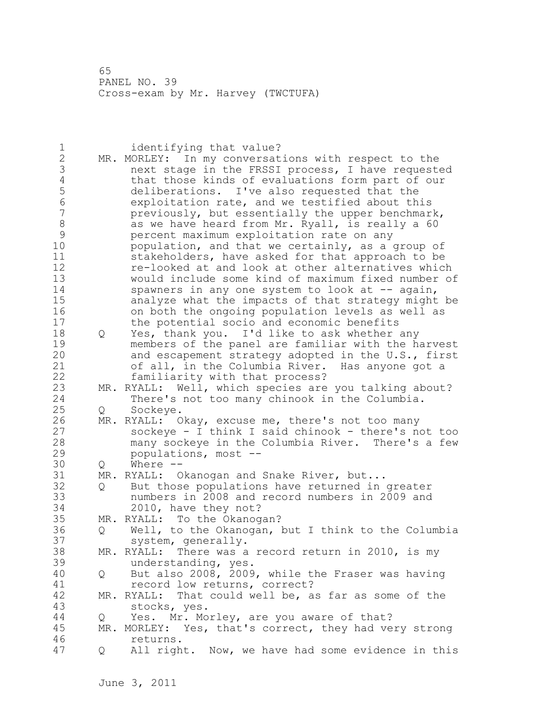| 1<br>$\mathbf{2}$<br>3<br>4<br>5<br>$\overline{6}$<br>$\overline{7}$<br>$\,8\,$<br>$\mathcal{G}$<br>10<br>11<br>12<br>13<br>14<br>15 |                   | identifying that value?<br>MR. MORLEY: In my conversations with respect to the<br>next stage in the FRSSI process, I have requested<br>that those kinds of evaluations form part of our<br>deliberations. I've also requested that the<br>exploitation rate, and we testified about this<br>previously, but essentially the upper benchmark,<br>as we have heard from Mr. Ryall, is really a 60<br>percent maximum exploitation rate on any<br>population, and that we certainly, as a group of<br>stakeholders, have asked for that approach to be<br>re-looked at and look at other alternatives which<br>would include some kind of maximum fixed number of<br>spawners in any one system to look at -- again,<br>analyze what the impacts of that strategy might be |
|--------------------------------------------------------------------------------------------------------------------------------------|-------------------|-------------------------------------------------------------------------------------------------------------------------------------------------------------------------------------------------------------------------------------------------------------------------------------------------------------------------------------------------------------------------------------------------------------------------------------------------------------------------------------------------------------------------------------------------------------------------------------------------------------------------------------------------------------------------------------------------------------------------------------------------------------------------|
| 16                                                                                                                                   |                   | on both the ongoing population levels as well as                                                                                                                                                                                                                                                                                                                                                                                                                                                                                                                                                                                                                                                                                                                        |
| 17<br>18<br>19<br>20<br>21                                                                                                           | Q                 | the potential socio and economic benefits<br>Yes, thank you. I'd like to ask whether any<br>members of the panel are familiar with the harvest<br>and escapement strategy adopted in the U.S., first<br>of all, in the Columbia River.<br>Has anyone got a                                                                                                                                                                                                                                                                                                                                                                                                                                                                                                              |
| 22<br>23                                                                                                                             |                   | familiarity with that process?<br>MR. RYALL: Well, which species are you talking about?                                                                                                                                                                                                                                                                                                                                                                                                                                                                                                                                                                                                                                                                                 |
| 24                                                                                                                                   |                   | There's not too many chinook in the Columbia.                                                                                                                                                                                                                                                                                                                                                                                                                                                                                                                                                                                                                                                                                                                           |
| 25                                                                                                                                   | Q                 | Sockeye.                                                                                                                                                                                                                                                                                                                                                                                                                                                                                                                                                                                                                                                                                                                                                                |
| 26<br>27<br>28<br>29                                                                                                                 |                   | MR. RYALL: Okay, excuse me, there's not too many<br>sockeye - I think I said chinook - there's not too<br>many sockeye in the Columbia River. There's a few<br>populations, most --                                                                                                                                                                                                                                                                                                                                                                                                                                                                                                                                                                                     |
| 30                                                                                                                                   | Q                 | Where $--$                                                                                                                                                                                                                                                                                                                                                                                                                                                                                                                                                                                                                                                                                                                                                              |
| 31                                                                                                                                   |                   | MR. RYALL: Okanogan and Snake River, but                                                                                                                                                                                                                                                                                                                                                                                                                                                                                                                                                                                                                                                                                                                                |
| 32<br>33<br>34                                                                                                                       | $Q \qquad \qquad$ | But those populations have returned in greater<br>numbers in 2008 and record numbers in 2009 and<br>2010, have they not?                                                                                                                                                                                                                                                                                                                                                                                                                                                                                                                                                                                                                                                |
| 35                                                                                                                                   |                   | MR. RYALL: To the Okanogan?                                                                                                                                                                                                                                                                                                                                                                                                                                                                                                                                                                                                                                                                                                                                             |
| 36                                                                                                                                   | $Q \qquad \qquad$ | Well, to the Okanogan, but I think to the Columbia                                                                                                                                                                                                                                                                                                                                                                                                                                                                                                                                                                                                                                                                                                                      |
| 37                                                                                                                                   |                   | system, generally.                                                                                                                                                                                                                                                                                                                                                                                                                                                                                                                                                                                                                                                                                                                                                      |
| 38<br>39                                                                                                                             |                   | MR. RYALL: There was a record return in 2010, is my<br>understanding, yes.                                                                                                                                                                                                                                                                                                                                                                                                                                                                                                                                                                                                                                                                                              |
| 40<br>41                                                                                                                             | Q                 | But also 2008, 2009, while the Fraser was having<br>record low returns, correct?                                                                                                                                                                                                                                                                                                                                                                                                                                                                                                                                                                                                                                                                                        |
| 42<br>43                                                                                                                             |                   | MR. RYALL: That could well be, as far as some of the<br>stocks, yes.                                                                                                                                                                                                                                                                                                                                                                                                                                                                                                                                                                                                                                                                                                    |
| 44                                                                                                                                   |                   | Yes. Mr. Morley, are you aware of that?                                                                                                                                                                                                                                                                                                                                                                                                                                                                                                                                                                                                                                                                                                                                 |
| 45                                                                                                                                   | Q                 |                                                                                                                                                                                                                                                                                                                                                                                                                                                                                                                                                                                                                                                                                                                                                                         |
| 46                                                                                                                                   |                   | MR. MORLEY: Yes, that's correct, they had very strong                                                                                                                                                                                                                                                                                                                                                                                                                                                                                                                                                                                                                                                                                                                   |
|                                                                                                                                      |                   | returns.                                                                                                                                                                                                                                                                                                                                                                                                                                                                                                                                                                                                                                                                                                                                                                |
| 47                                                                                                                                   | Q                 | All right. Now, we have had some evidence in this                                                                                                                                                                                                                                                                                                                                                                                                                                                                                                                                                                                                                                                                                                                       |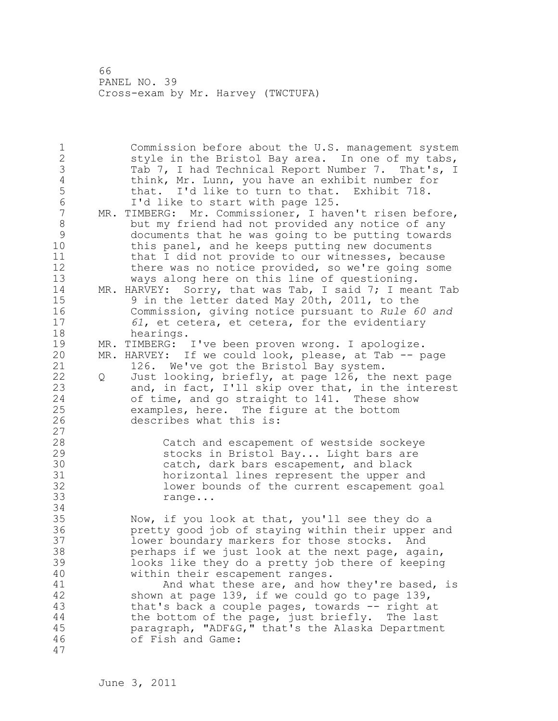1 Commission before about the U.S. management system 2 style in the Bristol Bay area. In one of my tabs, 3 Tab 7, I had Technical Report Number 7. That's, I<br>4 think, Mr. Lunn, you have an exhibit number for 4 think, Mr. Lunn, you have an exhibit number for<br>5 that. I'd like to turn to that. Exhibit 718. 5 that. I'd like to turn to that. Exhibit 718.<br>6 1'd like to start with page 125. 6 1'd like to start with page 125.<br>7 MR. TIMBERG: Mr. Commissioner, I hav MR. TIMBERG: Mr. Commissioner, I haven't risen before, 8 but my friend had not provided any notice of any 9 documents that he was going to be putting towards<br>10 this panel, and he keeps putting new documents this panel, and he keeps putting new documents 11 that I did not provide to our witnesses, because 12 there was no notice provided, so we're going some 13 ways along here on this line of questioning. 14 MR. HARVEY: Sorry, that was Tab, I said 7; I meant Tab 15 9 in the letter dated May 20th, 2011, to the 16 Commission, giving notice pursuant to *Rule 60 and*  17 *61*, et cetera, et cetera, for the evidentiary 18 hearings. 19 MR. TIMBERG: I've been proven wrong. I apologize.<br>20 MR. HARVEY: If we could look, please, at Tab -- p MR. HARVEY: If we could look, please, at Tab -- page 21 126. We've got the Bristol Bay system. 22 Q Just looking, briefly, at page 126, the next page 23 and, in fact, I'll skip over that, in the interest 24 of time, and go straight to 141. These show 25 examples, here. The figure at the bottom 26 describes what this is: 27 28 Catch and escapement of westside sockeye 29 stocks in Bristol Bay... Light bars are 30 catch, dark bars escapement, and black<br>31 correlates horizontal lines represent the upper a 31 horizontal lines represent the upper and<br>32 hower bounds of the current escapement q lower bounds of the current escapement goal 33 range... 34 35 Now, if you look at that, you'll see they do a 36 pretty good job of staying within their upper and 37 lower boundary markers for those stocks. And 38 perhaps if we just look at the next page, again, 39 looks like they do a pretty job there of keeping 40 within their escapement ranges. 41 And what these are, and how they're based, is<br>42 shown at page 139, if we could go to page 139, shown at page 139, if we could go to page 139, 43 that's back a couple pages, towards -- right at 44 the bottom of the page, just briefly. The last 45 paragraph, "ADF&G," that's the Alaska Department 46 of Fish and Game: 47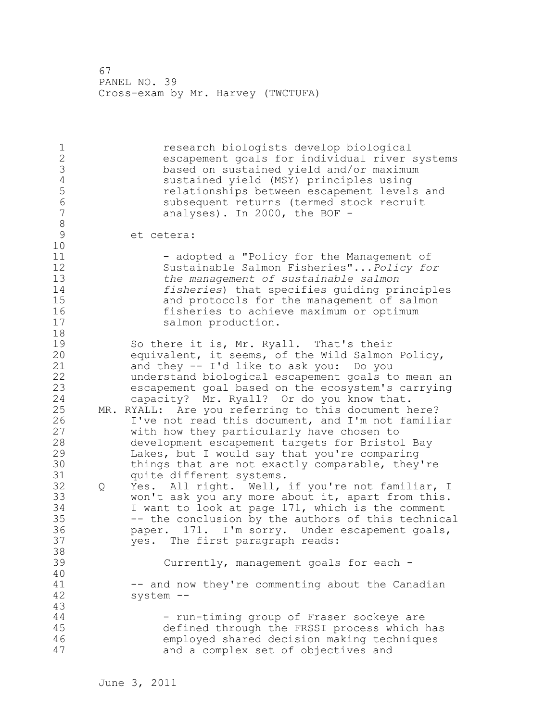1 1 research biologists develop biological<br>2 2 research coals for individual river escapement goals for individual river systems 3 based on sustained yield and/or maximum 4 sustained yield (MSY) principles using 5 relationships between escapement levels and 6 subsequent returns (termed stock recruit<br>7 analyses). In 2000, the BOF analyses). In 2000, the BOF  $-$ 8<br>9 et cetera: 10 11 - 11 - adopted a "Policy for the Management of 12 Sustainable Salmon Fisheries"...*Policy for*  13 *the management of sustainable salmon*  14 *fisheries*) that specifies guiding principles 15 and protocols for the management of salmon 16 fisheries to achieve maximum or optimum<br>17 salmon production. salmon production. 18 19 So there it is, Mr. Ryall. That's their<br>20 equivalent, it seems, of the Wild Salmon equivalent, it seems, of the Wild Salmon Policy, 21 and they -- I'd like to ask you: Do you 22 understand biological escapement goals to mean an 23 escapement goal based on the ecosystem's carrying 24 capacity? Mr. Ryall? Or do you know that. 25 MR. RYALL: Are you referring to this document here? 26 I've not read this document, and I'm not familiar<br>27 with how they particularly have chosen to with how they particularly have chosen to 28 development escapement targets for Bristol Bay 29 Lakes, but I would say that you're comparing 30 things that are not exactly comparable, they're<br>31 ouite different systems. quite different systems. 32 Q Yes. All right. Well, if you're not familiar, I 33 won't ask you any more about it, apart from this. 34 I want to look at page 171, which is the comment 35 -- the conclusion by the authors of this technical 36 paper. 171. I'm sorry. Under escapement goals, 37 yes. The first paragraph reads: 38 39 Currently, management goals for each - 40 41 -- and now they're commenting about the Canadian<br>42 system -system --43 44 - Tun-timing group of Fraser sockeye are 45 defined through the FRSSI process which has 46 employed shared decision making techniques 47 and a complex set of objectives and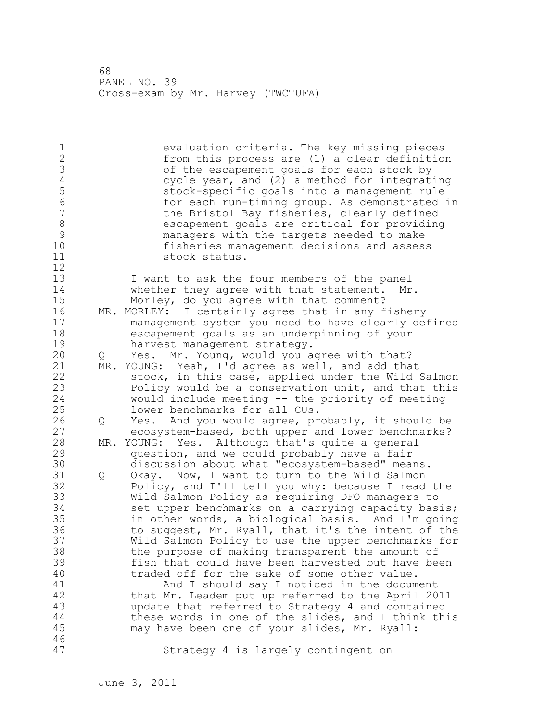| 1<br>$\overline{2}$<br>3<br>$\sqrt{4}$<br>5<br>$6\phantom{a}$<br>7<br>$\,8\,$<br>9<br>10<br>11<br>12 |   | evaluation criteria. The key missing pieces<br>from this process are (1) a clear definition<br>of the escapement goals for each stock by<br>cycle year, and (2) a method for integrating<br>stock-specific goals into a management rule<br>for each run-timing group. As demonstrated in<br>the Bristol Bay fisheries, clearly defined<br>escapement goals are critical for providing<br>managers with the targets needed to make<br>fisheries management decisions and assess<br>stock status. |
|------------------------------------------------------------------------------------------------------|---|-------------------------------------------------------------------------------------------------------------------------------------------------------------------------------------------------------------------------------------------------------------------------------------------------------------------------------------------------------------------------------------------------------------------------------------------------------------------------------------------------|
| 13                                                                                                   |   | I want to ask the four members of the panel                                                                                                                                                                                                                                                                                                                                                                                                                                                     |
| 14                                                                                                   |   | whether they agree with that statement.<br>Mr.                                                                                                                                                                                                                                                                                                                                                                                                                                                  |
| 15                                                                                                   |   | Morley, do you agree with that comment?                                                                                                                                                                                                                                                                                                                                                                                                                                                         |
| 16                                                                                                   |   | MR. MORLEY: I certainly agree that in any fishery                                                                                                                                                                                                                                                                                                                                                                                                                                               |
| 17                                                                                                   |   |                                                                                                                                                                                                                                                                                                                                                                                                                                                                                                 |
|                                                                                                      |   | management system you need to have clearly defined                                                                                                                                                                                                                                                                                                                                                                                                                                              |
| 18                                                                                                   |   | escapement goals as an underpinning of your                                                                                                                                                                                                                                                                                                                                                                                                                                                     |
| 19                                                                                                   |   | harvest management strategy.                                                                                                                                                                                                                                                                                                                                                                                                                                                                    |
| 20                                                                                                   | Q | Yes. Mr. Young, would you agree with that?                                                                                                                                                                                                                                                                                                                                                                                                                                                      |
| 21                                                                                                   |   | MR. YOUNG: Yeah, I'd agree as well, and add that                                                                                                                                                                                                                                                                                                                                                                                                                                                |
| 22                                                                                                   |   | stock, in this case, applied under the Wild Salmon                                                                                                                                                                                                                                                                                                                                                                                                                                              |
| 23                                                                                                   |   | Policy would be a conservation unit, and that this                                                                                                                                                                                                                                                                                                                                                                                                                                              |
| 24                                                                                                   |   | would include meeting -- the priority of meeting                                                                                                                                                                                                                                                                                                                                                                                                                                                |
| 25                                                                                                   |   | lower benchmarks for all CUs.                                                                                                                                                                                                                                                                                                                                                                                                                                                                   |
| 26                                                                                                   | Q | Yes. And you would agree, probably, it should be                                                                                                                                                                                                                                                                                                                                                                                                                                                |
| 27                                                                                                   |   | ecosystem-based, both upper and lower benchmarks?                                                                                                                                                                                                                                                                                                                                                                                                                                               |
| 28                                                                                                   |   | MR. YOUNG: Yes. Although that's quite a general                                                                                                                                                                                                                                                                                                                                                                                                                                                 |
| 29                                                                                                   |   | question, and we could probably have a fair                                                                                                                                                                                                                                                                                                                                                                                                                                                     |
| 30                                                                                                   |   | discussion about what "ecosystem-based" means.                                                                                                                                                                                                                                                                                                                                                                                                                                                  |
| 31                                                                                                   | Q | Okay. Now, I want to turn to the Wild Salmon                                                                                                                                                                                                                                                                                                                                                                                                                                                    |
| 32                                                                                                   |   | Policy, and I'll tell you why: because I read the                                                                                                                                                                                                                                                                                                                                                                                                                                               |
| 33                                                                                                   |   | Wild Salmon Policy as requiring DFO managers to                                                                                                                                                                                                                                                                                                                                                                                                                                                 |
| 34                                                                                                   |   | set upper benchmarks on a carrying capacity basis;                                                                                                                                                                                                                                                                                                                                                                                                                                              |
| 35                                                                                                   |   | in other words, a biological basis. And I'm going                                                                                                                                                                                                                                                                                                                                                                                                                                               |
| 36                                                                                                   |   |                                                                                                                                                                                                                                                                                                                                                                                                                                                                                                 |
|                                                                                                      |   | to suggest, Mr. Ryall, that it's the intent of the                                                                                                                                                                                                                                                                                                                                                                                                                                              |
| 37                                                                                                   |   | Wild Salmon Policy to use the upper benchmarks for                                                                                                                                                                                                                                                                                                                                                                                                                                              |
| 38                                                                                                   |   | the purpose of making transparent the amount of                                                                                                                                                                                                                                                                                                                                                                                                                                                 |
| 39                                                                                                   |   | fish that could have been harvested but have been                                                                                                                                                                                                                                                                                                                                                                                                                                               |
| 40                                                                                                   |   | traded off for the sake of some other value.                                                                                                                                                                                                                                                                                                                                                                                                                                                    |
| 41                                                                                                   |   | And I should say I noticed in the document                                                                                                                                                                                                                                                                                                                                                                                                                                                      |
| 42                                                                                                   |   | that Mr. Leadem put up referred to the April 2011                                                                                                                                                                                                                                                                                                                                                                                                                                               |
| 43                                                                                                   |   | update that referred to Strategy 4 and contained                                                                                                                                                                                                                                                                                                                                                                                                                                                |
| 44                                                                                                   |   | these words in one of the slides, and I think this                                                                                                                                                                                                                                                                                                                                                                                                                                              |
| 45                                                                                                   |   | may have been one of your slides, Mr. Ryall:                                                                                                                                                                                                                                                                                                                                                                                                                                                    |
| 46                                                                                                   |   |                                                                                                                                                                                                                                                                                                                                                                                                                                                                                                 |
| 47                                                                                                   |   | Strategy 4 is largely contingent on                                                                                                                                                                                                                                                                                                                                                                                                                                                             |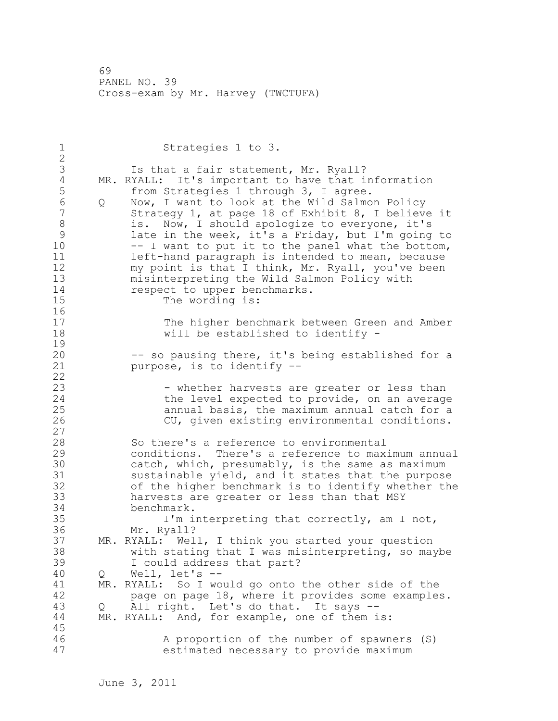1 Strategies 1 to 3. 2 3 Is that a fair statement, Mr. Ryall?<br>4 MR. RYALL: It's important to have that i 4 MR. RYALL: It's important to have that information<br>5 from Strategies 1 through 3, I agree. 5 from Strategies 1 through 3, I agree.<br>6 0 Now, I want to look at the Wild Salmo 6 Q Now, I want to look at the Wild Salmon Policy Strategy 1, at page 18 of Exhibit 8, I believe it 8 is. Now, I should apologize to everyone, it's 9 late in the week, it's a Friday, but I'm going to<br>10 -- I want to put it to the panel what the bottom.  $-$  I want to put it to the panel what the bottom, 11 **left-hand paragraph is intended to mean, because** 12 my point is that I think, Mr. Ryall, you've been 13 misinterpreting the Wild Salmon Policy with 14 respect to upper benchmarks. 15 The wording is: 16 17 The higher benchmark between Green and Amber 18 will be established to identify -  $\frac{19}{20}$ -- so pausing there, it's being established for a 21 purpose, is to identify -- 22 23 - The whether harvests are greater or less than 24 the level expected to provide, on an average 25 annual basis, the maximum annual catch for a 26 CU, given existing environmental conditions. 27 28 So there's a reference to environmental 29 conditions. There's a reference to maximum annual 30 catch, which, presumably, is the same as maximum<br>31 sustainable vield, and it states that the purpose sustainable yield, and it states that the purpose 32 of the higher benchmark is to identify whether the 33 harvests are greater or less than that MSY 34 benchmark. 35 I'm interpreting that correctly, am I not, 36 Mr. Ryall? 37 MR. RYALL: Well, I think you started your question 38 with stating that I was misinterpreting, so maybe 39 I could address that part? 40 Q Well, let's -- 41 MR. RYALL: So I would go onto the other side of the<br>42 **page on page 18, where it provides some example** page on page 18, where it provides some examples. 43 Q All right. Let's do that. It says -- 44 MR. RYALL: And, for example, one of them is: 45 46 A proportion of the number of spawners (S) 47 estimated necessary to provide maximum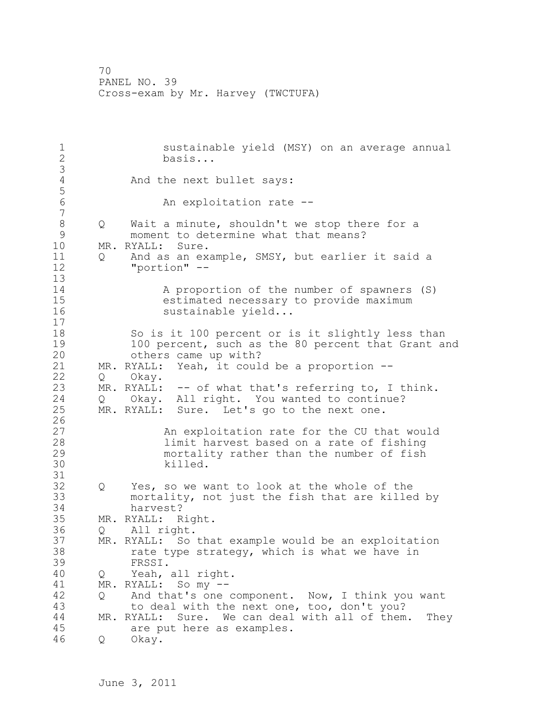1 sustainable yield (MSY) on an average annual<br>2 basis... 2 basis... 3 And the next bullet says: 5 An exploitation rate --7 8 Q Wait a minute, shouldn't we stop there for a<br>9 moment to determine what that means? 9 moment to determine what that means?<br>10 MR. RYALL: Sure. MR. RYALL: Sure. 11 Q And as an example, SMSY, but earlier it said a 12 "portion" -- 13 14 A proportion of the number of spawners (S) 15 estimated necessary to provide maximum 16 sustainable yield... 17 18 So is it 100 percent or is it slightly less than 19 100 percent, such as the 80 percent that Grant and<br>20 bthers came up with? others came up with? 21 MR. RYALL: Yeah, it could be a proportion -- 22 Q Okay. 23 MR. RYALL: -- of what that's referring to, I think.<br>24 0 Okay. All right. You wanted to continue? Q Okay. All right. You wanted to continue? 25 MR. RYALL: Sure. Let's go to the next one.  $\frac{26}{27}$ 27 An exploitation rate for the CU that would limit harvest based on a rate of fishing 29 mortality rather than the number of fish 30 killed. 31 32 Q Yes, so we want to look at the whole of the 33 mortality, not just the fish that are killed by 34 harvest? 35 MR. RYALL: Right. 36 Q All right. 37 MR. RYALL: So that example would be an exploitation 38 rate type strategy, which is what we have in 39 FRSSI. 40 Q Yeah, all right. 41 MR. RYALL: Somy --<br>42 0 And that's one 42 Q And that's one component. Now, I think you want 43 to deal with the next one, too, don't you? 44 MR. RYALL: Sure. We can deal with all of them. They 45 are put here as examples. 46 Q Okay.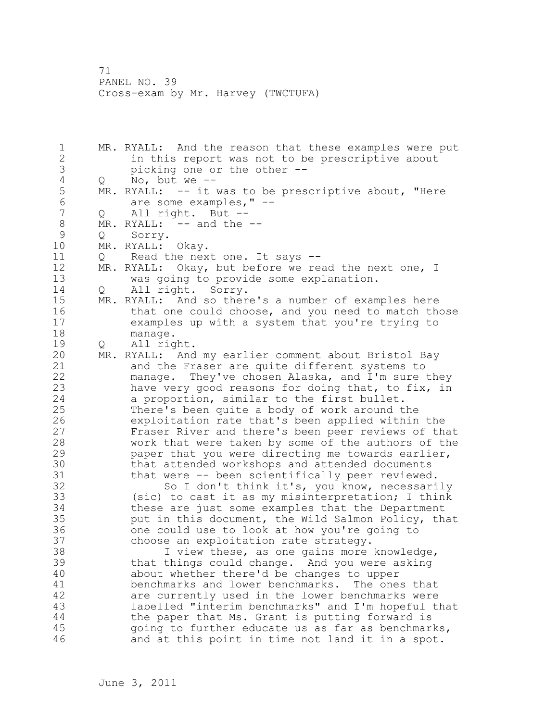1 MR. RYALL: And the reason that these examples were put 2 in this report was not to be prescriptive about 3 picking one or the other -- 4 Q No, but we --<br>5 MR. RYALL: -- it  $MR.$  RYALL:  $-$  it was to be prescriptive about, "Here 6 are some examples," --<br>7 0 All right. But --Q All right. But --8 MR. RYALL: -- and the --9 Q Sorry.<br>10 MR.RYALL: MR. RYALL: Okay. 11 Q Read the next one. It says -- 12 MR. RYALL: Okay, but before we read the next one, I 13 was going to provide some explanation. 14 Q All right. Sorry. 15 MR. RYALL: And so there's a number of examples here 16 that one could choose, and you need to match those 17 examples up with a system that you're trying to 18 manage. 19 Q All right.<br>20 MR. RYALL: And MR. RYALL: And my earlier comment about Bristol Bay 21 and the Fraser are quite different systems to 22 manage. They've chosen Alaska, and I'm sure they 23 have very good reasons for doing that, to fix, in 24 a proportion, similar to the first bullet. 25 There's been quite a body of work around the 26 exploitation rate that's been applied within the<br>27 Fraser River and there's been peer reviews of the Fraser River and there's been peer reviews of that 28 work that were taken by some of the authors of the 29 paper that you were directing me towards earlier, 30 that attended workshops and attended documents<br>31 that were -- been scientifically peer reviewed that were -- been scientifically peer reviewed. 32 So I don't think it's, you know, necessarily 33 (sic) to cast it as my misinterpretation; I think 34 these are just some examples that the Department 35 put in this document, the Wild Salmon Policy, that 36 one could use to look at how you're going to 37 choose an exploitation rate strategy. 38 I view these, as one gains more knowledge, 39 that things could change. And you were asking 40 about whether there'd be changes to upper 41 benchmarks and lower benchmarks. The ones that 42 are currently used in the lower benchmarks were 43 labelled "interim benchmarks" and I'm hopeful that 44 the paper that Ms. Grant is putting forward is 45 going to further educate us as far as benchmarks, 46 and at this point in time not land it in a spot.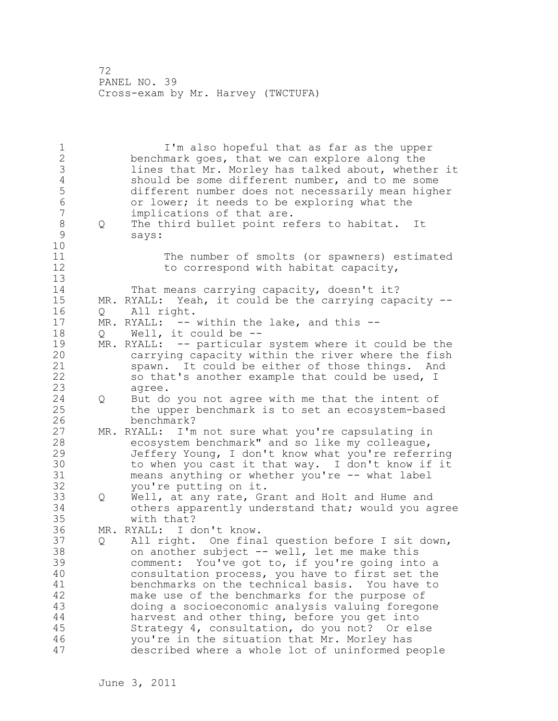1 I'm also hopeful that as far as the upper 2 benchmark goes, that we can explore along the 3 lines that Mr. Morley has talked about, whether it 4 should be some different number, and to me some<br>5 different number does not necessarily mean highe 5 different number does not necessarily mean higher 6 or lower; it needs to be exploring what the<br>7 implications of that are. implications of that are. 8 Q The third bullet point refers to habitat. It<br>9 savs: says: 10 11 The number of smolts (or spawners) estimated 12 to correspond with habitat capacity, 13 14 That means carrying capacity, doesn't it? 15 MR. RYALL: Yeah, it could be the carrying capacity -- 16 Q All right. 17 MR. RYALL: -- within the lake, and this --18 Q Well, it could be -- 19 MR. RYALL: -- particular system where it could be the<br>20 carrying capacity within the river where the fish carrying capacity within the river where the fish 21 spawn. It could be either of those things. And 22 so that's another example that could be used, I 23 agree. 24 Q But do you not agree with me that the intent of 25 the upper benchmark is to set an ecosystem-based 26 benchmark?<br>27 MR. RYALL: I'm MR. RYALL: I'm not sure what you're capsulating in 28 ecosystem benchmark" and so like my colleague, 29 Jeffery Young, I don't know what you're referring 30 to when you cast it that way. I don't know if it<br>31 means anything or whether you're -- what label means anything or whether you're -- what label 32 you're putting on it. 33 Q Well, at any rate, Grant and Holt and Hume and 34 others apparently understand that; would you agree 35 with that? 36 MR. RYALL: I don't know. 37 Q All right. One final question before I sit down, 38 on another subject -- well, let me make this 39 comment: You've got to, if you're going into a 40 consultation process, you have to first set the 41 benchmarks on the technical basis. You have to<br>42 make use of the benchmarks for the purpose of make use of the benchmarks for the purpose of 43 doing a socioeconomic analysis valuing foregone 44 harvest and other thing, before you get into 45 Strategy 4, consultation, do you not? Or else 46 you're in the situation that Mr. Morley has 47 described where a whole lot of uninformed people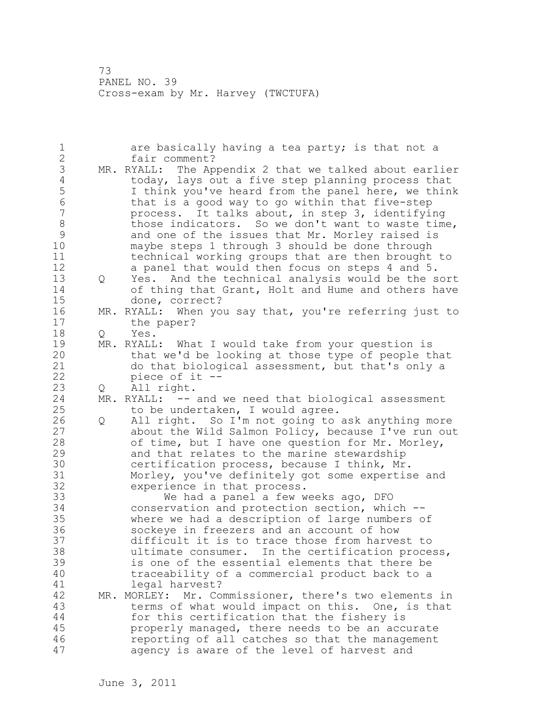1 are basically having a tea party; is that not a 2 fair comment? 3 MR. RYALL: The Appendix 2 that we talked about earlier<br>4 today, lays out a five step planning process that 4 today, lays out a five step planning process that<br>5 1 think you've heard from the panel here, we thin 5 1 think you've heard from the panel here, we think<br>6 that is a good way to go within that five-step 6 that is a good way to go within that five-step process. It talks about, in step 3, identifying 8 those indicators. So we don't want to waste time, 9 and one of the issues that Mr. Morley raised is<br>10 mavbe steps 1 through 3 should be done through maybe steps 1 through 3 should be done through 11 technical working groups that are then brought to 12 a panel that would then focus on steps 4 and 5. 13 Q Yes. And the technical analysis would be the sort 14 of thing that Grant, Holt and Hume and others have 15 done, correct? 16 MR. RYALL: When you say that, you're referring just to 17 the paper? 18 Q Yes. 19 MR. RYALL: What I would take from your question is<br>20 that we'd be looking at those type of people the that we'd be looking at those type of people that 21 do that biological assessment, but that's only a 22 piece of it -- 23 Q All right. 24 MR. RYALL: -- and we need that biological assessment 25 to be undertaken, I would agree. 26 Q All right. So I'm not going to ask anything more<br>27 about the Wild Salmon Policy, because I've run out about the Wild Salmon Policy, because I've run out 28 of time, but I have one question for Mr. Morley, 29 and that relates to the marine stewardship 30 certification process, because I think, Mr.<br>31 Morlev, you've definitely got some expertis Morley, you've definitely got some expertise and 32 experience in that process. 33 We had a panel a few weeks ago, DFO 34 conservation and protection section, which -- 35 where we had a description of large numbers of 36 sockeye in freezers and an account of how 37 difficult it is to trace those from harvest to 38 ultimate consumer. In the certification process, 39 is one of the essential elements that there be 40 traceability of a commercial product back to a 41 legal harvest? MR. MORLEY: Mr. Commissioner, there's two elements in 43 terms of what would impact on this. One, is that 44 for this certification that the fishery is 45 properly managed, there needs to be an accurate 46 reporting of all catches so that the management 47 agency is aware of the level of harvest and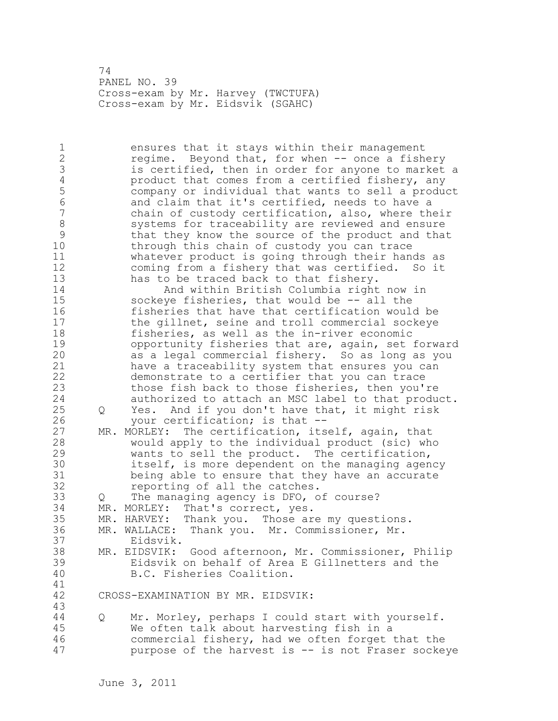74 PANEL NO. 39 Cross-exam by Mr. Harvey (TWCTUFA) Cross-exam by Mr. Eidsvik (SGAHC)

1 ensures that it stays within their management 2 regime. Beyond that, for when -- once a fishery 3 is certified, then in order for anyone to market a<br>4 product that comes from a certified fishery, any 4 product that comes from a certified fishery, any<br>5 company or individual that wants to sell a produ 5 company or individual that wants to sell a product 6 and claim that it's certified, needs to have a chain of custody certification, also, where their 8 systems for traceability are reviewed and ensure<br>9 bthat they know the source of the product and that 9 that they know the source of the product and that<br>10 through this chain of custody you can trace through this chain of custody you can trace 11 whatever product is going through their hands as 12 coming from a fishery that was certified. So it 13 has to be traced back to that fishery. 14 And within British Columbia right now in 15 sockeye fisheries, that would be -- all the 16 fisheries that have that certification would be 17 the gillnet, seine and troll commercial sockeye 18 fisheries, as well as the in-river economic 19 opportunity fisheries that are, again, set forward<br>20 as a legal commercial fishery. So as long as you as a legal commercial fishery. So as long as you 21 have a traceability system that ensures you can 22 demonstrate to a certifier that you can trace 23 those fish back to those fisheries, then you're 24 authorized to attach an MSC label to that product. 25 Q Yes. And if you don't have that, it might risk 26 your certification; is that --<br>27 MR. MORLEY: The certification, its MR. MORLEY: The certification, itself, again, that 28 would apply to the individual product (sic) who 29 wants to sell the product. The certification, 30 itself, is more dependent on the managing agency<br>31 being able to ensure that they have an accurate being able to ensure that they have an accurate 32 reporting of all the catches. 33 Q The managing agency is DFO, of course? 34 MR. MORLEY: That's correct, yes. 35 MR. HARVEY: Thank you. Those are my questions. 36 MR. WALLACE: Thank you. Mr. Commissioner, Mr. 37 Eidsvik. 38 MR. EIDSVIK: Good afternoon, Mr. Commissioner, Philip 39 Eidsvik on behalf of Area E Gillnetters and the 40 B.C. Fisheries Coalition. 41<br>42 CROSS-EXAMINATION BY MR. EIDSVIK: 43 44 Q Mr. Morley, perhaps I could start with yourself. 45 We often talk about harvesting fish in a 46 commercial fishery, had we often forget that the 47 purpose of the harvest is -- is not Fraser sockeye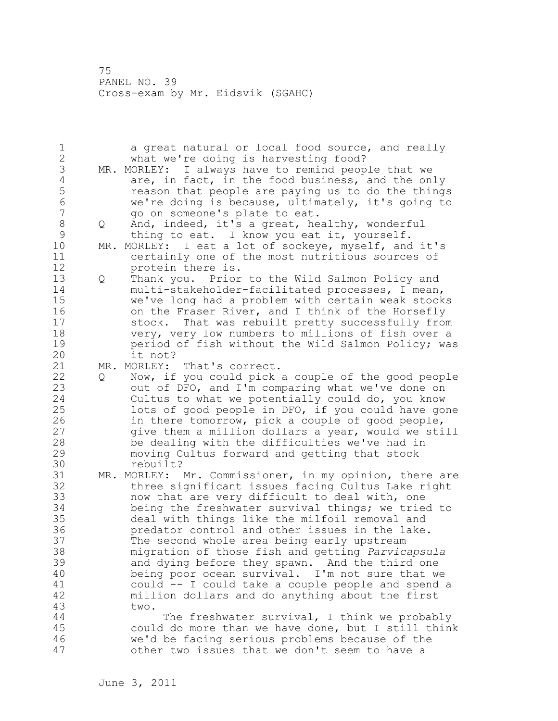1 a great natural or local food source, and really 2 what we're doing is harvesting food? 3 MR. MORLEY: I always have to remind people that we<br>4 are, in fact, in the food business, and the on 4 are, in fact, in the food business, and the only<br>5 ceason that people are paying us to do the thing 5 **1992** reason that people are paying us to do the things<br>5 6 The velogical vecause, ultimately, it's going to 6 we're doing is because, ultimately, it's going to go on someone's plate to eat. 8 Q And, indeed, it's a great, healthy, wonderful<br>9 thing to eat. I know you eat it, yourself. 9 thing to eat. I know you eat it, yourself.<br>10 MR. MORLEY: I eat a lot of sockeve, myself, and MR. MORLEY: I eat a lot of sockeye, myself, and it's 11 certainly one of the most nutritious sources of 12 protein there is. 13 Q Thank you. Prior to the Wild Salmon Policy and 14 multi-stakeholder-facilitated processes, I mean, 15 we've long had a problem with certain weak stocks 16 on the Fraser River, and I think of the Horsefly 17 stock. That was rebuilt pretty successfully from 18 very, very low numbers to millions of fish over a 19 **period of fish without the Wild Salmon Policy; was**<br>20 **it not**? it not?<br>MR. MORLEY: 21 MR. MORLEY: That's correct. 22 Q Now, if you could pick a couple of the good people 23 out of DFO, and I'm comparing what we've done on 24 Cultus to what we potentially could do, you know 25 lots of good people in DFO, if you could have gone 26 in there tomorrow, pick a couple of good people, give them a million dollars a year, would we still 28 be dealing with the difficulties we've had in 29 moving Cultus forward and getting that stock 30 rebuilt?<br>31 MR. MORLEY: MR. MORLEY: Mr. Commissioner, in my opinion, there are 32 three significant issues facing Cultus Lake right 33 now that are very difficult to deal with, one 34 being the freshwater survival things; we tried to 35 deal with things like the milfoil removal and 36 predator control and other issues in the lake. 37 The second whole area being early upstream 38 migration of those fish and getting *Parvicapsula* 39 and dying before they spawn. And the third one 40 being poor ocean survival. I'm not sure that we 41 could -- I could take a couple people and spend a<br>42 million dollars and do anything about the first million dollars and do anything about the first 43 two. 44 The freshwater survival, I think we probably 45 could do more than we have done, but I still think 46 we'd be facing serious problems because of the 47 other two issues that we don't seem to have a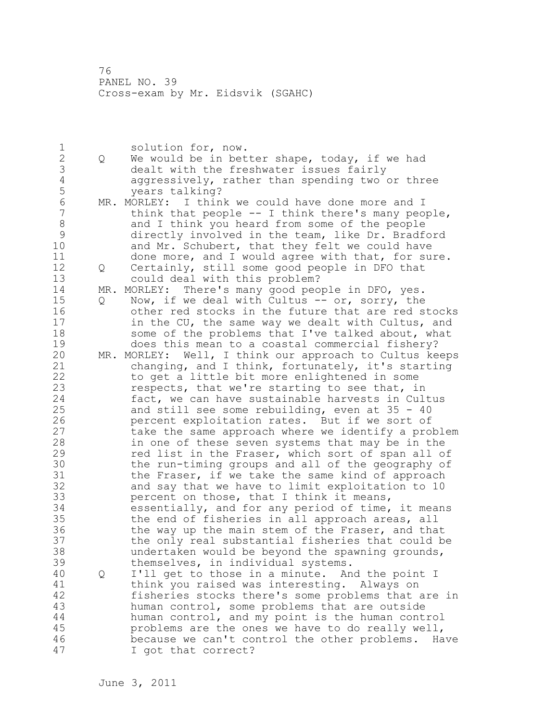1 solution for, now.<br>2 0 We would be in bet 2 Q We would be in better shape, today, if we had 3 dealt with the freshwater issues fairly<br>4 aggressively, rather than spending two 4 aggressively, rather than spending two or three<br>5 vears talking? 5 years talking?<br>6 MR. MORLEY: I thin 6 MR. MORLEY: I think we could have done more and I<br>7 think that people -- I think there's many peo think that people  $--$  I think there's many people, 8 and I think you heard from some of the people 9 directly involved in the team, like Dr. Bradford<br>10 and Mr. Schubert, that thev felt we could have and Mr. Schubert, that they felt we could have 11 done more, and I would agree with that, for sure. 12 Q Certainly, still some good people in DFO that 13 could deal with this problem? 14 MR. MORLEY: There's many good people in DFO, yes. 15 Q Now, if we deal with Cultus -- or, sorry, the 16 other red stocks in the future that are red stocks 17 in the CU, the same way we dealt with Cultus, and 18 some of the problems that I've talked about, what 19 does this mean to a coastal commercial fishery?<br>20 MR. MORLEY: Well, I think our approach to Cultus ke MR. MORLEY: Well, I think our approach to Cultus keeps 21 changing, and I think, fortunately, it's starting 22 to get a little bit more enlightened in some 23 respects, that we're starting to see that, in 24 fact, we can have sustainable harvests in Cultus 25 and still see some rebuilding, even at 35 - 40 26 percent exploitation rates. But if we sort of<br>27 take the same approach where we identify a protake the same approach where we identify a problem 28 in one of these seven systems that may be in the 29 red list in the Fraser, which sort of span all of 30 the run-timing groups and all of the geography of<br>31 the Fraser, if we take the same kind of approach 31 the Fraser, if we take the same kind of approach<br>32 and say that we have to limit exploitation to 10 and say that we have to limit exploitation to 10 33 percent on those, that I think it means, 34 essentially, and for any period of time, it means 35 the end of fisheries in all approach areas, all 36 the way up the main stem of the Fraser, and that 37 the only real substantial fisheries that could be 38 undertaken would be beyond the spawning grounds, 39 themselves, in individual systems. 40 Q I'll get to those in a minute. And the point I 41 think you raised was interesting. Always on<br>42 fisheries stocks there's some problems that fisheries stocks there's some problems that are in 43 human control, some problems that are outside 44 human control, and my point is the human control 45 problems are the ones we have to do really well, 46 because we can't control the other problems. Have 47 I got that correct?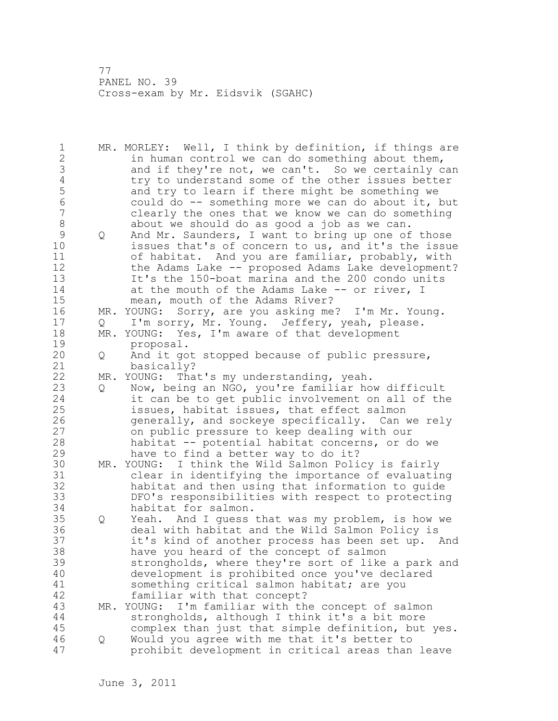1 MR. MORLEY: Well, I think by definition, if things are 2 in human control we can do something about them, 3 and if they're not, we can't. So we certainly can<br>4 try to understand some of the other issues better 4 try to understand some of the other issues better<br>5 and try to learn if there might be something we 5 and try to learn if there might be something we<br>6 could do -- something more we can do about it, 6 could do -- something more we can do about it, but clearly the ones that we know we can do something 8 about we should do as good a job as we can. 9 Q And Mr. Saunders, I want to bring up one of those<br>10 issues that's of concern to us, and it's the issue issues that's of concern to us, and it's the issue 11 of habitat. And you are familiar, probably, with 12 the Adams Lake -- proposed Adams Lake development? 13 It's the 150-boat marina and the 200 condo units 14 at the mouth of the Adams Lake -- or river, I 15 mean, mouth of the Adams River? 16 MR. YOUNG: Sorry, are you asking me? I'm Mr. Young. 17 Q I'm sorry, Mr. Young. Jeffery, yeah, please. 18 MR. YOUNG: Yes, I'm aware of that development 19 proposal.<br>20 0 And it go 20 Q And it got stopped because of public pressure, 21 basically? 22 MR. YOUNG: That's my understanding, yeah. 23 Q Now, being an NGO, you're familiar how difficult 24 it can be to get public involvement on all of the 25 issues, habitat issues, that effect salmon 26 generally, and sockeye specifically. Can we rely<br>27 on public pressure to keep dealing with our on public pressure to keep dealing with our 28 habitat -- potential habitat concerns, or do we 29 have to find a better way to do it? 30 MR. YOUNG: I think the Wild Salmon Policy is fairly clear in identifying the importance of evaluating 32 habitat and then using that information to guide 33 DFO's responsibilities with respect to protecting 34 habitat for salmon. 35 Q Yeah. And I guess that was my problem, is how we 36 deal with habitat and the Wild Salmon Policy is 37 it's kind of another process has been set up. And 38 have you heard of the concept of salmon 39 strongholds, where they're sort of like a park and 40 development is prohibited once you've declared 41 something critical salmon habitat; are you<br>42 familiar with that concept? familiar with that concept? 43 MR. YOUNG: I'm familiar with the concept of salmon 44 strongholds, although I think it's a bit more 45 complex than just that simple definition, but yes. 46 Q Would you agree with me that it's better to 47 prohibit development in critical areas than leave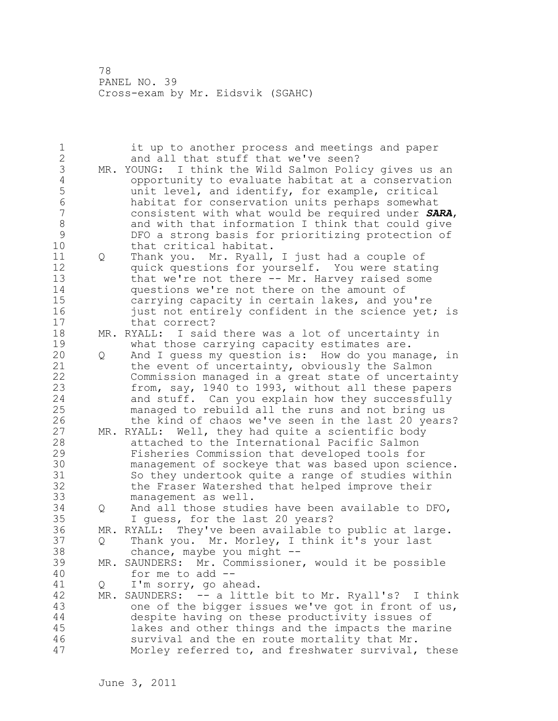| 1<br>$\overline{2}$ |     | it up to another process and meetings and paper<br>and all that stuff that we've seen? |
|---------------------|-----|----------------------------------------------------------------------------------------|
| 3                   |     | MR. YOUNG: I think the Wild Salmon Policy gives us an                                  |
| $\overline{4}$      |     |                                                                                        |
|                     |     | opportunity to evaluate habitat at a conservation                                      |
| 5                   |     | unit level, and identify, for example, critical                                        |
| 6                   |     | habitat for conservation units perhaps somewhat                                        |
| $\overline{7}$      |     | consistent with what would be required under SARA,                                     |
| $\,8\,$             |     | and with that information I think that could give                                      |
| $\mathcal{G}$       |     | DFO a strong basis for prioritizing protection of                                      |
| 10                  |     | that critical habitat.                                                                 |
| 11                  | Q   | Thank you. Mr. Ryall, I just had a couple of                                           |
| 12                  |     | quick questions for yourself. You were stating                                         |
| 13                  |     | that we're not there -- Mr. Harvey raised some                                         |
| 14                  |     | questions we're not there on the amount of                                             |
| 15                  |     | carrying capacity in certain lakes, and you're                                         |
| 16                  |     | just not entirely confident in the science yet; is                                     |
| 17                  |     | that correct?                                                                          |
| 18                  |     | MR. RYALL: I said there was a lot of uncertainty in                                    |
| 19                  |     | what those carrying capacity estimates are.                                            |
| 20                  |     |                                                                                        |
|                     | Q   | And I quess my question is: How do you manage, in                                      |
| 21                  |     | the event of uncertainty, obviously the Salmon                                         |
| 22                  |     | Commission managed in a great state of uncertainty                                     |
| 23                  |     | from, say, 1940 to 1993, without all these papers                                      |
| 24                  |     | and stuff. Can you explain how they successfully                                       |
| 25                  |     | managed to rebuild all the runs and not bring us                                       |
| 26                  |     | the kind of chaos we've seen in the last 20 years?                                     |
| 27                  |     | MR. RYALL: Well, they had quite a scientific body                                      |
| 28                  |     | attached to the International Pacific Salmon                                           |
| 29                  |     | Fisheries Commission that developed tools for                                          |
| 30                  |     | management of sockeye that was based upon science.                                     |
| 31                  |     | So they undertook quite a range of studies within                                      |
| 32                  |     | the Fraser Watershed that helped improve their                                         |
| 33                  |     | management as well.                                                                    |
| 34                  | Q   | And all those studies have been available to DFO,                                      |
| 35                  |     | I guess, for the last 20 years?                                                        |
| 36                  | MR. | RYALL: They've been available to public at large.                                      |
| 37                  |     |                                                                                        |
|                     | Q   | Thank you. Mr. Morley, I think it's your last                                          |
| 38                  |     | chance, maybe you might $--$                                                           |
| 39                  |     | MR. SAUNDERS: Mr. Commissioner, would it be possible                                   |
| 40                  |     | for me to add --                                                                       |
| 41                  | Q   | I'm sorry, go ahead.                                                                   |
| 42                  |     | MR. SAUNDERS: -- a little bit to Mr. Ryall's? I think                                  |
| 43                  |     | one of the bigger issues we've got in front of us,                                     |
| 44                  |     | despite having on these productivity issues of                                         |
| 45                  |     | lakes and other things and the impacts the marine                                      |
| 46                  |     | survival and the en route mortality that Mr.                                           |
| 47                  |     | Morley referred to, and freshwater survival, these                                     |
|                     |     |                                                                                        |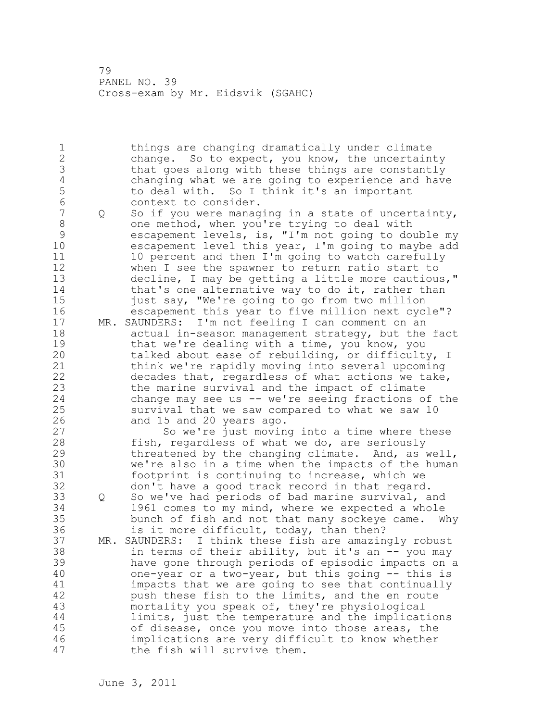1 things are changing dramatically under climate 2 change. So to expect, you know, the uncertainty 3 that goes along with these things are constantly<br>4 changing what we are going to experience and have 4 changing what we are going to experience and have<br>5 to deal with. So I think it's an important 5 to deal with. So I think it's an important<br>6 context to consider. 6 context to consider.<br>7 0 So if you were manag Q So if you were managing in a state of uncertainty, 8 one method, when you're trying to deal with 9 escapement levels, is, "I'm not going to double my<br>10 escapement level this vear, I'm going to mavbe add escapement level this year, I'm going to maybe add 11 10 percent and then I'm going to watch carefully 12 when I see the spawner to return ratio start to 13 decline, I may be getting a little more cautious," 14 that's one alternative way to do it, rather than 15 just say, "We're going to go from two million 16 escapement this year to five million next cycle"? 17 MR. SAUNDERS: I'm not feeling I can comment on an 18 actual in-season management strategy, but the fact 19 that we're dealing with a time, you know, you<br>20 talked about ease of rebuilding, or difficult talked about ease of rebuilding, or difficulty, I 21 think we're rapidly moving into several upcoming 22 decades that, regardless of what actions we take, 23 the marine survival and the impact of climate 24 change may see us -- we're seeing fractions of the 25 survival that we saw compared to what we saw 10 26 and 15 and 20 years ago.<br>27 So we're just moving So we're just moving into a time where these 28 fish, regardless of what we do, are seriously 29 threatened by the changing climate. And, as well, 30 we're also in a time when the impacts of the human<br>31 footprint is continuing to increase, which we footprint is continuing to increase, which we 32 don't have a good track record in that regard. 33 Q So we've had periods of bad marine survival, and 34 1961 comes to my mind, where we expected a whole 35 bunch of fish and not that many sockeye came. Why 36 is it more difficult, today, than then? 37 MR. SAUNDERS: I think these fish are amazingly robust 38 in terms of their ability, but it's an -- you may 39 have gone through periods of episodic impacts on a 40 one-year or a two-year, but this going -- this is 41 impacts that we are going to see that continually<br>42 bush these fish to the limits, and the en route push these fish to the limits, and the en route 43 mortality you speak of, they're physiological 44 limits, just the temperature and the implications 45 of disease, once you move into those areas, the 46 implications are very difficult to know whether 47 the fish will survive them.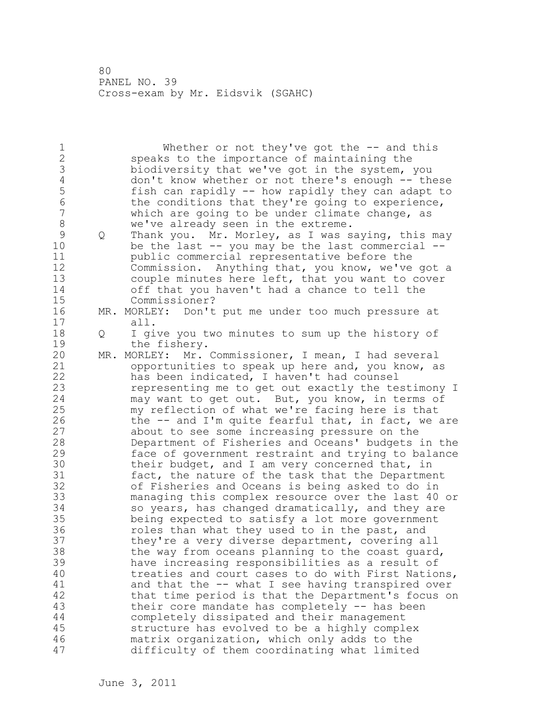1 Whether or not they've got the -- and this 2 speaks to the importance of maintaining the 3 biodiversity that we've got in the system, you<br>4 don't know whether or not there's enough -- the 4 don't know whether or not there's enough -- these<br>5 fish can rapidly -- how rapidly they can adapt to 5 fish can rapidly -- how rapidly they can adapt to<br>6 the conditions that they're going to experience, 6 the conditions that they're going to experience, which are going to be under climate change, as 8 we've already seen in the extreme. 9 Q Thank you. Mr. Morley, as I was saying, this may<br>10 be the last -- you may be the last commercial -be the last  $-$ - you may be the last commercial  $-$ -11 public commercial representative before the 12 Commission. Anything that, you know, we've got a 13 couple minutes here left, that you want to cover 14 off that you haven't had a chance to tell the 15 Commissioner? 16 MR. MORLEY: Don't put me under too much pressure at 17 all. 18 Q I give you two minutes to sum up the history of 19 the fishery.<br>20 MR. MORLEY: Mr. MR. MORLEY: Mr. Commissioner, I mean, I had several 21 opportunities to speak up here and, you know, as 22 has been indicated, I haven't had counsel 23 representing me to get out exactly the testimony I 24 may want to get out. But, you know, in terms of 25 my reflection of what we're facing here is that 26 the -- and I'm quite fearful that, in fact, we are<br>27 about to see some increasing pressure on the about to see some increasing pressure on the 28 Department of Fisheries and Oceans' budgets in the 29 face of government restraint and trying to balance 30 their budget, and I am very concerned that, in<br>31 fact, the nature of the task that the Departme 31 fact, the nature of the task that the Department<br>32 of Fisheries and Oceans is being asked to do in of Fisheries and Oceans is being asked to do in 33 managing this complex resource over the last 40 or 34 so years, has changed dramatically, and they are 35 being expected to satisfy a lot more government 36 roles than what they used to in the past, and 37 they're a very diverse department, covering all 38 the way from oceans planning to the coast guard, 39 have increasing responsibilities as a result of 40 treaties and court cases to do with First Nations, 41 and that the -- what I see having transpired over<br>42 that time period is that the Department's focus o that time period is that the Department's focus on 43 their core mandate has completely -- has been 44 completely dissipated and their management 45 structure has evolved to be a highly complex 46 matrix organization, which only adds to the 47 difficulty of them coordinating what limited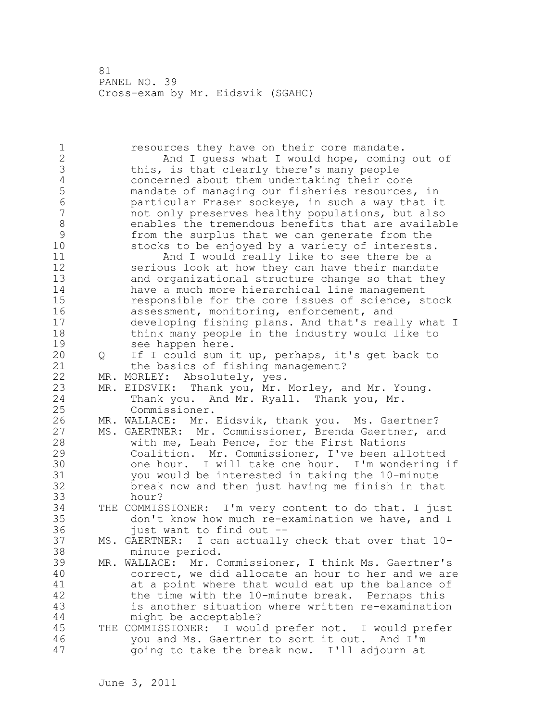1 resources they have on their core mandate. 2 And I guess what I would hope, coming out of 3 this, is that clearly there's many people<br>4 concerned about them undertaking their co 4 concerned about them undertaking their core<br>5 mandate of managing our fisheries resources 5 mandate of managing our fisheries resources, in 6 particular Fraser sockeye, in such a way that it not only preserves healthy populations, but also 8 enables the tremendous benefits that are available<br>9 from the surplus that we can generate from the 9 from the surplus that we can generate from the stocks to be enjoyed by a variety of interests. 11 And I would really like to see there be a 12 serious look at how they can have their mandate 13 and organizational structure change so that they 14 have a much more hierarchical line management 15 responsible for the core issues of science, stock 16 assessment, monitoring, enforcement, and 17 developing fishing plans. And that's really what I 18 think many people in the industry would like to 19 see happen here.<br>20 0 If I could sum i 20 Q If I could sum it up, perhaps, it's get back to 21 the basics of fishing management? 22 MR. MORLEY: Absolutely, yes. 23 MR. EIDSVIK: Thank you, Mr. Morley, and Mr. Young. 24 Thank you. And Mr. Ryall. Thank you, Mr. 25 Commissioner. 26 MR. WALLACE: Mr. Eidsvik, thank you. Ms. Gaertner?<br>27 MS. GAERTNER: Mr. Commissioner, Brenda Gaertner, an MS. GAERTNER: Mr. Commissioner, Brenda Gaertner, and 28 with me, Leah Pence, for the First Nations 29 Coalition. Mr. Commissioner, I've been allotted 30 one hour. I will take one hour. I'm wondering if<br>31 vou would be interested in taking the 10-minute you would be interested in taking the 10-minute 32 break now and then just having me finish in that 33 hour? 34 THE COMMISSIONER: I'm very content to do that. I just 35 don't know how much re-examination we have, and I 36 just want to find out -- 37 MS. GAERTNER: I can actually check that over that 10- 38 minute period. 39 MR. WALLACE: Mr. Commissioner, I think Ms. Gaertner's 40 correct, we did allocate an hour to her and we are 41 at a point where that would eat up the balance of 42 the time with the 10-minute break. Perhaps this 43 is another situation where written re-examination 44 might be acceptable? 45 THE COMMISSIONER: I would prefer not. I would prefer 46 you and Ms. Gaertner to sort it out. And I'm 47 going to take the break now. I'll adjourn at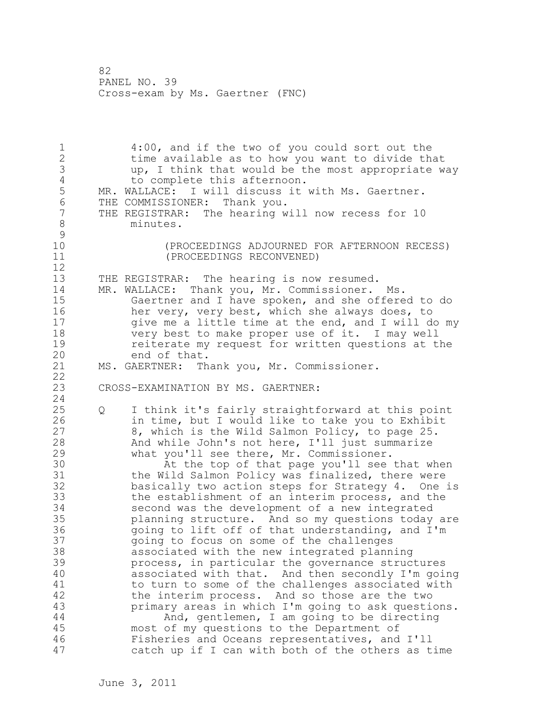1 4:00, and if the two of you could sort out the 2 time available as to how you want to divide that 3 up, I think that would be the most appropriate way 4 to complete this afternoon.<br>5 MR. WALLACE: I will discuss it MR. WALLACE: I will discuss it with Ms. Gaertner. 6 THE COMMISSIONER: Thank you.<br>7 THE REGISTRAR: The hearing w THE REGISTRAR: The hearing will now recess for 10 8 minutes.  $\begin{array}{c} 9 \\ 10 \end{array}$ 10 (PROCEEDINGS ADJOURNED FOR AFTERNOON RECESS) 11 (PROCEEDINGS RECONVENED) 12 13 THE REGISTRAR: The hearing is now resumed. 14 MR. WALLACE: Thank you, Mr. Commissioner. Ms. 15 Gaertner and I have spoken, and she offered to do 16 her very, very best, which she always does, to 17 give me a little time at the end, and I will do my 18 very best to make proper use of it. I may well 19 reiterate my request for written questions at the<br>20 end of that. end of that. 21 MS. GAERTNER: Thank you, Mr. Commissioner. 22 23 CROSS-EXAMINATION BY MS. GAERTNER: 24 25 Q I think it's fairly straightforward at this point 26 in time, but I would like to take you to Exhibit<br>27 3, which is the Wild Salmon Policy, to page 25. 8, which is the Wild Salmon Policy, to page 25. 28 And while John's not here, I'll just summarize 29 what you'll see there, Mr. Commissioner. 30 At the top of that page you'll see that when<br>31 the Wild Salmon Policy was finalized, there were 31 the Wild Salmon Policy was finalized, there were<br>32 basically two action steps for Strategy 4. One basically two action steps for Strategy 4. One is 33 the establishment of an interim process, and the 34 second was the development of a new integrated 35 planning structure. And so my questions today are 36 going to lift off of that understanding, and I'm 37 going to focus on some of the challenges 38 associated with the new integrated planning 39 process, in particular the governance structures 40 associated with that. And then secondly I'm going 41 to turn to some of the challenges associated with<br>42 the interim process. And so those are the two the interim process. And so those are the two 43 primary areas in which I'm going to ask questions. 44 And, gentlemen, I am going to be directing 45 most of my questions to the Department of 46 Fisheries and Oceans representatives, and I'll 47 catch up if I can with both of the others as time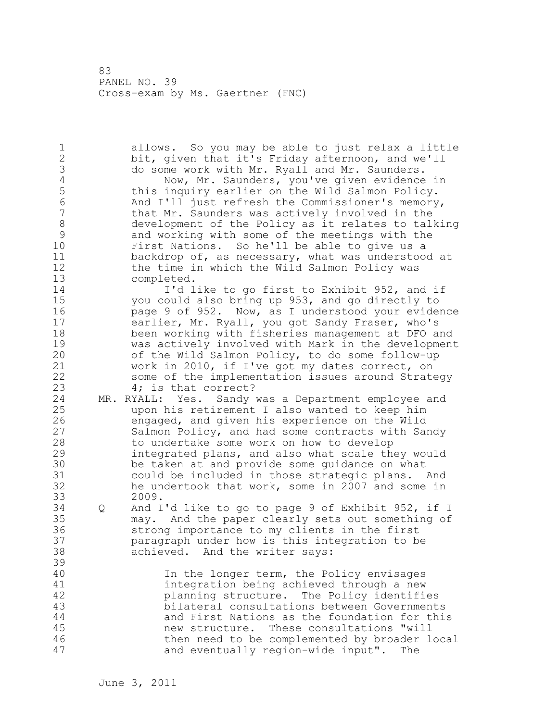1 allows. So you may be able to just relax a little 2 bit, given that it's Friday afternoon, and we'll 3 do some work with Mr. Ryall and Mr. Saunders.<br>4 Now, Mr. Saunders, you've given evidence 4 Now, Mr. Saunders, you've given evidence in<br>5 this inquiry earlier on the Wild Salmon Policy. 5 this inquiry earlier on the Wild Salmon Policy.<br>6 6 And I'll just refresh the Commissioner's memory 6 And I'll just refresh the Commissioner's memory,<br>7 that Mr. Saunders was actively involved in the that Mr. Saunders was actively involved in the 8 development of the Policy as it relates to talking<br>9 and working with some of the meetings with the 9 and working with some of the meetings with the<br>10 First Nations. So he'll be able to give us a First Nations. So he'll be able to give us a 11 backdrop of, as necessary, what was understood at 12 the time in which the Wild Salmon Policy was 13 completed. 14 I'd like to go first to Exhibit 952, and if 15 you could also bring up 953, and go directly to 16 page 9 of 952. Now, as I understood your evidence 17 earlier, Mr. Ryall, you got Sandy Fraser, who's 18 been working with fisheries management at DFO and 19 was actively involved with Mark in the development<br>20 of the Wild Salmon Policy, to do some follow-up of the Wild Salmon Policy, to do some follow-up 21 work in 2010, if I've got my dates correct, on 22 some of the implementation issues around Strategy 23 4; is that correct? 24 MR. RYALL: Yes. Sandy was a Department employee and 25 upon his retirement I also wanted to keep him 26 engaged, and given his experience on the Wild<br>27 Salmon Policy, and had some contracts with Sam Salmon Policy, and had some contracts with Sandy 28 to undertake some work on how to develop 29 integrated plans, and also what scale they would 30 be taken at and provide some guidance on what<br>31 could be included in those strategic plans. could be included in those strategic plans. And 32 he undertook that work, some in 2007 and some in 33 2009. 34 Q And I'd like to go to page 9 of Exhibit 952, if I 35 may. And the paper clearly sets out something of 36 strong importance to my clients in the first 37 paragraph under how is this integration to be 38 achieved. And the writer says: 39 40 In the longer term, the Policy envisages 41 integration being achieved through a new<br>42 blanning structure. The Policy identifi planning structure. The Policy identifies 43 bilateral consultations between Governments 44 and First Nations as the foundation for this 45 new structure. These consultations "will 46 then need to be complemented by broader local 47 and eventually region-wide input". The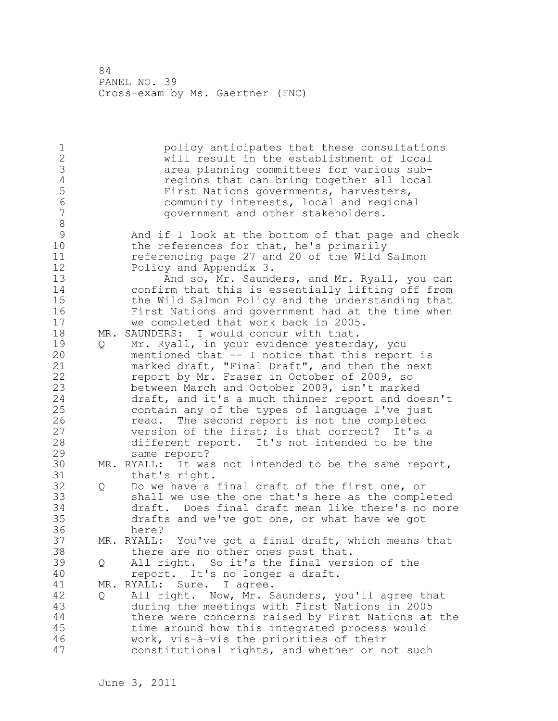1 and policy anticipates that these consultations<br>2 and will result in the establishment of local will result in the establishment of local 3 area planning committees for various sub-<br>4 aregions that can bring together all local 4 regions that can bring together all local<br>5 First Nations governments, harvesters, 5 First Nations governments, harvesters,<br>6 6 Community interests, local and regiona 6 community interests, local and regional government and other stakeholders. 8<br>9 9 And if I look at the bottom of that page and check<br>10 the references for that, he's primarily the references for that, he's primarily 11 referencing page 27 and 20 of the Wild Salmon 12 Policy and Appendix 3. 13 And so, Mr. Saunders, and Mr. Ryall, you can 14 confirm that this is essentially lifting off from 15 the Wild Salmon Policy and the understanding that 16 First Nations and government had at the time when 17 we completed that work back in 2005. 18 MR. SAUNDERS: I would concur with that. 19 Q Mr. Ryall, in your evidence yesterday, you<br>20 mentioned that -- I notice that this repor mentioned that  $-$  I notice that this report is 21 marked draft, "Final Draft", and then the next 22 report by Mr. Fraser in October of 2009, so 23 between March and October 2009, isn't marked 24 draft, and it's a much thinner report and doesn't 25 contain any of the types of language I've just 26 read. The second report is not the completed<br>27 version of the first; is that correct? It's a version of the first; is that correct? It's a 28 different report. It's not intended to be the 29 same report? 30 MR. RYALL: It was not intended to be the same report,<br>31 that's right. that's right. 32 Q Do we have a final draft of the first one, or 33 shall we use the one that's here as the completed 34 draft. Does final draft mean like there's no more 35 drafts and we've got one, or what have we got 36 here? 37 MR. RYALL: You've got a final draft, which means that 38 there are no other ones past that. 39 Q All right. So it's the final version of the 40 report. It's no longer a draft. 41 MR. RYALL: Sure. I agree.<br>42 0 All right. Now, Mr. S 42 Q All right. Now, Mr. Saunders, you'll agree that 43 during the meetings with First Nations in 2005 44 there were concerns raised by First Nations at the 45 time around how this integrated process would 46 work, vis-à-vis the priorities of their 47 constitutional rights, and whether or not such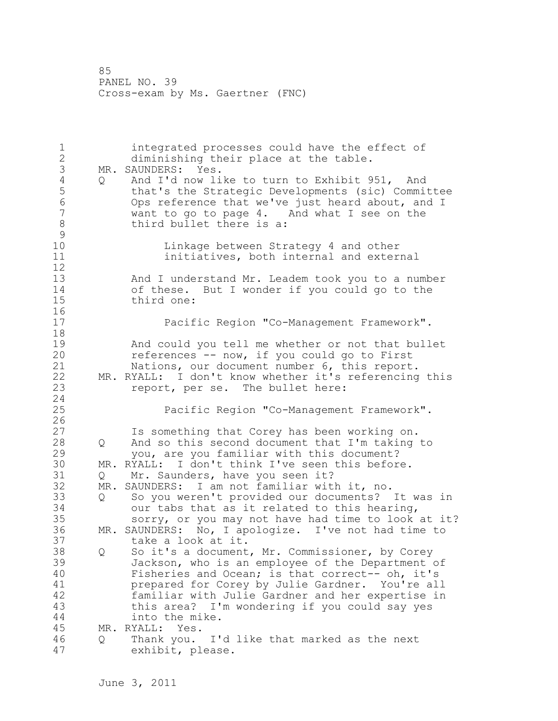1 integrated processes could have the effect of 2 diminishing their place at the table. 3 MR. SAUNDERS: Yes.<br>4 Q And I'd now li 4 Q And I'd now like to turn to Exhibit 951, And<br>5 that's the Strategic Developments (sic) Commi 5 that's the Strategic Developments (sic) Committee 6 Ops reference that we've just heard about, and I want to go to page  $4$ . And what I see on the 8 third bullet there is a:  $\begin{array}{c} 9 \\ 10 \end{array}$ Linkage between Strategy 4 and other 11 **initiatives, both internal and external** 12 13 And I understand Mr. Leadem took you to a number 14 of these. But I wonder if you could go to the 15 third one: 16 17 Pacific Region "Co-Management Framework". 18 19 And could you tell me whether or not that bullet<br>20 feferences -- now, if you could go to First references -- now, if you could go to First 21 Nations, our document number 6, this report. 22 MR. RYALL: I don't know whether it's referencing this 23 report, per se. The bullet here: 24 25 Pacific Region "Co-Management Framework".  $\frac{26}{27}$ Is something that Corey has been working on. 28 Q And so this second document that I'm taking to 29 you, are you familiar with this document? 30 MR. RYALL: I don't think I've seen this before. Q Mr. Saunders, have you seen it? 32 MR. SAUNDERS: I am not familiar with it, no. 33 Q So you weren't provided our documents? It was in 34 our tabs that as it related to this hearing, 35 sorry, or you may not have had time to look at it? 36 MR. SAUNDERS: No, I apologize. I've not had time to 37 take a look at it. 38 Q So it's a document, Mr. Commissioner, by Corey 39 Jackson, who is an employee of the Department of 40 Fisheries and Ocean; is that correct-- oh, it's 41 **prepared for Corey by Julie Gardner.** You're all 42 and the familiar with Julie Gardner and her expertise in familiar with Julie Gardner and her expertise in 43 this area? I'm wondering if you could say yes 44 into the mike. 45 MR. RYALL: Yes. 46 Q Thank you. I'd like that marked as the next 47 exhibit, please.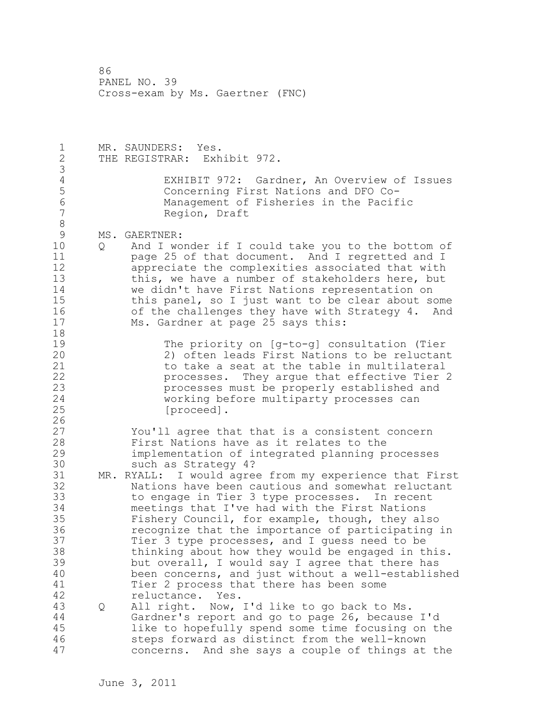1 MR. SAUNDERS: Yes. 2 THE REGISTRAR: Exhibit 972. 3 4 EXHIBIT 972: Gardner, An Overview of Issues<br>5 Concerning First Nations and DFO Co-5 Concerning First Nations and DFO Co-6 Management of Fisheries in the Pacific Region, Draft 8<br>9 9 MS. GAERTNER:<br>10 0 And I wo 10 Q And I wonder if I could take you to the bottom of 11 page 25 of that document. And I regretted and I 12 appreciate the complexities associated that with 13 this, we have a number of stakeholders here, but 14 we didn't have First Nations representation on 15 this panel, so I just want to be clear about some 16 of the challenges they have with Strategy 4. And 17 Ms. Gardner at page 25 says this: 18 19 The priority on [g-to-g] consultation (Tier<br>20 2) often leads First Nations to be reluctan 2) often leads First Nations to be reluctant 21 to take a seat at the table in multilateral 22 processes. They argue that effective Tier 2 23 processes must be properly established and<br>24 working before multiparty processes can working before multiparty processes can 25 [proceed].  $\frac{26}{27}$ You'll agree that that is a consistent concern 28 First Nations have as it relates to the 29 implementation of integrated planning processes 30 such as Strategy 4?<br>31 MR. RYALL: I would agre MR. RYALL: I would agree from my experience that First 32 Nations have been cautious and somewhat reluctant 33 to engage in Tier 3 type processes. In recent 34 meetings that I've had with the First Nations 35 Fishery Council, for example, though, they also 36 recognize that the importance of participating in 37 Tier 3 type processes, and I guess need to be 38 thinking about how they would be engaged in this. 39 but overall, I would say I agree that there has 40 been concerns, and just without a well-established 41 Tier 2 process that there has been some<br>42 Feluctance. Yes. reluctance. Yes. 43 Q All right. Now, I'd like to go back to Ms. 44 Gardner's report and go to page 26, because I'd 45 like to hopefully spend some time focusing on the 46 steps forward as distinct from the well-known 47 concerns. And she says a couple of things at the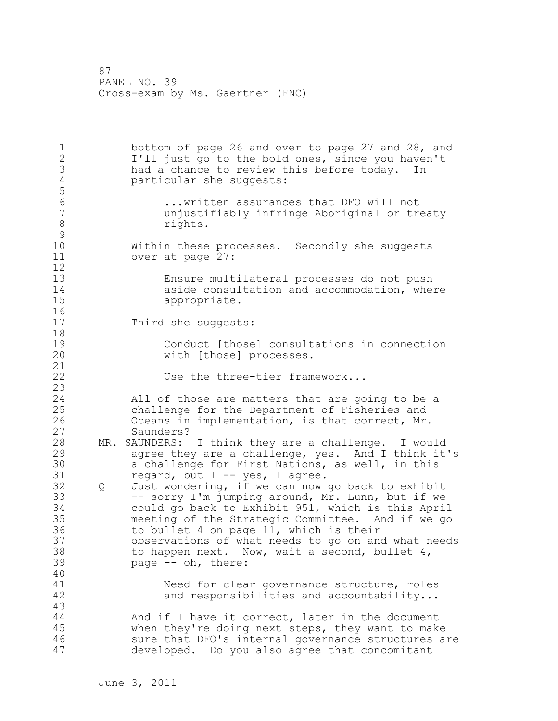1 bottom of page 26 and over to page 27 and 28, and 2 I'll just go to the bold ones, since you haven't 3 had a chance to review this before today. In<br>4 particular she suggests: particular she suggests: 5 6 ...written assurances that DFO will not unjustifiably infringe Aboriginal or treaty 8 rights.  $\begin{smallmatrix} 9 \\ 10 \end{smallmatrix}$ Within these processes. Secondly she suggests 11 over at page 27:  $\begin{array}{c} 12 \\ 13 \end{array}$ Ensure multilateral processes do not push 14 aside consultation and accommodation, where<br>15 appropriate. 16 17 Third she suggests: 18 19 Conduct [those] consultations in connection<br>20 with [those] processes. with [those] processes. 21 22 Use the three-tier framework... 23 24 All of those are matters that are going to be a 25 challenge for the Department of Fisheries and 26 Oceans in implementation, is that correct, Mr.<br>27 Saunders? Saunders? 28 MR. SAUNDERS: I think they are a challenge. I would 29 agree they are a challenge, yes. And I think it's 30 a challenge for First Nations, as well, in this<br>31 creard, but I -- ves, I agree. regard, but  $I$  -- yes, I agree. 32 Q Just wondering, if we can now go back to exhibit 33 -- sorry I'm jumping around, Mr. Lunn, but if we 34 could go back to Exhibit 951, which is this April 35 meeting of the Strategic Committee. And if we go 36 to bullet 4 on page 11, which is their 37 observations of what needs to go on and what needs 38 to happen next. Now, wait a second, bullet 4, 39 page -- oh, there: 40 41 Same Need for clear governance structure, roles<br>42 and responsibilities and accountability... and responsibilities and accountability... 43 44 And if I have it correct, later in the document 45 when they're doing next steps, they want to make 46 sure that DFO's internal governance structures are 47 developed. Do you also agree that concomitant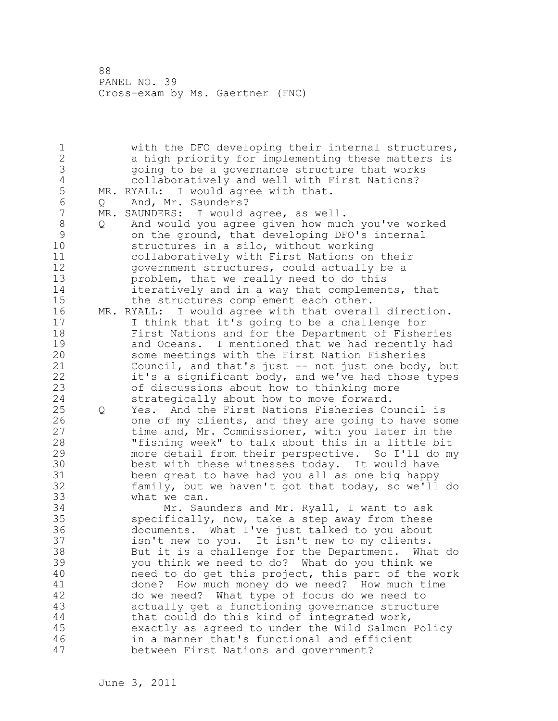1 with the DFO developing their internal structures, 2 a high priority for implementing these matters is 3 going to be a governance structure that works 4 collaboratively and well with First Nations?<br>5 MR. RYALL: I would agree with that. MR. RYALL: I would agree with that. 6 Q And, Mr. Saunders?<br>7 MR. SAUNDERS: I would MR. SAUNDERS: I would agree, as well. 8 Q And would you agree given how much you've worked 9 on the ground, that developing DFO's internal<br>10 structures in a silo, without working structures in a silo, without working 11 collaboratively with First Nations on their 12 government structures, could actually be a 13 problem, that we really need to do this 14 iteratively and in a way that complements, that 15 the structures complement each other. 16 MR. RYALL: I would agree with that overall direction. 17 I think that it's going to be a challenge for 18 First Nations and for the Department of Fisheries 19 and Oceans. I mentioned that we had recently had<br>20 some meetings with the First Nation Fisheries some meetings with the First Nation Fisheries 21 Council, and that's just -- not just one body, but 22 it's a significant body, and we've had those types 23 of discussions about how to thinking more 24 strategically about how to move forward. 25 Q Yes. And the First Nations Fisheries Council is 26 one of my clients, and they are going to have some<br>27 time and, Mr. Commissioner, with you later in the time and, Mr. Commissioner, with you later in the 28 "fishing week" to talk about this in a little bit 29 more detail from their perspective. So I'll do my 30 best with these witnesses today. It would have<br>31 been great to have had you all as one big happy 31 been great to have had you all as one big happy<br>32 family, but we haven't got that todav, so we'll family, but we haven't got that today, so we'll do 33 what we can. 34 Mr. Saunders and Mr. Ryall, I want to ask 35 specifically, now, take a step away from these 36 documents. What I've just talked to you about 37 isn't new to you. It isn't new to my clients. 38 But it is a challenge for the Department. What do 39 you think we need to do? What do you think we 40 need to do get this project, this part of the work 41 done? How much money do we need? How much time<br>42 do we need? What type of focus do we need to do we need? What type of focus do we need to 43 actually get a functioning governance structure 44 that could do this kind of integrated work, 45 exactly as agreed to under the Wild Salmon Policy 46 in a manner that's functional and efficient 47 between First Nations and government?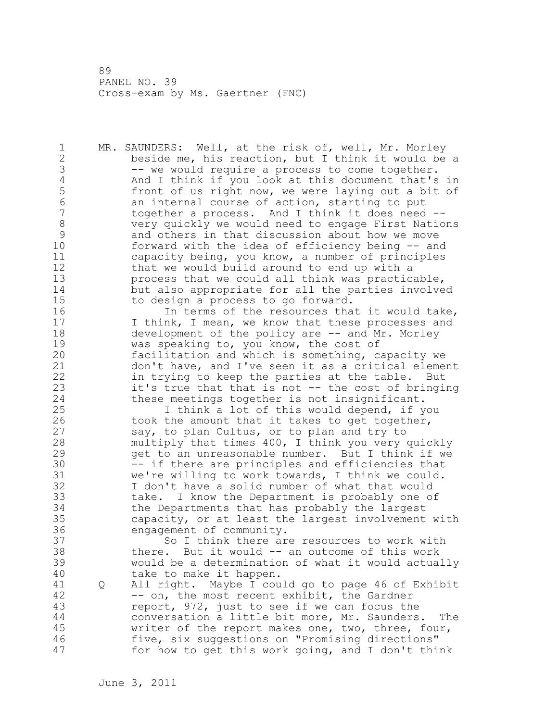1 MR. SAUNDERS: Well, at the risk of, well, Mr. Morley 2 beside me, his reaction, but I think it would be a 3 -- we would require a process to come together.<br>4 And I think if you look at this document that's 4 And I think if you look at this document that's in<br>5 front of us right now, we were laying out a bit of 5 front of us right now, we were laying out a bit of<br>6 an internal course of action, starting to put 6 an internal course of action, starting to put together a process. And I think it does need --8 very quickly we would need to engage First Nations 9 and others in that discussion about how we move<br>10 forward with the idea of efficiency being -- and forward with the idea of efficiency being -- and 11 capacity being, you know, a number of principles 12 that we would build around to end up with a 13 process that we could all think was practicable, 14 but also appropriate for all the parties involved 15 to design a process to go forward. 16 16 In terms of the resources that it would take, 17 I think, I mean, we know that these processes and 18 development of the policy are -- and Mr. Morley 19 was speaking to, you know, the cost of<br>20 facilitation and which is something, c facilitation and which is something, capacity we 21 don't have, and I've seen it as a critical element 22 in trying to keep the parties at the table. But 23 it's true that that is not -- the cost of bringing 24 these meetings together is not insignificant. 25 I think a lot of this would depend, if you 26 took the amount that it takes to get together,<br>27 say, to plan Cultus, or to plan and try to say, to plan Cultus, or to plan and try to 28 multiply that times 400, I think you very quickly 29 get to an unreasonable number. But I think if we 30 -- if there are principles and efficiencies that<br>31 we're willing to work towards, I think we could. 31 we're willing to work towards, I think we could.<br>32 I don't have a solid number of what that would I don't have a solid number of what that would 33 take. I know the Department is probably one of 34 the Departments that has probably the largest 35 capacity, or at least the largest involvement with 36 engagement of community. 37 So I think there are resources to work with 38 there. But it would -- an outcome of this work 39 would be a determination of what it would actually 40 take to make it happen. 41 Q All right. Maybe I could go to page 46 of Exhibit<br>42 -- oh, the most recent exhibit, the Gardner -- oh, the most recent exhibit, the Gardner 43 report, 972, just to see if we can focus the 44 conversation a little bit more, Mr. Saunders. The 45 writer of the report makes one, two, three, four, 46 five, six suggestions on "Promising directions" 47 for how to get this work going, and I don't think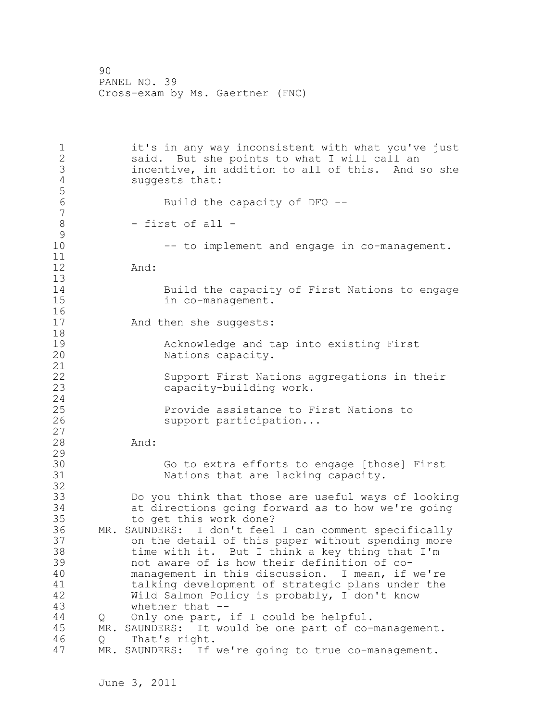1 it's in any way inconsistent with what you've just 2 said. But she points to what I will call an 3 incentive, in addition to all of this. And so she<br>4 suggests that: suggests that: 5 Build the capacity of DFO --7 8 - first of all -  $\begin{smallmatrix} 9 \\ 10 \end{smallmatrix}$ -- to implement and engage in co-management. 11 12 And: 13 14 Build the capacity of First Nations to engage in co-management.  $\begin{array}{c} 16 \\ 17 \end{array}$ And then she suggests: 18 19 **Acknowledge and tap into existing First** 20 Nations capacity. 21 22 Support First Nations aggregations in their 23 capacity-building work. 24 25 Provide assistance to First Nations to 26 support participation...  $\begin{array}{c} 27 \\ 28 \end{array}$ And: 29 30 Go to extra efforts to engage [those] First 31 Nations that are lacking capacity. 32 33 Do you think that those are useful ways of looking 34 at directions going forward as to how we're going 35 to get this work done? 36 MR. SAUNDERS: I don't feel I can comment specifically 37 on the detail of this paper without spending more 38 time with it. But I think a key thing that I'm 39 not aware of is how their definition of co-40 management in this discussion. I mean, if we're 41 talking development of strategic plans under the<br>42 Wild Salmon Policy is probably, I don't know Wild Salmon Policy is probably, I don't know 43 whether that -- 44 Q Only one part, if I could be helpful. 45 MR. SAUNDERS: It would be one part of co-management. 46 Q That's right. 47 MR. SAUNDERS: If we're going to true co-management.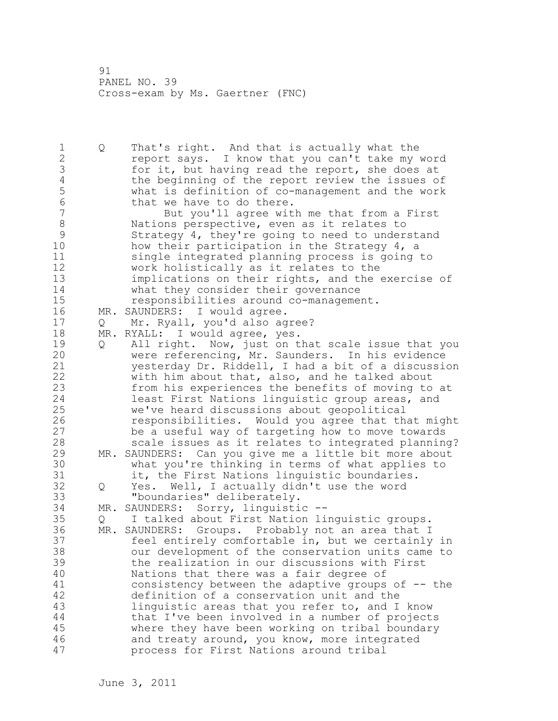1 Q That's right. And that is actually what the 2 report says. I know that you can't take my word 3 for it, but having read the report, she does at<br>4 the beginning of the report review the issues o 4 the beginning of the report review the issues of<br>5 what is definition of co-management and the work 5 what is definition of co-management and the work 6 that we have to do there.<br>7 But vou'll agree wit But you'll agree with me that from a First 8 Nations perspective, even as it relates to<br>9 Strategy 4, they're going to need to under 9 Strategy 4, they're going to need to understand<br>10 how their participation in the Strategy 4, a how their participation in the Strategy  $4$ , a 11 single integrated planning process is going to 12 work holistically as it relates to the 13 implications on their rights, and the exercise of 14 what they consider their governance 15 responsibilities around co-management. 16 MR. SAUNDERS: I would agree. 17 Q Mr. Ryall, you'd also agree? 18 MR. RYALL: I would agree, yes. 19 Q All right. Now, just on that scale issue that you<br>20 were referencing, Mr. Saunders. In his evidence were referencing, Mr. Saunders. In his evidence 21 yesterday Dr. Riddell, I had a bit of a discussion 22 with him about that, also, and he talked about 23 from his experiences the benefits of moving to at 24 least First Nations linguistic group areas, and 25 we've heard discussions about geopolitical 26 responsibilities. Would you agree that that might<br>27 be a useful way of targeting how to move towards be a useful way of targeting how to move towards 28 scale issues as it relates to integrated planning? 29 MR. SAUNDERS: Can you give me a little bit more about 30 what you're thinking in terms of what applies to it, the First Nations linguistic boundaries. 32 Q Yes. Well, I actually didn't use the word 33 "boundaries" deliberately. 34 MR. SAUNDERS: Sorry, linguistic -- 35 Q I talked about First Nation linguistic groups. 36 MR. SAUNDERS: Groups. Probably not an area that I 37 feel entirely comfortable in, but we certainly in 38 our development of the conservation units came to 39 the realization in our discussions with First 40 Nations that there was a fair degree of 41 consistency between the adaptive groups of -- the<br>42 definition of a conservation unit and the definition of a conservation unit and the 43 linguistic areas that you refer to, and I know 44 that I've been involved in a number of projects 45 where they have been working on tribal boundary 46 and treaty around, you know, more integrated 47 process for First Nations around tribal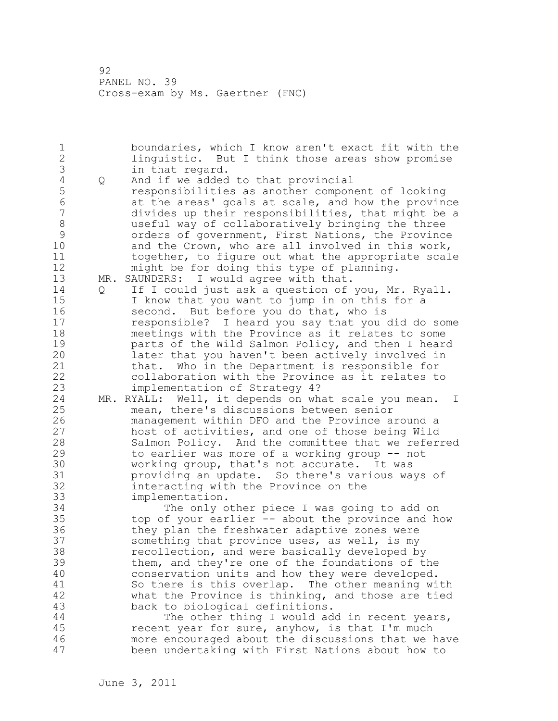1 boundaries, which I know aren't exact fit with the 2 linguistic. But I think those areas show promise 3 in that regard.<br>4 Q And if we added 4 Q And if we added to that provincial<br>5 cesponsibilities as another compon 5 responsibilities as another component of looking 6 at the areas' goals at scale, and how the province divides up their responsibilities, that might be a 8 useful way of collaboratively bringing the three 9 orders of government, First Nations, the Province<br>10 and the Crown, who are all involved in this work, and the Crown, who are all involved in this work, 11 together, to figure out what the appropriate scale 12 might be for doing this type of planning. 13 MR. SAUNDERS: I would agree with that. 14 Q If I could just ask a question of you, Mr. Ryall. 15 I know that you want to jump in on this for a 16 second. But before you do that, who is 17 responsible? I heard you say that you did do some 18 meetings with the Province as it relates to some 19 **parts of the Wild Salmon Policy, and then I heard**<br>20 **heart in that you haven't been actively involved in** later that you haven't been actively involved in 21 that. Who in the Department is responsible for 22 collaboration with the Province as it relates to 23 implementation of Strategy 4? 24 MR. RYALL: Well, it depends on what scale you mean. I 25 mean, there's discussions between senior 26 management within DFO and the Province around a<br>27 host of activities, and one of those being Wild host of activities, and one of those being Wild 28 Salmon Policy. And the committee that we referred 29 to earlier was more of a working group -- not 30 working group, that's not accurate. It was<br>31 broviding an update. So there's various wa 31 providing an update. So there's various ways of<br>32 interacting with the Province on the interacting with the Province on the 33 implementation. 34 The only other piece I was going to add on 35 top of your earlier -- about the province and how 36 they plan the freshwater adaptive zones were 37 something that province uses, as well, is my 38 recollection, and were basically developed by 39 them, and they're one of the foundations of the 40 conservation units and how they were developed. 41 So there is this overlap. The other meaning with<br>42 what the Province is thinking, and those are tied what the Province is thinking, and those are tied 43 back to biological definitions. 44 The other thing I would add in recent years, 45 recent year for sure, anyhow, is that I'm much 46 more encouraged about the discussions that we have 47 been undertaking with First Nations about how to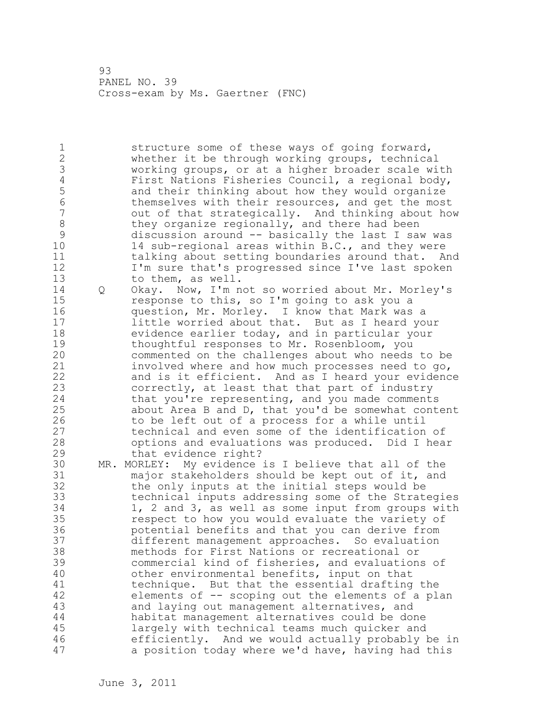1 structure some of these ways of going forward, 2 whether it be through working groups, technical 3 working groups, or at a higher broader scale with 4 First Nations Fisheries Council, a regional body,<br>5 and their thinking about how they would organize 5 and their thinking about how they would organize<br>6 themselves with their resources, and get the most 6 themselves with their resources, and get the most out of that strategically. And thinking about how 8 they organize regionally, and there had been<br>9 discussion around -- basically the last I saw 9 discussion around -- basically the last I saw was<br>10 14 sub-regional areas within B.C., and they were 14 sub-regional areas within B.C., and they were 11 talking about setting boundaries around that. And 12 I'm sure that's progressed since I've last spoken 13 to them, as well. 14 Q Okay. Now, I'm not so worried about Mr. Morley's 15 response to this, so I'm going to ask you a 16 question, Mr. Morley. I know that Mark was a 17 little worried about that. But as I heard your 18 evidence earlier today, and in particular your 19 thoughtful responses to Mr. Rosenbloom, you<br>20 commented on the challenges about who needs commented on the challenges about who needs to be 21 involved where and how much processes need to go, 22 and is it efficient. And as I heard your evidence 23 correctly, at least that that part of industry 24 that you're representing, and you made comments 25 about Area B and D, that you'd be somewhat content 26 to be left out of a process for a while until<br>27 technical and even some of the identification technical and even some of the identification of 28 options and evaluations was produced. Did I hear 29 that evidence right? 30 MR. MORLEY: My evidence is I believe that all of the major stakeholders should be kept out of it, and 32 the only inputs at the initial steps would be 33 technical inputs addressing some of the Strategies 34 1, 2 and 3, as well as some input from groups with 35 respect to how you would evaluate the variety of 36 potential benefits and that you can derive from 37 different management approaches. So evaluation 38 methods for First Nations or recreational or 39 commercial kind of fisheries, and evaluations of 40 other environmental benefits, input on that 41 technique. But that the essential drafting the<br>42 elements of -- scoping out the elements of a pla elements of -- scoping out the elements of a plan 43 and laying out management alternatives, and 44 habitat management alternatives could be done 45 largely with technical teams much quicker and 46 efficiently. And we would actually probably be in 47 a position today where we'd have, having had this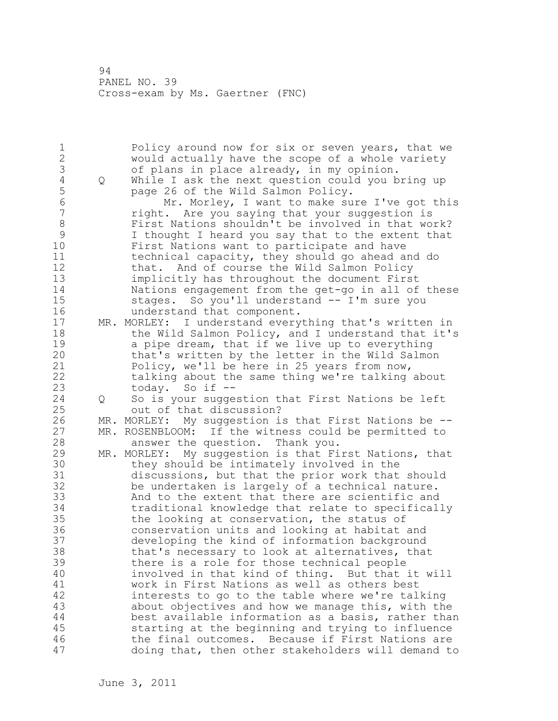1 Policy around now for six or seven years, that we<br>2 Would actually have the scope of a whole variety would actually have the scope of a whole variety 3 of plans in place already, in my opinion.<br>4 Q While I ask the next question could you b 4 Q While I ask the next question could you bring up<br>5 bage 26 of the Wild Salmon Policy. 5 page 26 of the Wild Salmon Policy.<br>6 Mr. Morlev, I want to make su 6 Mr. Morley, I want to make sure I've got this right. Are you saying that your suggestion is 8 First Nations shouldn't be involved in that work?<br>9 1 thought I heard you say that to the extent that 9 I thought I heard you say that to the extent that<br>10 First Nations want to participate and have First Nations want to participate and have 11 technical capacity, they should go ahead and do 12 that. And of course the Wild Salmon Policy 13 implicitly has throughout the document First 14 Nations engagement from the get-go in all of these 15 stages. So you'll understand -- I'm sure you 16 understand that component. 17 MR. MORLEY: I understand everything that's written in 18 the Wild Salmon Policy, and I understand that it's 19 a pipe dream, that if we live up to everything<br>20 that's written by the letter in the Wild Salmon that's written by the letter in the Wild Salmon 21 Policy, we'll be here in 25 years from now, 22 talking about the same thing we're talking about 23 today. So if -- 24 Q So is your suggestion that First Nations be left 25 out of that discussion? 26 MR. MORLEY: My suggestion is that First Nations be --<br>27 MR. ROSENBLOOM: If the witness could be permitted to MR. ROSENBLOOM: If the witness could be permitted to 28 answer the question. Thank you. 29 MR. MORLEY: My suggestion is that First Nations, that 30 they should be intimately involved in the<br>31 discussions, but that the prior work that discussions, but that the prior work that should 32 be undertaken is largely of a technical nature. 33 And to the extent that there are scientific and 34 traditional knowledge that relate to specifically 35 the looking at conservation, the status of 36 conservation units and looking at habitat and 37 developing the kind of information background 38 that's necessary to look at alternatives, that 39 there is a role for those technical people 40 involved in that kind of thing. But that it will 41 work in First Nations as well as others best<br>42 interests to go to the table where we're tal interests to go to the table where we're talking 43 about objectives and how we manage this, with the 44 best available information as a basis, rather than 45 starting at the beginning and trying to influence 46 the final outcomes. Because if First Nations are 47 doing that, then other stakeholders will demand to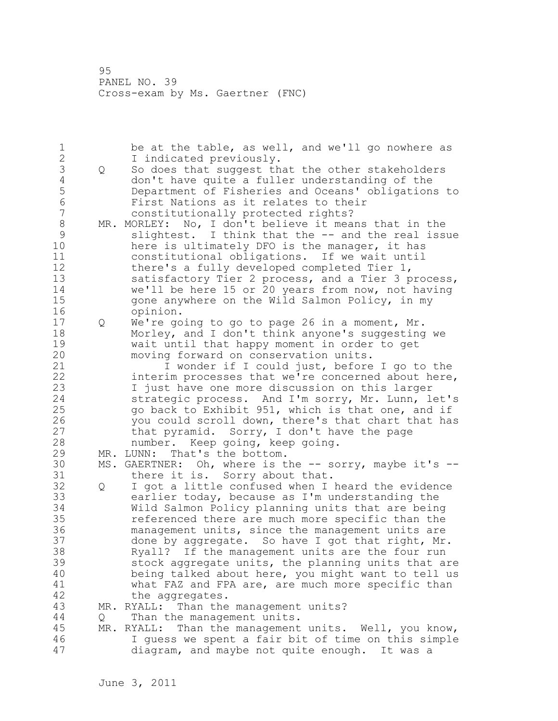1 be at the table, as well, and we'll go nowhere as 2 I indicated previously. 3 Q So does that suggest that the other stakeholders<br>4 don't have quite a fuller understanding of the 4 don't have quite a fuller understanding of the<br>5 Department of Fisheries and Oceans' obligation 5 Department of Fisheries and Oceans' obligations to 6 First Nations as it relates to their constitutionally protected rights? 8 MR. MORLEY: No, I don't believe it means that in the<br>9 slightest. I think that the -- and the real iss 9 slightest. I think that the -- and the real issue<br>10 here is ultimately DFO is the manager, it has here is ultimately DFO is the manager, it has 11 constitutional obligations. If we wait until 12 there's a fully developed completed Tier 1, 13 satisfactory Tier 2 process, and a Tier 3 process, 14 we'll be here 15 or 20 years from now, not having 15 gone anywhere on the Wild Salmon Policy, in my 16 opinion. 17 Q We're going to go to page 26 in a moment, Mr. 18 Morley, and I don't think anyone's suggesting we 19 wait until that happy moment in order to get<br>20 moving forward on conservation units. moving forward on conservation units. 21 I wonder if I could just, before I go to the 22 interim processes that we're concerned about here, 23 I just have one more discussion on this larger 24 strategic process. And I'm sorry, Mr. Lunn, let's 25 go back to Exhibit 951, which is that one, and if 26 you could scroll down, there's that chart that has<br>27 that pyramid. Sorry, I don't have the page that pyramid. Sorry, I don't have the page 28 number. Keep going, keep going. 29 MR. LUNN: That's the bottom. 30 MS. GAERTNER: Oh, where is the -- sorry, maybe it's --<br>31 there it is. Sorry about that. there it is. Sorry about that. 32 Q I got a little confused when I heard the evidence 33 earlier today, because as I'm understanding the 34 Wild Salmon Policy planning units that are being 35 referenced there are much more specific than the 36 management units, since the management units are 37 done by aggregate. So have I got that right, Mr. 38 Ryall? If the management units are the four run 39 stock aggregate units, the planning units that are 40 being talked about here, you might want to tell us 41 what FAZ and FPA are, are much more specific than<br>42 the aggregates. the aggregates. 43 MR. RYALL: Than the management units? 44 Q Than the management units. 45 MR. RYALL: Than the management units. Well, you know, 46 I guess we spent a fair bit of time on this simple 47 diagram, and maybe not quite enough. It was a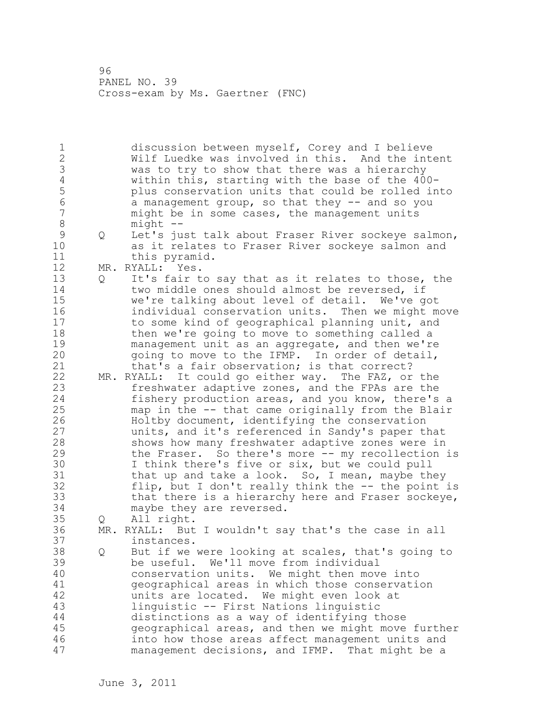1 discussion between myself, Corey and I believe 2 Wilf Luedke was involved in this. And the intent 3 was to try to show that there was a hierarchy<br>4 within this, starting with the base of the 40 4 within this, starting with the base of the 400- 5 plus conservation units that could be rolled into<br>6 a management group, so that they -- and so you 6 a management group, so that they -- and so you might be in some cases, the management units 8 might --<br>9 Q Let's ju 9 Q Let's just talk about Fraser River sockeye salmon,<br>10 as it relates to Fraser River sockeve salmon and as it relates to Fraser River sockeye salmon and 11 this pyramid. 12 MR. RYALL: Yes. 13 Q It's fair to say that as it relates to those, the 14 two middle ones should almost be reversed, if 15 we're talking about level of detail. We've got 16 individual conservation units. Then we might move 17 to some kind of geographical planning unit, and 18 then we're going to move to something called a 19 management unit as an aggregate, and then we're<br>20 oping to move to the IFMP. In order of detail, going to move to the IFMP. In order of detail, 21 that's a fair observation; is that correct? 22 MR. RYALL: It could go either way. The FAZ, or the 23 freshwater adaptive zones, and the FPAs are the 24 fishery production areas, and you know, there's a 25 map in the -- that came originally from the Blair 26 Holtby document, identifying the conservation<br>27 units, and it's referenced in Sandy's paper the units, and it's referenced in Sandy's paper that 28 shows how many freshwater adaptive zones were in 29 the Fraser. So there's more -- my recollection is 30 I think there's five or six, but we could pull<br>31 that up and take a look. So, I mean, mavbe th that up and take a look. So, I mean, maybe they 32 flip, but I don't really think the -- the point is 33 that there is a hierarchy here and Fraser sockeye, 34 maybe they are reversed. 35 Q All right. 36 MR. RYALL: But I wouldn't say that's the case in all 37 instances. 38 Q But if we were looking at scales, that's going to 39 be useful. We'll move from individual 40 conservation units. We might then move into 41 geographical areas in which those conservation<br>42 units are located. We might even look at units are located. We might even look at 43 linguistic -- First Nations linguistic 44 distinctions as a way of identifying those 45 geographical areas, and then we might move further 46 into how those areas affect management units and 47 management decisions, and IFMP. That might be a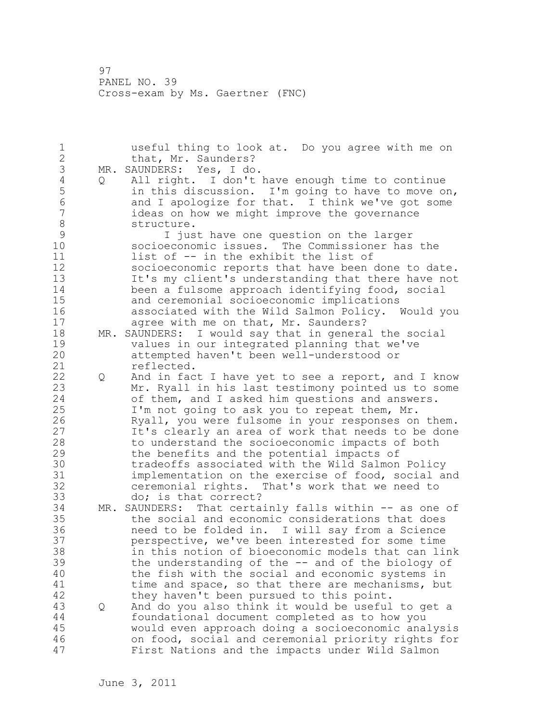| $\mathbf 1$    |     | useful thing to look at. Do you agree with me on   |
|----------------|-----|----------------------------------------------------|
| $\frac{2}{3}$  |     | that, Mr. Saunders?                                |
|                | MR. | SAUNDERS: Yes, I do.                               |
| $\overline{4}$ | Q   | All right. I don't have enough time to continue    |
| 5              |     | in this discussion. I'm going to have to move on,  |
| $\sqrt{6}$     |     | and I apologize for that. I think we've got some   |
| $\overline{7}$ |     | ideas on how we might improve the governance       |
| 8              |     | structure.                                         |
| $\mathcal{G}$  |     | I just have one question on the larger             |
| 10             |     | socioeconomic issues. The Commissioner has the     |
| 11             |     | list of -- in the exhibit the list of              |
| 12             |     | socioeconomic reports that have been done to date. |
| 13             |     |                                                    |
|                |     | It's my client's understanding that there have not |
| 14             |     | been a fulsome approach identifying food, social   |
| 15             |     | and ceremonial socioeconomic implications          |
| 16             |     | associated with the Wild Salmon Policy. Would you  |
| 17             |     | agree with me on that, Mr. Saunders?               |
| 18             | MR. | SAUNDERS: I would say that in general the social   |
| 19             |     | values in our integrated planning that we've       |
| 20             |     | attempted haven't been well-understood or          |
| 21             |     | reflected.                                         |
| 22             | Q   | And in fact I have yet to see a report, and I know |
| 23             |     | Mr. Ryall in his last testimony pointed us to some |
| 24             |     | of them, and I asked him questions and answers.    |
| 25             |     | I'm not going to ask you to repeat them, Mr.       |
| 26             |     | Ryall, you were fulsome in your responses on them. |
| 27             |     | It's clearly an area of work that needs to be done |
| 28             |     | to understand the socioeconomic impacts of both    |
| 29             |     | the benefits and the potential impacts of          |
| 30             |     | tradeoffs associated with the Wild Salmon Policy   |
| 31             |     | implementation on the exercise of food, social and |
| 32             |     | ceremonial rights. That's work that we need to     |
| 33             |     | do; is that correct?                               |
| 34             | MR. | SAUNDERS: That certainly falls within -- as one of |
| 35             |     | the social and economic considerations that does   |
| 36             |     | need to be folded in. I will say from a Science    |
| 37             |     | perspective, we've been interested for some time   |
| 38             |     | in this notion of bioeconomic models that can link |
| 39             |     |                                                    |
| 40             |     | the understanding of the -- and of the biology of  |
|                |     | the fish with the social and economic systems in   |
| 41             |     | time and space, so that there are mechanisms, but  |
| 42             |     | they haven't been pursued to this point.           |
| 43             | Q   | And do you also think it would be useful to get a  |
| $4\,4$         |     | foundational document completed as to how you      |
| 45             |     | would even approach doing a socioeconomic analysis |
| 46             |     | on food, social and ceremonial priority rights for |
| 47             |     | First Nations and the impacts under Wild Salmon    |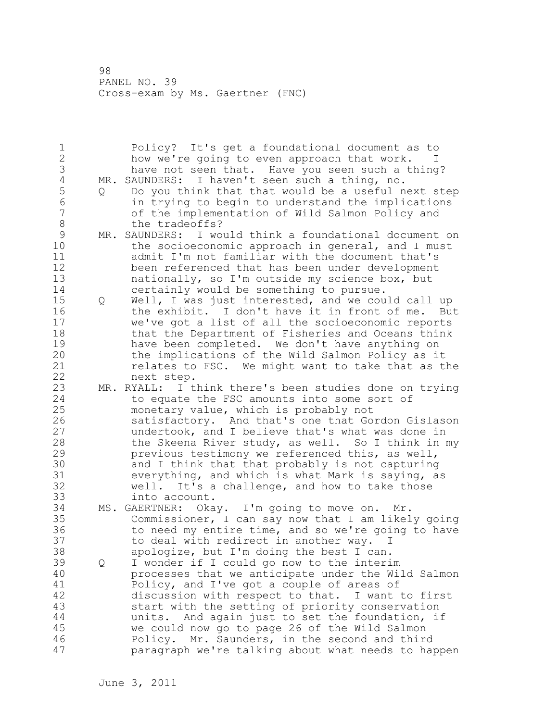1 Policy? It's get a foundational document as to 2 how we're going to even approach that work. I 3 have not seen that. Have you seen such a thing?<br>4 MR. SAUNDERS: I haven't seen such a thing, no. 4 MR. SAUNDERS: I haven't seen such a thing, no.<br>5 0 Do you think that that would be a useful n 5 Q Do you think that that would be a useful next step<br>6 in trving to begin to understand the implications 6 in trying to begin to understand the implications of the implementation of Wild Salmon Policy and 8 the tradeoffs? 9 MR. SAUNDERS: I would think a foundational document on<br>10 the socioeconomic approach in general, and I must the socioeconomic approach in general, and I must 11 admit I'm not familiar with the document that's 12 been referenced that has been under development 13 nationally, so I'm outside my science box, but 14 certainly would be something to pursue. 15 Q Well, I was just interested, and we could call up 16 the exhibit. I don't have it in front of me. But 17 we've got a list of all the socioeconomic reports 18 that the Department of Fisheries and Oceans think 19 have been completed. We don't have anything on<br>20 the implications of the Wild Salmon Policy as i the implications of the Wild Salmon Policy as it 21 relates to FSC. We might want to take that as the 22 next step. 23 MR. RYALL: I think there's been studies done on trying 24 to equate the FSC amounts into some sort of 25 monetary value, which is probably not 26 satisfactory. And that's one that Gordon Gislason<br>27 modertook, and I believe that's what was done in undertook, and I believe that's what was done in 28 the Skeena River study, as well. So I think in my 29 previous testimony we referenced this, as well, 30 and I think that that probably is not capturing<br>31 everything, and which is what Mark is saving, a 31 everything, and which is what Mark is saying, as<br>32 well. It's a challenge, and how to take those well. It's a challenge, and how to take those 33 into account. 34 MS. GAERTNER: Okay. I'm going to move on. Mr. 35 Commissioner, I can say now that I am likely going 36 to need my entire time, and so we're going to have 37 to deal with redirect in another way. I 38 apologize, but I'm doing the best I can. 39 Q I wonder if I could go now to the interim 40 processes that we anticipate under the Wild Salmon 41 Policy, and I've got a couple of areas of<br>42 discussion with respect to that. I want discussion with respect to that. I want to first 43 start with the setting of priority conservation 44 units. And again just to set the foundation, if 45 we could now go to page 26 of the Wild Salmon 46 Policy. Mr. Saunders, in the second and third 47 paragraph we're talking about what needs to happen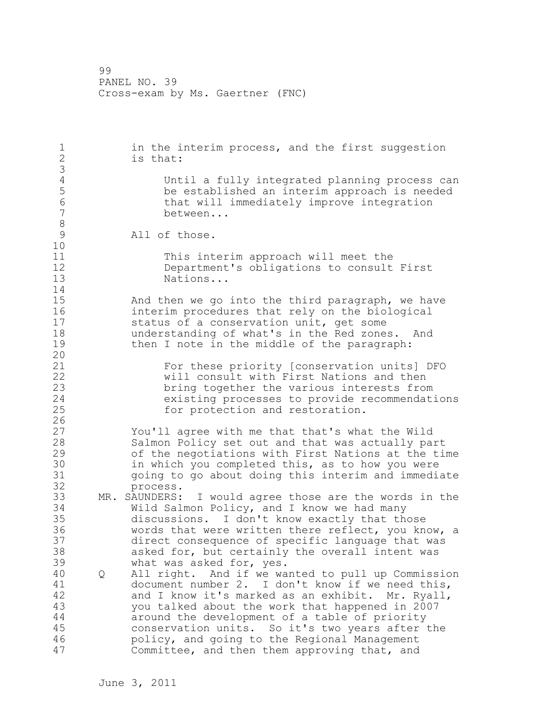1 in the interim process, and the first suggestion 2 is that: 3 4 Until a fully integrated planning process can<br>5 be established an interim approach is needed 5 be established an interim approach is needed 6 that will immediately improve integration<br>7 between... between... 8<br>9 All of those. 10 11 This interim approach will meet the 12 Department's obligations to consult First<br>13 Mations... Nations... 14 15 And then we go into the third paragraph, we have 16 interim procedures that rely on the biological 17 status of a conservation unit, get some 18 understanding of what's in the Red zones. And 19 then I note in the middle of the paragraph: 20 21 For these priority [conservation units] DFO 22 will consult with First Nations and then 23 bring together the various interests from<br>24 existing processes to provide recommendat. existing processes to provide recommendations 25 for protection and restoration.  $\frac{26}{27}$ You'll agree with me that that's what the Wild 28 Salmon Policy set out and that was actually part 29 of the negotiations with First Nations at the time 30 in which you completed this, as to how you were<br>31 ooing to go about doing this interim and immedia going to go about doing this interim and immediate 32 process. 33 MR. SAUNDERS: I would agree those are the words in the 34 Wild Salmon Policy, and I know we had many 35 discussions. I don't know exactly that those 36 words that were written there reflect, you know, a 37 direct consequence of specific language that was 38 asked for, but certainly the overall intent was 39 what was asked for, yes. 40 Q All right. And if we wanted to pull up Commission 41 document number 2. I don't know if we need this,<br>42 and I know it's marked as an exhibit. Mr. Rvall, and I know it's marked as an exhibit. Mr. Ryall, 43 you talked about the work that happened in 2007 44 around the development of a table of priority 45 conservation units. So it's two years after the 46 policy, and going to the Regional Management 47 Committee, and then them approving that, and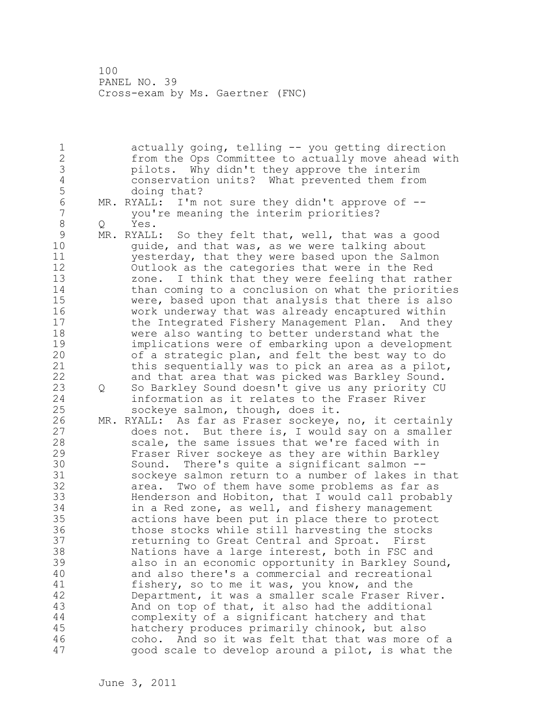1 actually going, telling -- you getting direction 2 from the Ops Committee to actually move ahead with 3 pilots. Why didn't they approve the interim 4 conservation units? What prevented them from 5 doing that?<br>6 MR. RYALL: I'm 6 MR. RYALL: I'm not sure they didn't approve of - you're meaning the interim priorities? 8 Q Yes.<br>9 MR.RYALL 9 MR. RYALL: So they felt that, well, that was a good<br>10 ouide, and that was, as we were talking about guide, and that was, as we were talking about 11 yesterday, that they were based upon the Salmon 12 Outlook as the categories that were in the Red 13 zone. I think that they were feeling that rather 14 than coming to a conclusion on what the priorities 15 were, based upon that analysis that there is also 16 work underway that was already encaptured within 17 the Integrated Fishery Management Plan. And they 18 were also wanting to better understand what the 19 implications were of embarking upon a development<br>20 of a strategic plan, and felt the best way to do of a strategic plan, and felt the best way to do 21 this sequentially was to pick an area as a pilot, 22 and that area that was picked was Barkley Sound. 23 Q So Barkley Sound doesn't give us any priority CU 24 information as it relates to the Fraser River 25 sockeye salmon, though, does it. 26 MR. RYALL: As far as Fraser sockeye, no, it certainly<br>27 does not. But there is, I would say on a smaller does not. But there is, I would say on a smaller 28 scale, the same issues that we're faced with in 29 Fraser River sockeye as they are within Barkley 30 Sound. There's quite a significant salmon --<br>31 sockeve salmon return to a number of lakes in 31 sockeye salmon return to a number of lakes in that<br>32 area. Two of them have some problems as far as area. Two of them have some problems as far as 33 Henderson and Hobiton, that I would call probably 34 in a Red zone, as well, and fishery management 35 actions have been put in place there to protect 36 those stocks while still harvesting the stocks 37 returning to Great Central and Sproat. First 38 Nations have a large interest, both in FSC and 39 also in an economic opportunity in Barkley Sound, 40 and also there's a commercial and recreational 41 fishery, so to me it was, you know, and the<br>42 Department, it was a smaller scale Fraser R Department, it was a smaller scale Fraser River. 43 And on top of that, it also had the additional 44 complexity of a significant hatchery and that 45 hatchery produces primarily chinook, but also 46 coho. And so it was felt that that was more of a 47 good scale to develop around a pilot, is what the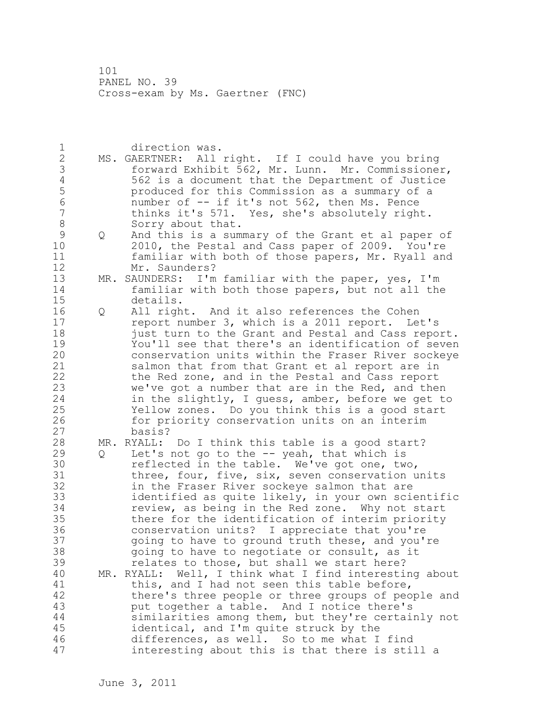1 direction was. 2 MS. GAERTNER: All right. If I could have you bring 3 forward Exhibit 562, Mr. Lunn. Mr. Commissioner, 4 562 is a document that the Department of Justice<br>5 produced for this Commission as a summary of a 5 produced for this Commission as a summary of a 6 number of -- if it's not 562, then Ms. Pence thinks it's 571. Yes, she's absolutely right. 8 Sorry about that. 9 Q And this is a summary of the Grant et al paper of<br>10 2010, the Pestal and Cass paper of 2009. You're 2010, the Pestal and Cass paper of 2009. You're 11 familiar with both of those papers, Mr. Ryall and 12 Mr. Saunders? 13 MR. SAUNDERS: I'm familiar with the paper, yes, I'm 14 familiar with both those papers, but not all the 15 details. 16 Q All right. And it also references the Cohen 17 report number 3, which is a 2011 report. Let's 18 just turn to the Grant and Pestal and Cass report. 19 You'll see that there's an identification of seven conservation units within the Fraser River sockeye 21 salmon that from that Grant et al report are in 22 the Red zone, and in the Pestal and Cass report 23 we've got a number that are in the Red, and then 24 in the slightly, I guess, amber, before we get to 25 Yellow zones. Do you think this is a good start 26 for priority conservation units on an interim<br>27 basis? basis? 28 MR. RYALL: Do I think this table is a good start? 29 Q Let's not go to the -- yeah, that which is 30 **19 reflected in the table.** We've got one, two, 31 three, four, five, six, seven conservation units 32 in the Fraser River sockeye salmon that are 33 identified as quite likely, in your own scientific 34 review, as being in the Red zone. Why not start 35 there for the identification of interim priority 36 conservation units? I appreciate that you're 37 going to have to ground truth these, and you're 38 going to have to negotiate or consult, as it 39 relates to those, but shall we start here? 40 MR. RYALL: Well, I think what I find interesting about 41 this, and I had not seen this table before,<br>42 there's three people or three groups of peo there's three people or three groups of people and 43 put together a table. And I notice there's 44 similarities among them, but they're certainly not 45 identical, and I'm quite struck by the 46 differences, as well. So to me what I find 47 interesting about this is that there is still a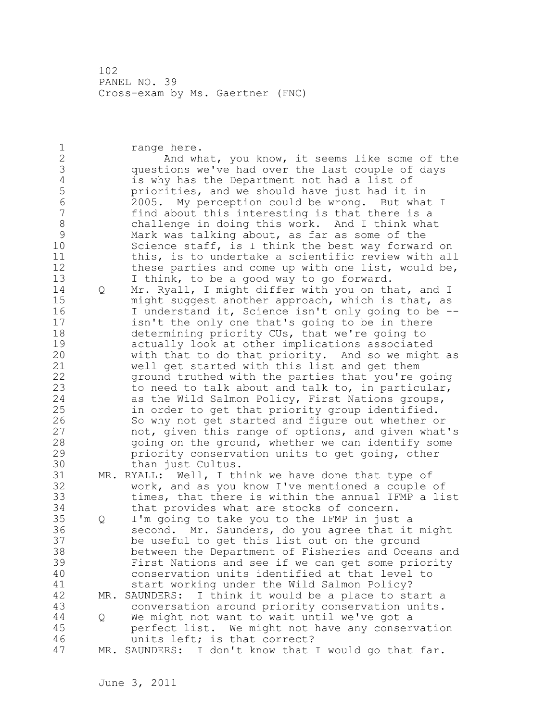1 range here. 2 And what, you know, it seems like some of the 3 questions we've had over the last couple of days 4 is why has the Department not had a list of<br>5 priorities, and we should have just had it 5 priorities, and we should have just had it in<br>6 2005. My perception could be wrong. But wha 6 2005. My perception could be wrong. But what I find about this interesting is that there is a 8 challenge in doing this work. And I think what 9 Mark was talking about, as far as some of the<br>10 Science staff, is I think the best way forwar Science staff, is I think the best way forward on 11 this, is to undertake a scientific review with all 12 these parties and come up with one list, would be, 13 I think, to be a good way to go forward. 14 Q Mr. Ryall, I might differ with you on that, and I 15 might suggest another approach, which is that, as 16 I understand it, Science isn't only going to be --17 isn't the only one that's going to be in there 18 determining priority CUs, that we're going to 19 actually look at other implications associated<br>20 with that to do that priority. And so we migh with that to do that priority. And so we might as 21 well get started with this list and get them 22 ground truthed with the parties that you're going 23 to need to talk about and talk to, in particular, 24 as the Wild Salmon Policy, First Nations groups, 25 in order to get that priority group identified. 26 So why not get started and figure out whether or<br>27 hot, given this range of options, and given what not, given this range of options, and given what's 28 going on the ground, whether we can identify some 29 priority conservation units to get going, other 30 than just Cultus.<br>31 MR. RYALL: Well, I th MR. RYALL: Well, I think we have done that type of 32 work, and as you know I've mentioned a couple of 33 times, that there is within the annual IFMP a list 34 that provides what are stocks of concern. 35 Q I'm going to take you to the IFMP in just a 36 second. Mr. Saunders, do you agree that it might 37 be useful to get this list out on the ground 38 between the Department of Fisheries and Oceans and 39 First Nations and see if we can get some priority 40 conservation units identified at that level to 41 start working under the Wild Salmon Policy?<br>42 MR. SAUNDERS: I think it would be a place to st MR. SAUNDERS: I think it would be a place to start a 43 conversation around priority conservation units. 44 Q We might not want to wait until we've got a 45 perfect list. We might not have any conservation 46 units left; is that correct? 47 MR. SAUNDERS: I don't know that I would go that far.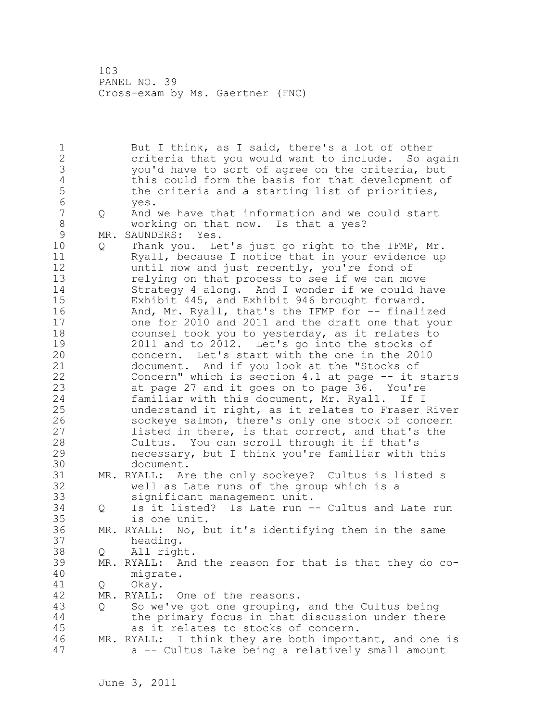1 But I think, as I said, there's a lot of other 2 criteria that you would want to include. So again 3 you'd have to sort of agree on the criteria, but 4 this could form the basis for that development of<br>5 the criteria and a starting list of priorities, 5 the criteria and a starting list of priorities,<br>6 ves. 6 yes. 7 Q And we have that information and we could start 8 working on that now. Is that a yes? 9 MR. SAUNDERS: Yes.<br>10 0 Thank vou. Le 10 Q Thank you. Let's just go right to the IFMP, Mr. 11 Ryall, because I notice that in your evidence up 12 until now and just recently, you're fond of 13 relying on that process to see if we can move 14 Strategy 4 along. And I wonder if we could have 15 Exhibit 445, and Exhibit 946 brought forward. 16 And, Mr. Ryall, that's the IFMP for -- finalized 17 one for 2010 and 2011 and the draft one that your 18 counsel took you to yesterday, as it relates to 19 2011 and to 2012. Let's go into the stocks of<br>20 concern. Let's start with the one in the 2010 concern. Let's start with the one in the 2010 21 document. And if you look at the "Stocks of 22 Concern" which is section 4.1 at page -- it starts 23 at page 27 and it goes on to page 36. You're 24 familiar with this document, Mr. Ryall. If I 25 understand it right, as it relates to Fraser River 26 sockeye salmon, there's only one stock of concern<br>27 listed in there, is that correct, and that's the listed in there, is that correct, and that's the 28 Cultus. You can scroll through it if that's 29 necessary, but I think you're familiar with this 30 document.<br>31 MR. RYALL: Ar MR. RYALL: Are the only sockeye? Cultus is listed s 32 well as Late runs of the group which is a 33 significant management unit. 34 Q Is it listed? Is Late run -- Cultus and Late run 35 is one unit. 36 MR. RYALL: No, but it's identifying them in the same 37 heading. 38 Q All right. 39 MR. RYALL: And the reason for that is that they do co-40 migrate. 41 Q Okay.<br>42 MR. RYALL: MR. RYALL: One of the reasons. 43 Q So we've got one grouping, and the Cultus being 44 the primary focus in that discussion under there 45 as it relates to stocks of concern. 46 MR. RYALL: I think they are both important, and one is 47 a -- Cultus Lake being a relatively small amount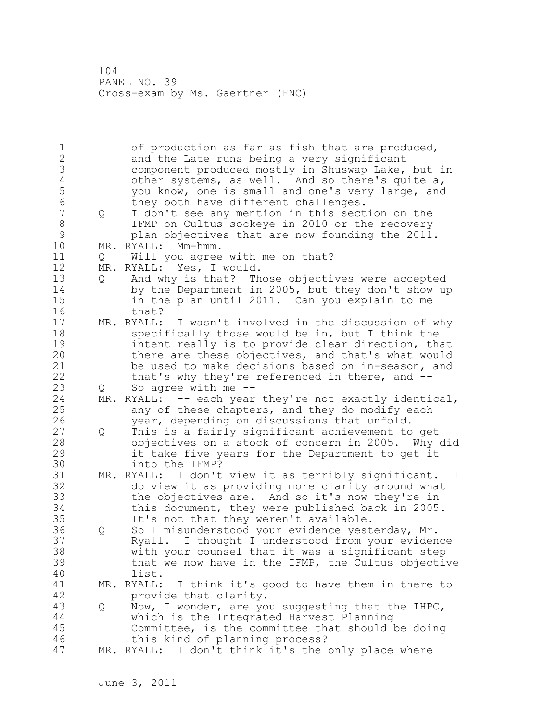1 of production as far as fish that are produced, 2 and the Late runs being a very significant 3 component produced mostly in Shuswap Lake, but in<br>4 other systems, as well. And so there's quite a, 4 other systems, as well. And so there's quite a,<br>5 you know, one is small and one's very large, and 5 you know, one is small and one's very large, and<br>6 they both have different challenges. 6 they both have different challenges.<br>7 0 I don't see anv mention in this sect 7 Q I don't see any mention in this section on the 8 IFMP on Cultus sockeye in 2010 or the recovery 9 plan objectives that are now founding the 2011.<br>10 MR. RYALL: Mm-hmm. MR. RYALL: Mm-hmm. 11 Q Will you agree with me on that? 12 MR. RYALL: Yes, I would. 13 Q And why is that? Those objectives were accepted 14 by the Department in 2005, but they don't show up 15 in the plan until 2011. Can you explain to me 16 that? 17 MR. RYALL: I wasn't involved in the discussion of why 18 specifically those would be in, but I think the 19 intent really is to provide clear direction, that<br>20 there are these objectives, and that's what would there are these objectives, and that's what would 21 be used to make decisions based on in-season, and 22 that's why they're referenced in there, and --23 Q So agree with me -- 24 MR. RYALL: -- each year they're not exactly identical, 25 any of these chapters, and they do modify each 26 year, depending on discussions that unfold.<br>27 Q This is a fairly significant achievement to 27 Q This is a fairly significant achievement to get 28 objectives on a stock of concern in 2005. Why did 29 it take five years for the Department to get it 30 into the IFMP?<br>31 MR. RYALL: I don't MR. RYALL: I don't view it as terribly significant. I 32 do view it as providing more clarity around what 33 the objectives are. And so it's now they're in 34 this document, they were published back in 2005. 35 It's not that they weren't available. 36 Q So I misunderstood your evidence yesterday, Mr. 37 Ryall. I thought I understood from your evidence 38 with your counsel that it was a significant step 39 that we now have in the IFMP, the Cultus objective 40 list. 41 MR. RYALL: I think it's good to have them in there to provide that clarity. provide that clarity. 43 Q Now, I wonder, are you suggesting that the IHPC, 44 which is the Integrated Harvest Planning 45 Committee, is the committee that should be doing 46 this kind of planning process? 47 MR. RYALL: I don't think it's the only place where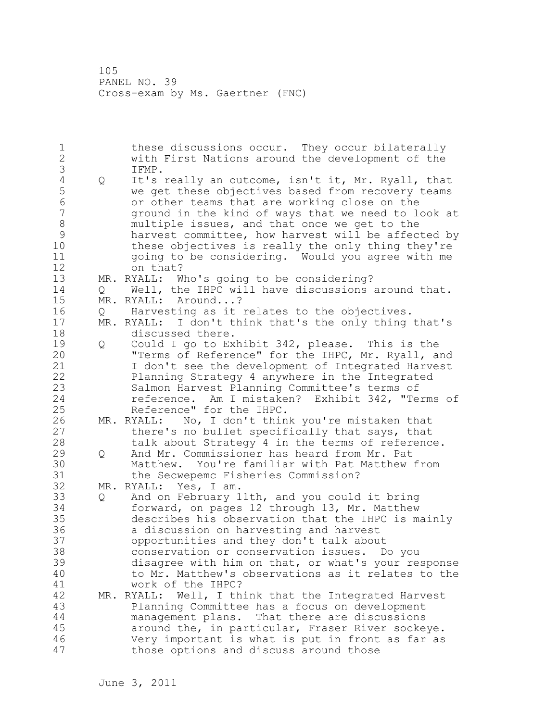1 these discussions occur. They occur bilaterally 2 with First Nations around the development of the 3 IFMP.<br>4 Q It's 4 Q It's really an outcome, isn't it, Mr. Ryall, that<br>5 we get these objectives based from recovery teams 5 we get these objectives based from recovery teams 6 or other teams that are working close on the ground in the kind of ways that we need to look at 8 multiple issues, and that once we get to the 9 harvest committee, how harvest will be affected by<br>10 these objectives is really the only thing they're these objectives is really the only thing they're 11 going to be considering. Would you agree with me 12 on that? 13 MR. RYALL: Who's going to be considering? 14 Q Well, the IHPC will have discussions around that. 15 MR. RYALL: Around...? 16 Q Harvesting as it relates to the objectives. 17 MR. RYALL: I don't think that's the only thing that's 18 discussed there. 19 Q Could I go to Exhibit 342, please. This is the<br>20 Terms of Reference" for the IHPC, Mr. Ryall, and "Terms of Reference" for the IHPC, Mr. Ryall, and 21 I don't see the development of Integrated Harvest 22 Planning Strategy 4 anywhere in the Integrated 23 Salmon Harvest Planning Committee's terms of 24 reference. Am I mistaken? Exhibit 342, "Terms of 25 Reference" for the IHPC. 26 MR. RYALL: No, I don't think you're mistaken that<br>27 there's no bullet specifically that says, that there's no bullet specifically that says, that 28 talk about Strategy 4 in the terms of reference. 29 Q And Mr. Commissioner has heard from Mr. Pat 30 Matthew. You're familiar with Pat Matthew from the Secwepemc Fisheries Commission? 32 MR. RYALL: Yes, I am. 33 Q And on February 11th, and you could it bring 34 forward, on pages 12 through 13, Mr. Matthew 35 describes his observation that the IHPC is mainly 36 a discussion on harvesting and harvest 37 opportunities and they don't talk about 38 conservation or conservation issues. Do you 39 disagree with him on that, or what's your response 40 to Mr. Matthew's observations as it relates to the 41 work of the IHPC?<br>42 MR. RYALL: Well, I th MR. RYALL: Well, I think that the Integrated Harvest 43 Planning Committee has a focus on development 44 management plans. That there are discussions 45 around the, in particular, Fraser River sockeye. 46 Very important is what is put in front as far as 47 those options and discuss around those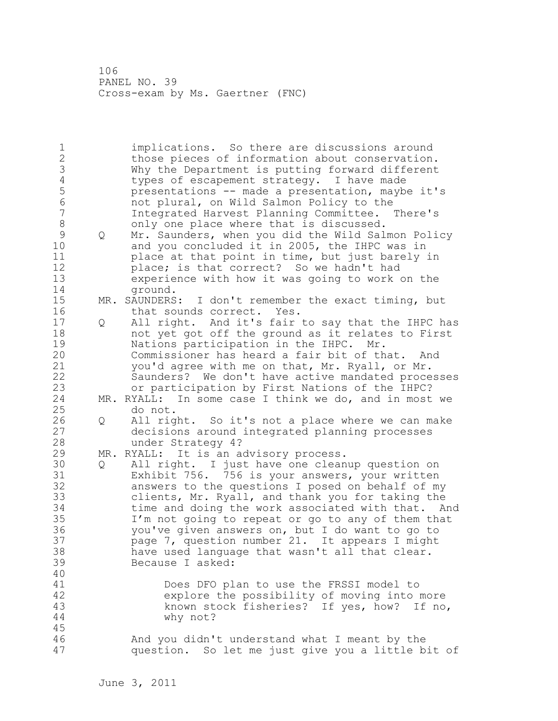1 implications. So there are discussions around 2 those pieces of information about conservation. 3 Why the Department is putting forward different<br>4 types of escapement strategy. I have made 4 types of escapement strategy. I have made<br>5 presentations -- made a presentation, mayb 5 presentations -- made a presentation, maybe it's 6 not plural, on Wild Salmon Policy to the 7 Integrated Harvest Planning Committee. There's 8 only one place where that is discussed. 9 Q Mr. Saunders, when you did the Wild Salmon Policy<br>10 and you concluded it in 2005, the IHPC was in and you concluded it in 2005, the IHPC was in 11 place at that point in time, but just barely in 12 place; is that correct? So we hadn't had 13 experience with how it was going to work on the 14 ground. 15 MR. SAUNDERS: I don't remember the exact timing, but 16 that sounds correct. Yes. 17 Q All right. And it's fair to say that the IHPC has 18 not yet got off the ground as it relates to First 19 Mations participation in the IHPC. Mr.<br>20 Commissioner has heard a fair bit of th Commissioner has heard a fair bit of that. And 21 you'd agree with me on that, Mr. Ryall, or Mr. 22 Saunders? We don't have active mandated processes 23 or participation by First Nations of the IHPC? 24 MR. RYALL: In some case I think we do, and in most we 25 do not. 26 Q All right. So it's not a place where we can make<br>27 decisions around integrated planning processes decisions around integrated planning processes 28 under Strategy 4? 29 MR. RYALL: It is an advisory process. 30 Q All right. I just have one cleanup question on Exhibit 756. 756 is your answers, your written 32 answers to the questions I posed on behalf of my 33 clients, Mr. Ryall, and thank you for taking the 34 time and doing the work associated with that. And 35 I'm not going to repeat or go to any of them that 36 you've given answers on, but I do want to go to 37 page 7, question number 21. It appears I might 38 have used language that wasn't all that clear. 39 Because I asked: 40 41 Does DFO plan to use the FRSSI model to<br>42 explore the possibility of moving into 1 explore the possibility of moving into more 43 known stock fisheries? If yes, how? If no, 44 why not? 45 46 And you didn't understand what I meant by the 47 question. So let me just give you a little bit of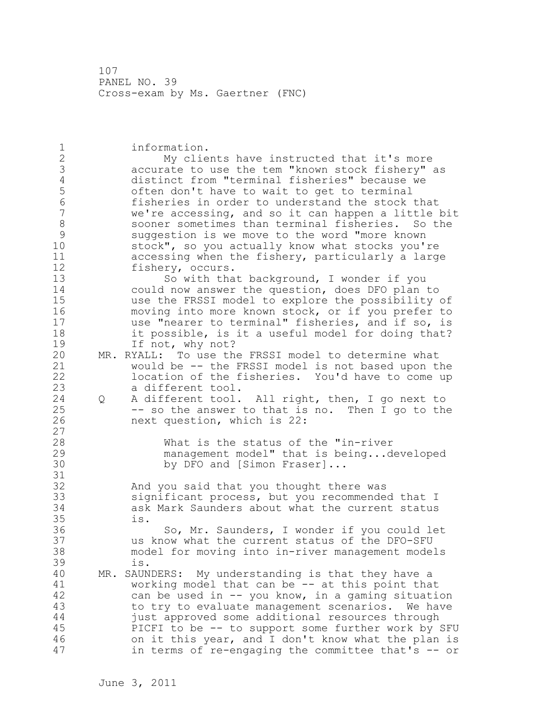1 information. 2 My clients have instructed that it's more 3 accurate to use the tem "known stock fishery" as 4 distinct from "terminal fisheries" because we 5 5 often don't have to wait to get to terminal<br>6 fisheries in order to understand the stock 6 fisheries in order to understand the stock that we're accessing, and so it can happen a little bit 8 sooner sometimes than terminal fisheries. So the 9 suggestion is we move to the word "more known<br>10 stock", so you actually know what stocks you' stock", so you actually know what stocks you're 11 accessing when the fishery, particularly a large 12 fishery, occurs. 13 So with that background, I wonder if you 14 could now answer the question, does DFO plan to 15 use the FRSSI model to explore the possibility of 16 moving into more known stock, or if you prefer to 17 use "nearer to terminal" fisheries, and if so, is 18 it possible, is it a useful model for doing that? 19 If not, why not?<br>20 MR. RYALL: To use the MR. RYALL: To use the FRSSI model to determine what 21 would be -- the FRSSI model is not based upon the 22 location of the fisheries. You'd have to come up 23 a different tool. 24 Q A different tool. All right, then, I go next to 25 -- so the answer to that is no. Then I go to the 26 next question, which is 22: 27 28 What is the status of the "in-river 29 management model" that is being...developed 30 by DFO and [Simon Fraser]... 31 32 And you said that you thought there was 33 significant process, but you recommended that I 34 ask Mark Saunders about what the current status 35 is. 36 So, Mr. Saunders, I wonder if you could let 37 us know what the current status of the DFO-SFU 38 model for moving into in-river management models 39 is. 40 MR. SAUNDERS: My understanding is that they have a 41 working model that can be -- at this point that<br>42 can be used in -- you know, in a gaming situati can be used in  $--$  you know, in a gaming situation 43 to try to evaluate management scenarios. We have 44 just approved some additional resources through 45 PICFI to be -- to support some further work by SFU 46 on it this year, and I don't know what the plan is 47 in terms of re-engaging the committee that's -- or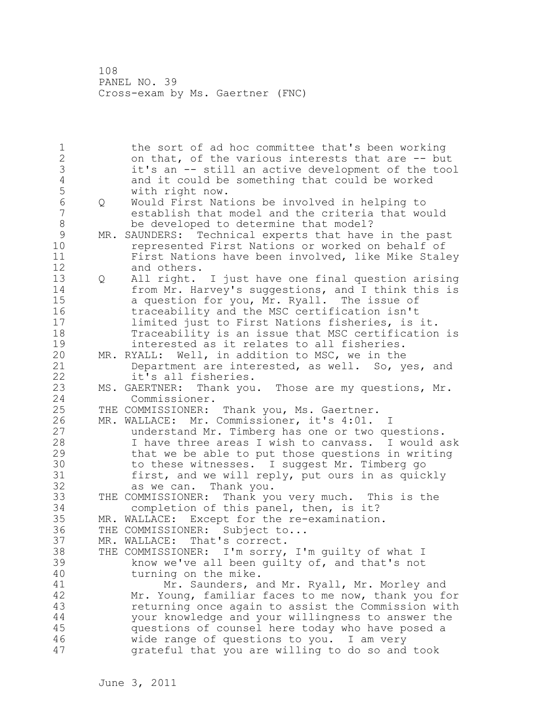1 the sort of ad hoc committee that's been working 2 on that, of the various interests that are -- but 3 it's an -- still an active development of the tool<br>4 and it could be something that could be worked 4 and it could be something that could be worked<br>5 with right now. 5 with right now. 6 Q Would First Nations be involved in helping to establish that model and the criteria that would 8 be developed to determine that model? 9 MR. SAUNDERS: Technical experts that have in the past<br>10 Tepresented First Nations or worked on behalf of represented First Nations or worked on behalf of 11 First Nations have been involved, like Mike Staley 12 and others. 13 Q All right. I just have one final question arising 14 from Mr. Harvey's suggestions, and I think this is 15 a question for you, Mr. Ryall. The issue of 16 traceability and the MSC certification isn't 17 limited just to First Nations fisheries, is it. 18 Traceability is an issue that MSC certification is 19 interested as it relates to all fisheries.<br>20 MR. RYALL: Well, in addition to MSC, we in the MR. RYALL: Well, in addition to MSC, we in the 21 Department are interested, as well. So, yes, and 22 it's all fisheries. 23 MS. GAERTNER: Thank you. Those are my questions, Mr. 24 Commissioner. 25 THE COMMISSIONER: Thank you, Ms. Gaertner. 26 MR. WALLACE: Mr. Commissioner, it's 4:01. I<br>27 dnderstand Mr. Timberg has one or two qu understand Mr. Timberg has one or two questions. 28 I have three areas I wish to canvass. I would ask 29 that we be able to put those questions in writing 30 to these witnesses. I suggest Mr. Timberg go<br>31 first, and we will reply, put ours in as quic first, and we will reply, put ours in as quickly 32 as we can. Thank you. 33 THE COMMISSIONER: Thank you very much. This is the 34 completion of this panel, then, is it? 35 MR. WALLACE: Except for the re-examination. 36 THE COMMISSIONER: Subject to... 37 MR. WALLACE: That's correct. 38 THE COMMISSIONER: I'm sorry, I'm guilty of what I 39 know we've all been guilty of, and that's not 40 turning on the mike. 41 Mr. Saunders, and Mr. Ryall, Mr. Morley and<br>42 Mr. Young, familiar faces to me now, thank you fo Mr. Young, familiar faces to me now, thank you for 43 returning once again to assist the Commission with 44 your knowledge and your willingness to answer the 45 questions of counsel here today who have posed a 46 wide range of questions to you. I am very 47 grateful that you are willing to do so and took